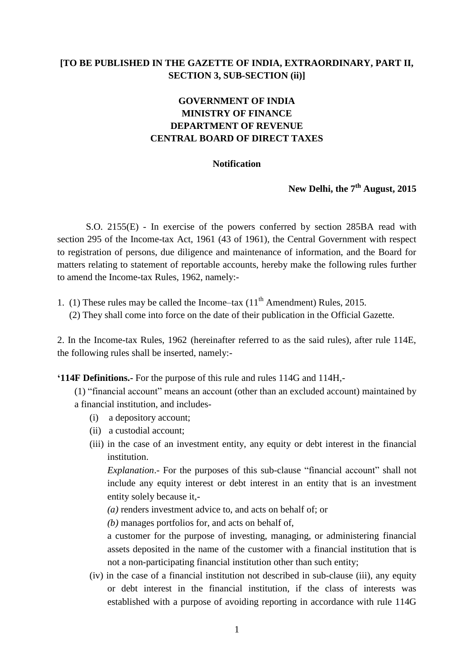## **[TO BE PUBLISHED IN THE GAZETTE OF INDIA, EXTRAORDINARY, PART II, SECTION 3, SUB-SECTION (ii)]**

# **GOVERNMENT OF INDIA MINISTRY OF FINANCE DEPARTMENT OF REVENUE CENTRAL BOARD OF DIRECT TAXES**

### **Notification**

**New Delhi, the 7 th August, 2015**

S.O. 2155(E) - In exercise of the powers conferred by section 285BA read with section 295 of the Income-tax Act, 1961 (43 of 1961), the Central Government with respect to registration of persons, due diligence and maintenance of information, and the Board for matters relating to statement of reportable accounts, hereby make the following rules further to amend the Income-tax Rules, 1962, namely:-

1. (1) These rules may be called the Income–tax  $(11<sup>th</sup>$  Amendment) Rules, 2015. (2) They shall come into force on the date of their publication in the Official Gazette.

2. In the Income-tax Rules, 1962 (hereinafter referred to as the said rules), after rule 114E, the following rules shall be inserted, namely:-

**'114F Definitions.-** For the purpose of this rule and rules 114G and 114H,-

- (1) "financial account" means an account (other than an excluded account) maintained by a financial institution, and includes-
	- (i) a depository account;
	- (ii) a custodial account;
	- (iii) in the case of an investment entity, any equity or debt interest in the financial institution.

*Explanation*.- For the purposes of this sub-clause "financial account" shall not include any equity interest or debt interest in an entity that is an investment entity solely because it,-

*(a)* renders investment advice to, and acts on behalf of; or

*(b)* manages portfolios for, and acts on behalf of,

a customer for the purpose of investing, managing, or administering financial assets deposited in the name of the customer with a financial institution that is not a non-participating financial institution other than such entity;

(iv) in the case of a financial institution not described in sub-clause (iii), any equity or debt interest in the financial institution, if the class of interests was established with a purpose of avoiding reporting in accordance with rule 114G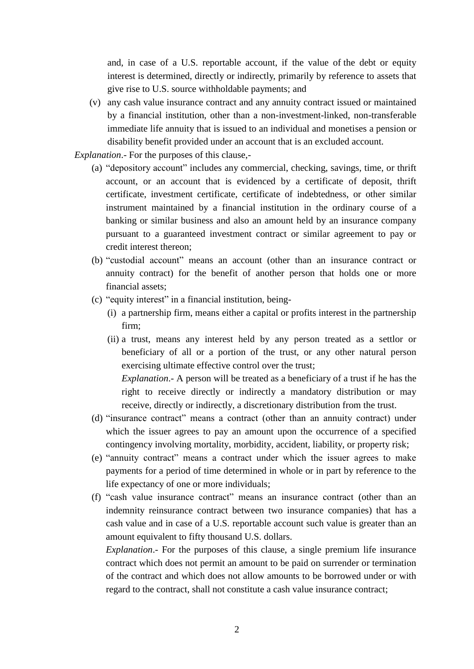and, in case of a U.S. reportable account, if the value of the debt or equity interest is determined, directly or indirectly, primarily by reference to assets that give rise to U.S. source withholdable payments; and

(v) any cash value insurance contract and any annuity contract issued or maintained by a financial institution, other than a non-investment-linked, non-transferable immediate life annuity that is issued to an individual and monetises a pension or disability benefit provided under an account that is an excluded account.

*Explanation*.- For the purposes of this clause,-

- (a) "depository account" includes any commercial, checking, savings, time, or thrift account, or an account that is evidenced by a certificate of deposit, thrift certificate, investment certificate, certificate of indebtedness, or other similar instrument maintained by a financial institution in the ordinary course of a banking or similar business and also an amount held by an insurance company pursuant to a guaranteed investment contract or similar agreement to pay or credit interest thereon;
- (b) "custodial account" means an account (other than an insurance contract or annuity contract) for the benefit of another person that holds one or more financial assets;
- (c) "equity interest" in a financial institution, being-
	- (i) a partnership firm, means either a capital or profits interest in the partnership firm;
	- (ii) a trust, means any interest held by any person treated as a settlor or beneficiary of all or a portion of the trust, or any other natural person exercising ultimate effective control over the trust; *Explanation*.- A person will be treated as a beneficiary of a trust if he has the right to receive directly or indirectly a mandatory distribution or may

receive, directly or indirectly, a discretionary distribution from the trust.

- (d) "insurance contract" means a contract (other than an annuity contract) under which the issuer agrees to pay an amount upon the occurrence of a specified contingency involving mortality, morbidity, accident, liability, or property risk;
- (e) "annuity contract" means a contract under which the issuer agrees to make payments for a period of time determined in whole or in part by reference to the life expectancy of one or more individuals;
- (f) "cash value insurance contract" means an insurance contract (other than an indemnity reinsurance contract between two insurance companies) that has a cash value and in case of a U.S. reportable account such value is greater than an amount equivalent to fifty thousand U.S. dollars.

*Explanation*.- For the purposes of this clause, a single premium life insurance contract which does not permit an amount to be paid on surrender or termination of the contract and which does not allow amounts to be borrowed under or with regard to the contract, shall not constitute a cash value insurance contract;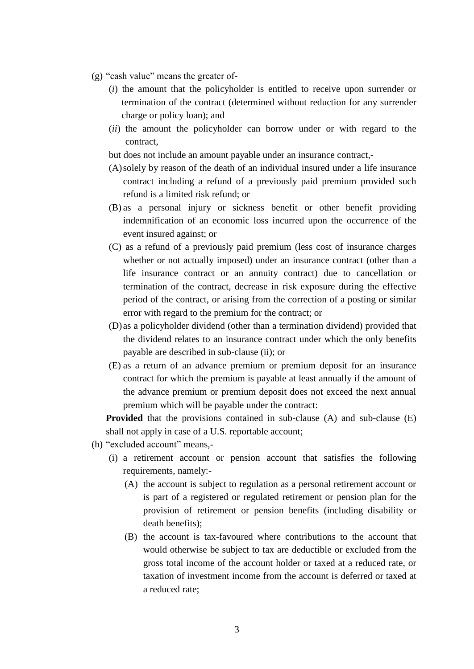- (g) "cash value" means the greater of-
	- (*i*) the amount that the policyholder is entitled to receive upon surrender or termination of the contract (determined without reduction for any surrender charge or policy loan); and
	- (*ii*) the amount the policyholder can borrow under or with regard to the contract,

but does not include an amount payable under an insurance contract,-

- (A)solely by reason of the death of an individual insured under a life insurance contract including a refund of a previously paid premium provided such refund is a limited risk refund; or
- (B) as a personal injury or sickness benefit or other benefit providing indemnification of an economic loss incurred upon the occurrence of the event insured against; or
- (C) as a refund of a previously paid premium (less cost of insurance charges whether or not actually imposed) under an insurance contract (other than a life insurance contract or an annuity contract) due to cancellation or termination of the contract, decrease in risk exposure during the effective period of the contract, or arising from the correction of a posting or similar error with regard to the premium for the contract; or
- (D) as a policyholder dividend (other than a termination dividend) provided that the dividend relates to an insurance contract under which the only benefits payable are described in sub-clause (ii); or
- (E) as a return of an advance premium or premium deposit for an insurance contract for which the premium is payable at least annually if the amount of the advance premium or premium deposit does not exceed the next annual premium which will be payable under the contract:

**Provided** that the provisions contained in sub-clause (A) and sub-clause (E) shall not apply in case of a U.S. reportable account;

- (h) "excluded account" means,-
	- (i) a retirement account or pension account that satisfies the following requirements, namely:-
		- (A) the account is subject to regulation as a personal retirement account or is part of a registered or regulated retirement or pension plan for the provision of retirement or pension benefits (including disability or death benefits);
		- (B) the account is tax-favoured where contributions to the account that would otherwise be subject to tax are deductible or excluded from the gross total income of the account holder or taxed at a reduced rate, or taxation of investment income from the account is deferred or taxed at a reduced rate;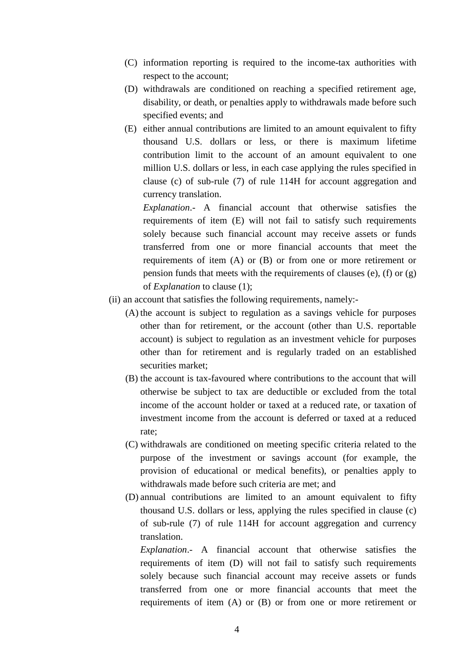- (C) information reporting is required to the income-tax authorities with respect to the account;
- (D) withdrawals are conditioned on reaching a specified retirement age, disability, or death, or penalties apply to withdrawals made before such specified events; and
- (E) either annual contributions are limited to an amount equivalent to fifty thousand U.S. dollars or less, or there is maximum lifetime contribution limit to the account of an amount equivalent to one million U.S. dollars or less, in each case applying the rules specified in clause (c) of sub-rule (7) of rule 114H for account aggregation and currency translation.

*Explanation*.- A financial account that otherwise satisfies the requirements of item (E) will not fail to satisfy such requirements solely because such financial account may receive assets or funds transferred from one or more financial accounts that meet the requirements of item (A) or (B) or from one or more retirement or pension funds that meets with the requirements of clauses (e), (f) or  $(g)$ of *Explanation* to clause (1);

- (ii) an account that satisfies the following requirements, namely:-
	- (A) the account is subject to regulation as a savings vehicle for purposes other than for retirement, or the account (other than U.S. reportable account) is subject to regulation as an investment vehicle for purposes other than for retirement and is regularly traded on an established securities market;
	- (B) the account is tax-favoured where contributions to the account that will otherwise be subject to tax are deductible or excluded from the total income of the account holder or taxed at a reduced rate, or taxation of investment income from the account is deferred or taxed at a reduced rate;
	- (C) withdrawals are conditioned on meeting specific criteria related to the purpose of the investment or savings account (for example, the provision of educational or medical benefits), or penalties apply to withdrawals made before such criteria are met; and
	- (D) annual contributions are limited to an amount equivalent to fifty thousand U.S. dollars or less, applying the rules specified in clause (c) of sub-rule (7) of rule 114H for account aggregation and currency translation.

*Explanation*.- A financial account that otherwise satisfies the requirements of item (D) will not fail to satisfy such requirements solely because such financial account may receive assets or funds transferred from one or more financial accounts that meet the requirements of item (A) or (B) or from one or more retirement or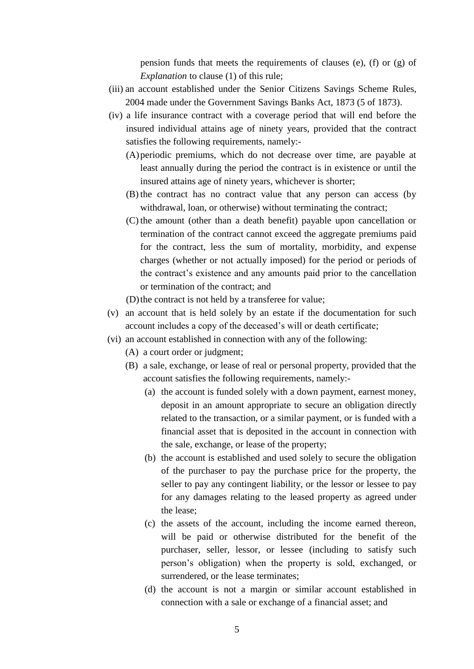pension funds that meets the requirements of clauses (e), (f) or (g) of *Explanation* to clause (1) of this rule;

- (iii) an account established under the Senior Citizens Savings Scheme Rules, 2004 made under the Government Savings Banks Act, 1873 (5 of 1873).
- (iv) a life insurance contract with a coverage period that will end before the insured individual attains age of ninety years, provided that the contract satisfies the following requirements, namely:-
	- (A)periodic premiums, which do not decrease over time, are payable at least annually during the period the contract is in existence or until the insured attains age of ninety years, whichever is shorter;
	- (B) the contract has no contract value that any person can access (by withdrawal, loan, or otherwise) without terminating the contract;
	- (C) the amount (other than a death benefit) payable upon cancellation or termination of the contract cannot exceed the aggregate premiums paid for the contract, less the sum of mortality, morbidity, and expense charges (whether or not actually imposed) for the period or periods of the contract's existence and any amounts paid prior to the cancellation or termination of the contract; and

(D)the contract is not held by a transferee for value;

- (v) an account that is held solely by an estate if the documentation for such account includes a copy of the deceased's will or death certificate;
- (vi) an account established in connection with any of the following:
	- (A) a court order or judgment;
	- (B) a sale, exchange, or lease of real or personal property, provided that the account satisfies the following requirements, namely:-
		- (a) the account is funded solely with a down payment, earnest money, deposit in an amount appropriate to secure an obligation directly related to the transaction, or a similar payment, or is funded with a financial asset that is deposited in the account in connection with the sale, exchange, or lease of the property;
		- (b) the account is established and used solely to secure the obligation of the purchaser to pay the purchase price for the property, the seller to pay any contingent liability, or the lessor or lessee to pay for any damages relating to the leased property as agreed under the lease;
		- (c) the assets of the account, including the income earned thereon, will be paid or otherwise distributed for the benefit of the purchaser, seller, lessor, or lessee (including to satisfy such person's obligation) when the property is sold, exchanged, or surrendered, or the lease terminates;
		- (d) the account is not a margin or similar account established in connection with a sale or exchange of a financial asset; and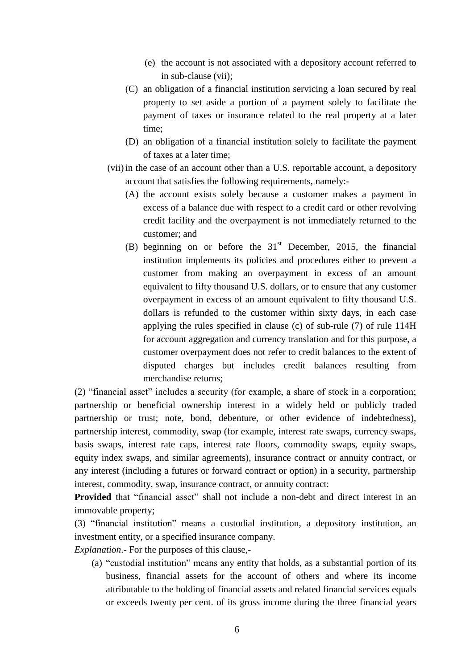- (e) the account is not associated with a depository account referred to in sub-clause (vii);
- (C) an obligation of a financial institution servicing a loan secured by real property to set aside a portion of a payment solely to facilitate the payment of taxes or insurance related to the real property at a later time;
- (D) an obligation of a financial institution solely to facilitate the payment of taxes at a later time;
- (vii)in the case of an account other than a U.S. reportable account, a depository account that satisfies the following requirements, namely:-
	- (A) the account exists solely because a customer makes a payment in excess of a balance due with respect to a credit card or other revolving credit facility and the overpayment is not immediately returned to the customer; and
	- (B) beginning on or before the  $31<sup>st</sup>$  December, 2015, the financial institution implements its policies and procedures either to prevent a customer from making an overpayment in excess of an amount equivalent to fifty thousand U.S. dollars, or to ensure that any customer overpayment in excess of an amount equivalent to fifty thousand U.S. dollars is refunded to the customer within sixty days, in each case applying the rules specified in clause (c) of sub-rule (7) of rule 114H for account aggregation and currency translation and for this purpose, a customer overpayment does not refer to credit balances to the extent of disputed charges but includes credit balances resulting from merchandise returns;

(2) "financial asset" includes a security (for example, a share of stock in a corporation; partnership or beneficial ownership interest in a widely held or publicly traded partnership or trust; note, bond, debenture, or other evidence of indebtedness), partnership interest, commodity, swap (for example, interest rate swaps, currency swaps, basis swaps, interest rate caps, interest rate floors, commodity swaps, equity swaps, equity index swaps, and similar agreements), insurance contract or annuity contract, or any interest (including a futures or forward contract or option) in a security, partnership interest, commodity, swap, insurance contract, or annuity contract:

**Provided** that "financial asset" shall not include a non-debt and direct interest in an immovable property;

(3) "financial institution" means a custodial institution, a depository institution, an investment entity, or a specified insurance company.

*Explanation*.- For the purposes of this clause,-

(a) "custodial institution" means any entity that holds, as a substantial portion of its business, financial assets for the account of others and where its income attributable to the holding of financial assets and related financial services equals or exceeds twenty per cent. of its gross income during the three financial years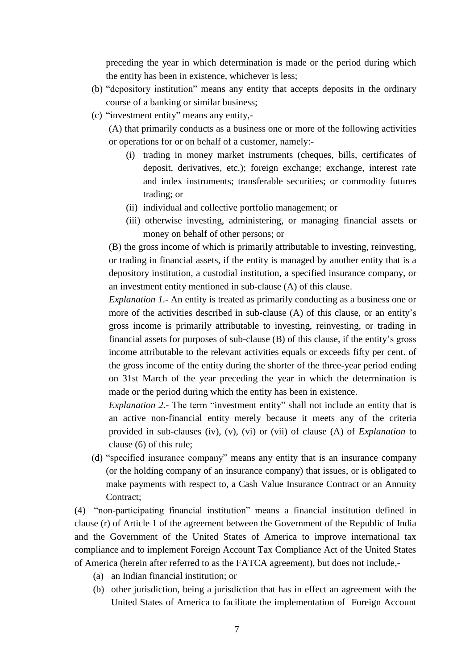preceding the year in which determination is made or the period during which the entity has been in existence, whichever is less;

- (b) "depository institution" means any entity that accepts deposits in the ordinary course of a banking or similar business;
- (c) "investment entity" means any entity,-

(A) that primarily conducts as a business one or more of the following activities or operations for or on behalf of a customer, namely:-

- (i) trading in money market instruments (cheques, bills, certificates of deposit, derivatives, etc.); foreign exchange; exchange, interest rate and index instruments; transferable securities; or commodity futures trading; or
- (ii) individual and collective portfolio management; or
- (iii) otherwise investing, administering, or managing financial assets or money on behalf of other persons; or

(B) the gross income of which is primarily attributable to investing, reinvesting, or trading in financial assets, if the entity is managed by another entity that is a depository institution, a custodial institution, a specified insurance company, or an investment entity mentioned in sub-clause (A) of this clause.

*Explanation 1*.- An entity is treated as primarily conducting as a business one or more of the activities described in sub-clause (A) of this clause, or an entity's gross income is primarily attributable to investing, reinvesting, or trading in financial assets for purposes of sub-clause (B) of this clause, if the entity's gross income attributable to the relevant activities equals or exceeds fifty per cent. of the gross income of the entity during the shorter of the three-year period ending on 31st March of the year preceding the year in which the determination is made or the period during which the entity has been in existence.

*Explanation 2.-* The term "investment entity" shall not include an entity that is an active non-financial entity merely because it meets any of the criteria provided in sub-clauses (iv), (v), (vi) or (vii) of clause (A) of *Explanation* to clause (6) of this rule;

(d) "specified insurance company" means any entity that is an insurance company (or the holding company of an insurance company) that issues, or is obligated to make payments with respect to, a Cash Value Insurance Contract or an Annuity Contract;

(4) "non-participating financial institution" means a financial institution defined in clause (r) of Article 1 of the agreement between the Government of the Republic of India and the Government of the United States of America to improve international tax compliance and to implement Foreign Account Tax Compliance Act of the United States of America (herein after referred to as the FATCA agreement), but does not include,-

- (a) an Indian financial institution; or
- (b) other jurisdiction, being a jurisdiction that has in effect an agreement with the United States of America to facilitate the implementation of Foreign Account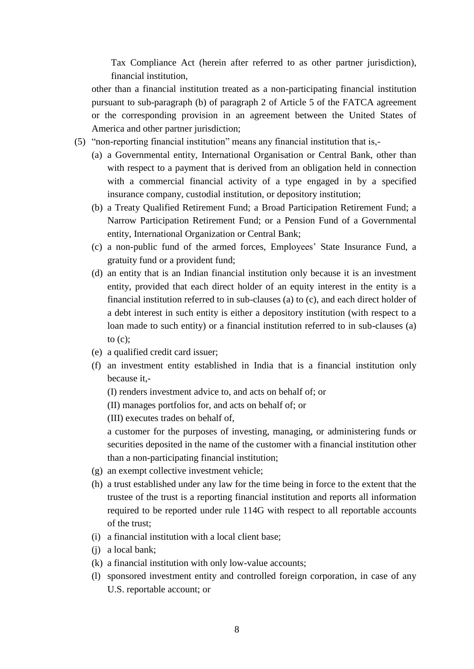Tax Compliance Act (herein after referred to as other partner jurisdiction), financial institution,

other than a financial institution treated as a non-participating financial institution pursuant to sub-paragraph (b) of paragraph 2 of Article 5 of the FATCA agreement or the corresponding provision in an agreement between the United States of America and other partner jurisdiction;

- (5) "non-reporting financial institution" means any financial institution that is,-
	- (a) a Governmental entity, International Organisation or Central Bank, other than with respect to a payment that is derived from an obligation held in connection with a commercial financial activity of a type engaged in by a specified insurance company, custodial institution, or depository institution;
	- (b) a Treaty Qualified Retirement Fund; a Broad Participation Retirement Fund; a Narrow Participation Retirement Fund; or a Pension Fund of a Governmental entity, International Organization or Central Bank;
	- (c) a non-public fund of the armed forces, Employees' State Insurance Fund, a gratuity fund or a provident fund;
	- (d) an entity that is an Indian financial institution only because it is an investment entity, provided that each direct holder of an equity interest in the entity is a financial institution referred to in sub-clauses (a) to (c), and each direct holder of a debt interest in such entity is either a depository institution (with respect to a loan made to such entity) or a financial institution referred to in sub-clauses (a) to  $(c)$ ;
	- (e) a qualified credit card issuer;
	- (f) an investment entity established in India that is a financial institution only because it,-
		- (I) renders investment advice to, and acts on behalf of; or
		- (II) manages portfolios for, and acts on behalf of; or

(III) executes trades on behalf of,

a customer for the purposes of investing, managing, or administering funds or securities deposited in the name of the customer with a financial institution other than a non-participating financial institution;

- (g) an exempt collective investment vehicle;
- (h) a trust established under any law for the time being in force to the extent that the trustee of the trust is a reporting financial institution and reports all information required to be reported under rule 114G with respect to all reportable accounts of the trust;
- (i) a financial institution with a local client base;
- (j) a local bank;
- (k) a financial institution with only low-value accounts;
- (l) sponsored investment entity and controlled foreign corporation, in case of any U.S. reportable account; or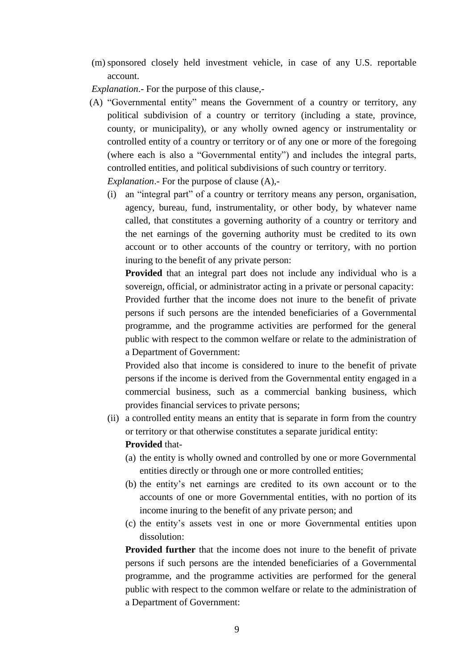(m) sponsored closely held investment vehicle, in case of any U.S. reportable account.

*Explanation*.- For the purpose of this clause,-

(A) "Governmental entity" means the Government of a country or territory, any political subdivision of a country or territory (including a state, province, county, or municipality), or any wholly owned agency or instrumentality or controlled entity of a country or territory or of any one or more of the foregoing (where each is also a "Governmental entity") and includes the integral parts, controlled entities, and political subdivisions of such country or territory.

*Explanation*.- For the purpose of clause (A),-

(i) an "integral part" of a country or territory means any person, organisation, agency, bureau, fund, instrumentality, or other body, by whatever name called, that constitutes a governing authority of a country or territory and the net earnings of the governing authority must be credited to its own account or to other accounts of the country or territory, with no portion inuring to the benefit of any private person:

**Provided** that an integral part does not include any individual who is a sovereign, official, or administrator acting in a private or personal capacity:

Provided further that the income does not inure to the benefit of private persons if such persons are the intended beneficiaries of a Governmental programme, and the programme activities are performed for the general public with respect to the common welfare or relate to the administration of a Department of Government:

Provided also that income is considered to inure to the benefit of private persons if the income is derived from the Governmental entity engaged in a commercial business, such as a commercial banking business, which provides financial services to private persons;

- (ii) a controlled entity means an entity that is separate in form from the country or territory or that otherwise constitutes a separate juridical entity: **Provided** that-
	- (a) the entity is wholly owned and controlled by one or more Governmental entities directly or through one or more controlled entities;
	- (b) the entity's net earnings are credited to its own account or to the accounts of one or more Governmental entities, with no portion of its income inuring to the benefit of any private person; and
	- (c) the entity's assets vest in one or more Governmental entities upon dissolution:

**Provided further** that the income does not inure to the benefit of private persons if such persons are the intended beneficiaries of a Governmental programme, and the programme activities are performed for the general public with respect to the common welfare or relate to the administration of a Department of Government: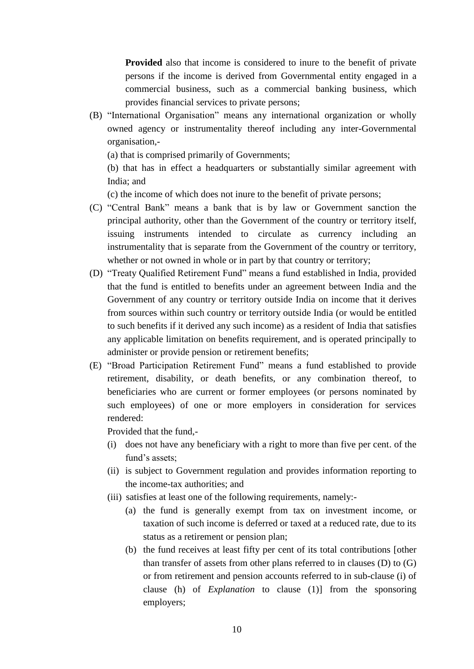**Provided** also that income is considered to inure to the benefit of private persons if the income is derived from Governmental entity engaged in a commercial business, such as a commercial banking business, which provides financial services to private persons;

(B) "International Organisation" means any international organization or wholly owned agency or instrumentality thereof including any inter-Governmental organisation,-

(a) that is comprised primarily of Governments;

(b) that has in effect a headquarters or substantially similar agreement with India; and

(c) the income of which does not inure to the benefit of private persons;

- (C) "Central Bank" means a bank that is by law or Government sanction the principal authority, other than the Government of the country or territory itself, issuing instruments intended to circulate as currency including an instrumentality that is separate from the Government of the country or territory, whether or not owned in whole or in part by that country or territory;
- (D) "Treaty Qualified Retirement Fund" means a fund established in India, provided that the fund is entitled to benefits under an agreement between India and the Government of any country or territory outside India on income that it derives from sources within such country or territory outside India (or would be entitled to such benefits if it derived any such income) as a resident of India that satisfies any applicable limitation on benefits requirement, and is operated principally to administer or provide pension or retirement benefits;
- (E) "Broad Participation Retirement Fund" means a fund established to provide retirement, disability, or death benefits, or any combination thereof, to beneficiaries who are current or former employees (or persons nominated by such employees) of one or more employers in consideration for services rendered:

Provided that the fund,-

- (i) does not have any beneficiary with a right to more than five per cent. of the fund's assets;
- (ii) is subject to Government regulation and provides information reporting to the income-tax authorities; and
- (iii) satisfies at least one of the following requirements, namely:-
	- (a) the fund is generally exempt from tax on investment income, or taxation of such income is deferred or taxed at a reduced rate, due to its status as a retirement or pension plan;
	- (b) the fund receives at least fifty per cent of its total contributions [other than transfer of assets from other plans referred to in clauses (D) to (G) or from retirement and pension accounts referred to in sub-clause (i) of clause (h) of *Explanation* to clause (1)] from the sponsoring employers;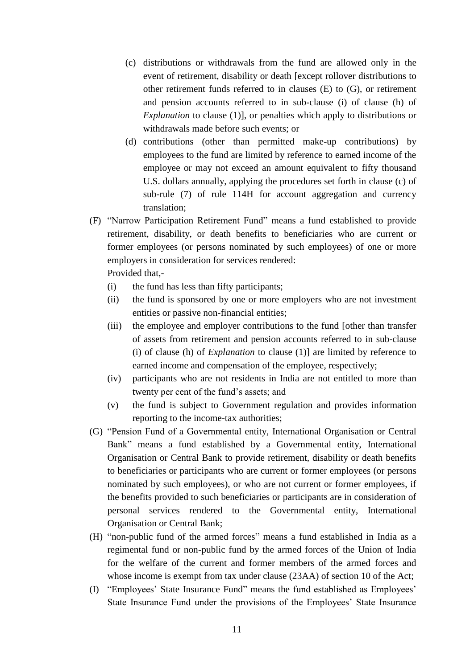- (c) distributions or withdrawals from the fund are allowed only in the event of retirement, disability or death [except rollover distributions to other retirement funds referred to in clauses (E) to (G), or retirement and pension accounts referred to in sub-clause (i) of clause (h) of *Explanation* to clause (1)], or penalties which apply to distributions or withdrawals made before such events; or
- (d) contributions (other than permitted make-up contributions) by employees to the fund are limited by reference to earned income of the employee or may not exceed an amount equivalent to fifty thousand U.S. dollars annually, applying the procedures set forth in clause (c) of sub-rule (7) of rule 114H for account aggregation and currency translation;
- (F) "Narrow Participation Retirement Fund" means a fund established to provide retirement, disability, or death benefits to beneficiaries who are current or former employees (or persons nominated by such employees) of one or more employers in consideration for services rendered:

Provided that,-

- (i) the fund has less than fifty participants;
- (ii) the fund is sponsored by one or more employers who are not investment entities or passive non-financial entities;
- (iii) the employee and employer contributions to the fund [other than transfer of assets from retirement and pension accounts referred to in sub-clause (i) of clause (h) of *Explanation* to clause (1)] are limited by reference to earned income and compensation of the employee, respectively;
- (iv) participants who are not residents in India are not entitled to more than twenty per cent of the fund's assets; and
- (v) the fund is subject to Government regulation and provides information reporting to the income-tax authorities;
- (G) "Pension Fund of a Governmental entity, International Organisation or Central Bank" means a fund established by a Governmental entity, International Organisation or Central Bank to provide retirement, disability or death benefits to beneficiaries or participants who are current or former employees (or persons nominated by such employees), or who are not current or former employees, if the benefits provided to such beneficiaries or participants are in consideration of personal services rendered to the Governmental entity, International Organisation or Central Bank;
- (H) "non-public fund of the armed forces" means a fund established in India as a regimental fund or non-public fund by the armed forces of the Union of India for the welfare of the current and former members of the armed forces and whose income is exempt from tax under clause (23AA) of section 10 of the Act;
- (I) "Employees' State Insurance Fund" means the fund established as Employees' State Insurance Fund under the provisions of the Employees' State Insurance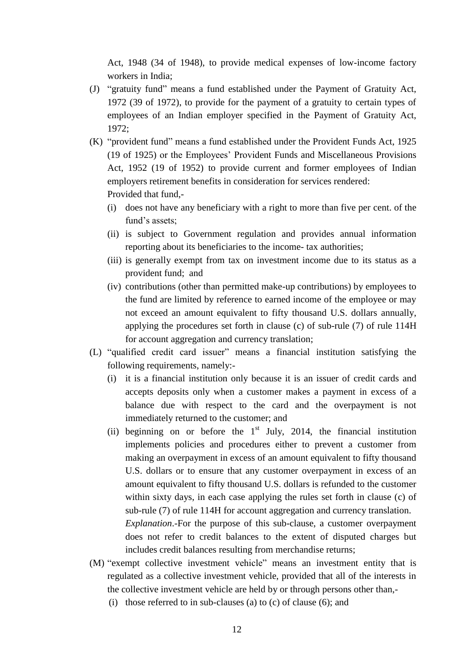Act, 1948 (34 of 1948), to provide medical expenses of low-income factory workers in India;

- (J) "gratuity fund" means a fund established under the Payment of Gratuity Act, 1972 (39 of 1972), to provide for the payment of a gratuity to certain types of employees of an Indian employer specified in the Payment of Gratuity Act, 1972;
- (K) "provident fund" means a fund established under the Provident Funds Act, 1925 (19 of 1925) or the Employees' Provident Funds and Miscellaneous Provisions Act, 1952 (19 of 1952) to provide current and former employees of Indian employers retirement benefits in consideration for services rendered: Provided that fund,-
	- (i) does not have any beneficiary with a right to more than five per cent. of the fund's assets;
	- (ii) is subject to Government regulation and provides annual information reporting about its beneficiaries to the income- tax authorities;
	- (iii) is generally exempt from tax on investment income due to its status as a provident fund; and
	- (iv) contributions (other than permitted make-up contributions) by employees to the fund are limited by reference to earned income of the employee or may not exceed an amount equivalent to fifty thousand U.S. dollars annually, applying the procedures set forth in clause (c) of sub-rule (7) of rule 114H for account aggregation and currency translation;
- (L) "qualified credit card issuer" means a financial institution satisfying the following requirements, namely:-
	- (i) it is a financial institution only because it is an issuer of credit cards and accepts deposits only when a customer makes a payment in excess of a balance due with respect to the card and the overpayment is not immediately returned to the customer; and
	- (ii) beginning on or before the  $1<sup>st</sup>$  July, 2014, the financial institution implements policies and procedures either to prevent a customer from making an overpayment in excess of an amount equivalent to fifty thousand U.S. dollars or to ensure that any customer overpayment in excess of an amount equivalent to fifty thousand U.S. dollars is refunded to the customer within sixty days, in each case applying the rules set forth in clause (c) of sub-rule (7) of rule 114H for account aggregation and currency translation. *Explanation*.-For the purpose of this sub-clause, a customer overpayment does not refer to credit balances to the extent of disputed charges but includes credit balances resulting from merchandise returns;
- (M) "exempt collective investment vehicle" means an investment entity that is regulated as a collective investment vehicle, provided that all of the interests in the collective investment vehicle are held by or through persons other than,-
	- (i) those referred to in sub-clauses (a) to (c) of clause (6); and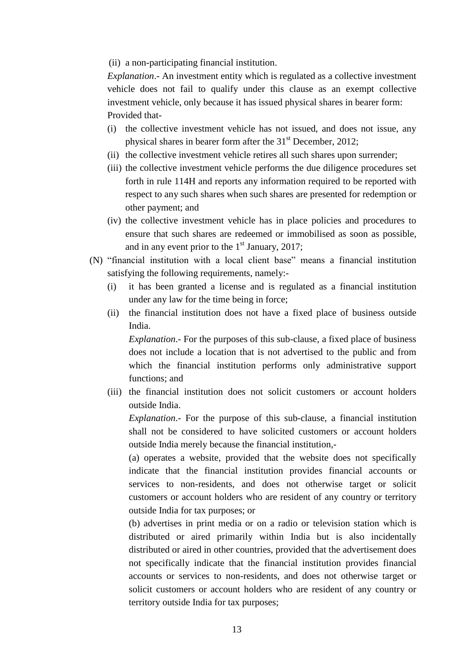(ii) a non-participating financial institution.

*Explanation*.- An investment entity which is regulated as a collective investment vehicle does not fail to qualify under this clause as an exempt collective investment vehicle, only because it has issued physical shares in bearer form: Provided that-

- (i) the collective investment vehicle has not issued, and does not issue, any physical shares in bearer form after the  $31<sup>st</sup>$  December, 2012;
- (ii) the collective investment vehicle retires all such shares upon surrender;
- (iii) the collective investment vehicle performs the due diligence procedures set forth in rule 114H and reports any information required to be reported with respect to any such shares when such shares are presented for redemption or other payment; and
- (iv) the collective investment vehicle has in place policies and procedures to ensure that such shares are redeemed or immobilised as soon as possible, and in any event prior to the  $1<sup>st</sup>$  January, 2017;
- (N) "financial institution with a local client base" means a financial institution satisfying the following requirements, namely:-
	- (i) it has been granted a license and is regulated as a financial institution under any law for the time being in force;
	- (ii) the financial institution does not have a fixed place of business outside India.

*Explanation*.- For the purposes of this sub-clause, a fixed place of business does not include a location that is not advertised to the public and from which the financial institution performs only administrative support functions; and

(iii) the financial institution does not solicit customers or account holders outside India.

*Explanation*.- For the purpose of this sub-clause, a financial institution shall not be considered to have solicited customers or account holders outside India merely because the financial institution,-

(a) operates a website, provided that the website does not specifically indicate that the financial institution provides financial accounts or services to non-residents, and does not otherwise target or solicit customers or account holders who are resident of any country or territory outside India for tax purposes; or

(b) advertises in print media or on a radio or television station which is distributed or aired primarily within India but is also incidentally distributed or aired in other countries, provided that the advertisement does not specifically indicate that the financial institution provides financial accounts or services to non-residents, and does not otherwise target or solicit customers or account holders who are resident of any country or territory outside India for tax purposes;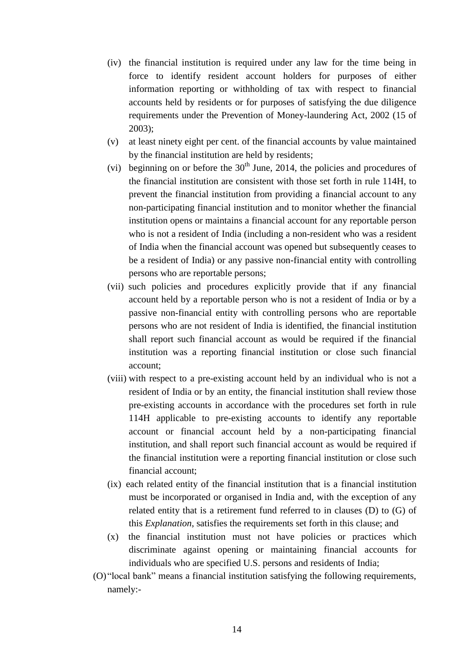- (iv) the financial institution is required under any law for the time being in force to identify resident account holders for purposes of either information reporting or withholding of tax with respect to financial accounts held by residents or for purposes of satisfying the due diligence requirements under the Prevention of Money-laundering Act, 2002 (15 of 2003);
- (v) at least ninety eight per cent. of the financial accounts by value maintained by the financial institution are held by residents;
- (vi) beginning on or before the  $30<sup>th</sup>$  June, 2014, the policies and procedures of the financial institution are consistent with those set forth in rule 114H, to prevent the financial institution from providing a financial account to any non-participating financial institution and to monitor whether the financial institution opens or maintains a financial account for any reportable person who is not a resident of India (including a non-resident who was a resident of India when the financial account was opened but subsequently ceases to be a resident of India) or any passive non-financial entity with controlling persons who are reportable persons;
- (vii) such policies and procedures explicitly provide that if any financial account held by a reportable person who is not a resident of India or by a passive non-financial entity with controlling persons who are reportable persons who are not resident of India is identified, the financial institution shall report such financial account as would be required if the financial institution was a reporting financial institution or close such financial account;
- (viii) with respect to a pre-existing account held by an individual who is not a resident of India or by an entity, the financial institution shall review those pre-existing accounts in accordance with the procedures set forth in rule 114H applicable to pre-existing accounts to identify any reportable account or financial account held by a non-participating financial institution, and shall report such financial account as would be required if the financial institution were a reporting financial institution or close such financial account;
- (ix) each related entity of the financial institution that is a financial institution must be incorporated or organised in India and, with the exception of any related entity that is a retirement fund referred to in clauses (D) to (G) of this *Explanation*, satisfies the requirements set forth in this clause; and
- (x) the financial institution must not have policies or practices which discriminate against opening or maintaining financial accounts for individuals who are specified U.S. persons and residents of India;
- (O) "local bank" means a financial institution satisfying the following requirements, namely:-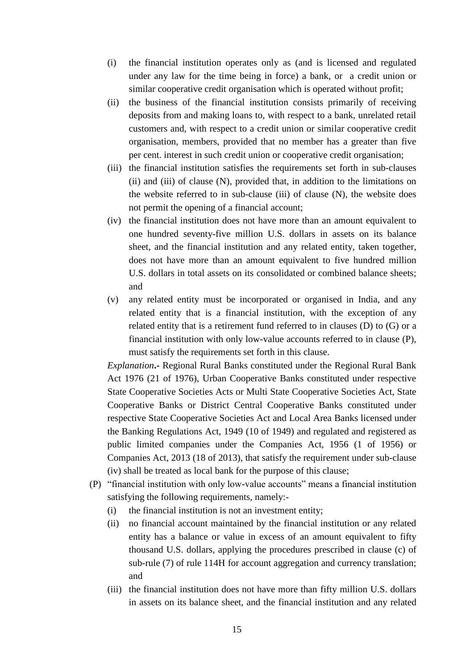- (i) the financial institution operates only as (and is licensed and regulated under any law for the time being in force) a bank, or a credit union or similar cooperative credit organisation which is operated without profit;
- (ii) the business of the financial institution consists primarily of receiving deposits from and making loans to, with respect to a bank, unrelated retail customers and, with respect to a credit union or similar cooperative credit organisation, members, provided that no member has a greater than five per cent. interest in such credit union or cooperative credit organisation;
- (iii) the financial institution satisfies the requirements set forth in sub-clauses (ii) and (iii) of clause (N), provided that, in addition to the limitations on the website referred to in sub-clause (iii) of clause (N), the website does not permit the opening of a financial account;
- (iv) the financial institution does not have more than an amount equivalent to one hundred seventy-five million U.S. dollars in assets on its balance sheet, and the financial institution and any related entity, taken together, does not have more than an amount equivalent to five hundred million U.S. dollars in total assets on its consolidated or combined balance sheets; and
- (v) any related entity must be incorporated or organised in India, and any related entity that is a financial institution, with the exception of any related entity that is a retirement fund referred to in clauses (D) to (G) or a financial institution with only low-value accounts referred to in clause (P), must satisfy the requirements set forth in this clause.

*Explanation***.-** Regional Rural Banks constituted under the Regional Rural Bank Act 1976 (21 of 1976), Urban Cooperative Banks constituted under respective State Cooperative Societies Acts or Multi State Cooperative Societies Act, State Cooperative Banks or District Central Cooperative Banks constituted under respective State Cooperative Societies Act and Local Area Banks licensed under the Banking Regulations Act, 1949 (10 of 1949) and regulated and registered as public limited companies under the Companies Act, 1956 (1 of 1956) or Companies Act, 2013 (18 of 2013), that satisfy the requirement under sub-clause (iv) shall be treated as local bank for the purpose of this clause;

- (P) "financial institution with only low-value accounts" means a financial institution satisfying the following requirements, namely:-
	- (i) the financial institution is not an investment entity;
	- (ii) no financial account maintained by the financial institution or any related entity has a balance or value in excess of an amount equivalent to fifty thousand U.S. dollars, applying the procedures prescribed in clause (c) of sub-rule (7) of rule 114H for account aggregation and currency translation; and
	- (iii) the financial institution does not have more than fifty million U.S. dollars in assets on its balance sheet, and the financial institution and any related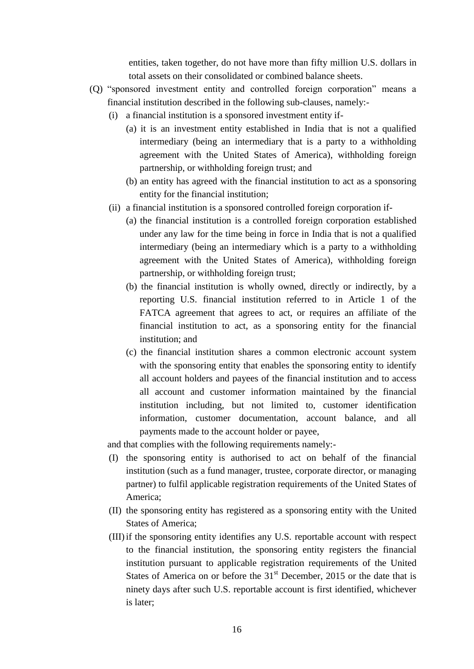entities, taken together, do not have more than fifty million U.S. dollars in total assets on their consolidated or combined balance sheets.

- (Q) "sponsored investment entity and controlled foreign corporation" means a financial institution described in the following sub-clauses, namely:-
	- (i) a financial institution is a sponsored investment entity if-
		- (a) it is an investment entity established in India that is not a qualified intermediary (being an intermediary that is a party to a withholding agreement with the United States of America), withholding foreign partnership, or withholding foreign trust; and
		- (b) an entity has agreed with the financial institution to act as a sponsoring entity for the financial institution;
	- (ii) a financial institution is a sponsored controlled foreign corporation if-
		- (a) the financial institution is a controlled foreign corporation established under any law for the time being in force in India that is not a qualified intermediary (being an intermediary which is a party to a withholding agreement with the United States of America), withholding foreign partnership, or withholding foreign trust;
		- (b) the financial institution is wholly owned, directly or indirectly, by a reporting U.S. financial institution referred to in Article 1 of the FATCA agreement that agrees to act, or requires an affiliate of the financial institution to act, as a sponsoring entity for the financial institution; and
		- (c) the financial institution shares a common electronic account system with the sponsoring entity that enables the sponsoring entity to identify all account holders and payees of the financial institution and to access all account and customer information maintained by the financial institution including, but not limited to, customer identification information, customer documentation, account balance, and all payments made to the account holder or payee,

and that complies with the following requirements namely:-

- (I) the sponsoring entity is authorised to act on behalf of the financial institution (such as a fund manager, trustee, corporate director, or managing partner) to fulfil applicable registration requirements of the United States of America;
- (II) the sponsoring entity has registered as a sponsoring entity with the United States of America;
- (III)if the sponsoring entity identifies any U.S. reportable account with respect to the financial institution, the sponsoring entity registers the financial institution pursuant to applicable registration requirements of the United States of America on or before the  $31<sup>st</sup>$  December, 2015 or the date that is ninety days after such U.S. reportable account is first identified, whichever is later;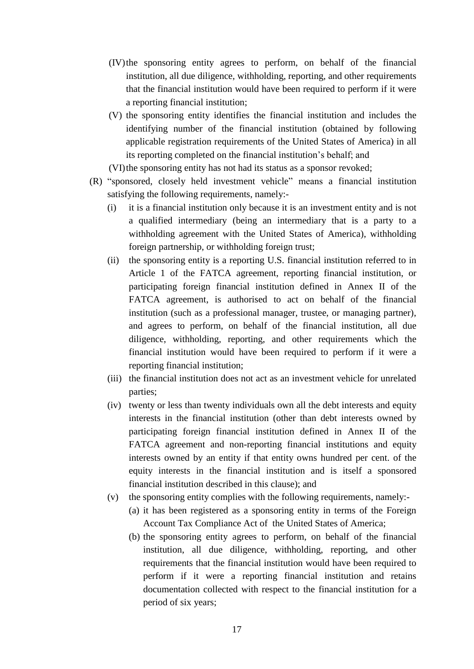- (IV)the sponsoring entity agrees to perform, on behalf of the financial institution, all due diligence, withholding, reporting, and other requirements that the financial institution would have been required to perform if it were a reporting financial institution;
- (V) the sponsoring entity identifies the financial institution and includes the identifying number of the financial institution (obtained by following applicable registration requirements of the United States of America) in all its reporting completed on the financial institution's behalf; and

(VI)the sponsoring entity has not had its status as a sponsor revoked;

- (R) "sponsored, closely held investment vehicle" means a financial institution satisfying the following requirements, namely:-
	- (i) it is a financial institution only because it is an investment entity and is not a qualified intermediary (being an intermediary that is a party to a withholding agreement with the United States of America), withholding foreign partnership, or withholding foreign trust;
	- (ii) the sponsoring entity is a reporting U.S. financial institution referred to in Article 1 of the FATCA agreement, reporting financial institution, or participating foreign financial institution defined in Annex II of the FATCA agreement, is authorised to act on behalf of the financial institution (such as a professional manager, trustee, or managing partner), and agrees to perform, on behalf of the financial institution, all due diligence, withholding, reporting, and other requirements which the financial institution would have been required to perform if it were a reporting financial institution;
	- (iii) the financial institution does not act as an investment vehicle for unrelated parties;
	- (iv) twenty or less than twenty individuals own all the debt interests and equity interests in the financial institution (other than debt interests owned by participating foreign financial institution defined in Annex II of the FATCA agreement and non-reporting financial institutions and equity interests owned by an entity if that entity owns hundred per cent. of the equity interests in the financial institution and is itself a sponsored financial institution described in this clause); and
	- (v) the sponsoring entity complies with the following requirements, namely:-
		- (a) it has been registered as a sponsoring entity in terms of the Foreign Account Tax Compliance Act of the United States of America;
		- (b) the sponsoring entity agrees to perform, on behalf of the financial institution, all due diligence, withholding, reporting, and other requirements that the financial institution would have been required to perform if it were a reporting financial institution and retains documentation collected with respect to the financial institution for a period of six years;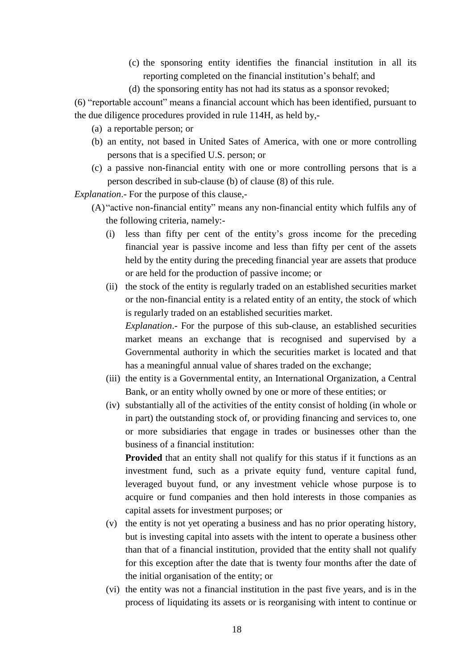- (c) the sponsoring entity identifies the financial institution in all its reporting completed on the financial institution's behalf; and
- (d) the sponsoring entity has not had its status as a sponsor revoked;

(6) "reportable account" means a financial account which has been identified, pursuant to the due diligence procedures provided in rule 114H, as held by,-

- (a) a reportable person; or
- (b) an entity, not based in United Sates of America, with one or more controlling persons that is a specified U.S. person; or
- (c) a passive non-financial entity with one or more controlling persons that is a person described in sub-clause (b) of clause (8) of this rule.

*Explanation*.- For the purpose of this clause,-

- (A) "active non-financial entity" means any non-financial entity which fulfils any of the following criteria, namely:-
	- (i) less than fifty per cent of the entity's gross income for the preceding financial year is passive income and less than fifty per cent of the assets held by the entity during the preceding financial year are assets that produce or are held for the production of passive income; or
	- (ii) the stock of the entity is regularly traded on an established securities market or the non-financial entity is a related entity of an entity, the stock of which is regularly traded on an established securities market.

*Explanation*.- For the purpose of this sub-clause, an established securities market means an exchange that is recognised and supervised by a Governmental authority in which the securities market is located and that has a meaningful annual value of shares traded on the exchange;

- (iii) the entity is a Governmental entity, an International Organization, a Central Bank, or an entity wholly owned by one or more of these entities; or
- (iv) substantially all of the activities of the entity consist of holding (in whole or in part) the outstanding stock of, or providing financing and services to, one or more subsidiaries that engage in trades or businesses other than the business of a financial institution:

**Provided** that an entity shall not qualify for this status if it functions as an investment fund, such as a private equity fund, venture capital fund, leveraged buyout fund, or any investment vehicle whose purpose is to acquire or fund companies and then hold interests in those companies as capital assets for investment purposes; or

- (v) the entity is not yet operating a business and has no prior operating history, but is investing capital into assets with the intent to operate a business other than that of a financial institution, provided that the entity shall not qualify for this exception after the date that is twenty four months after the date of the initial organisation of the entity; or
- (vi) the entity was not a financial institution in the past five years, and is in the process of liquidating its assets or is reorganising with intent to continue or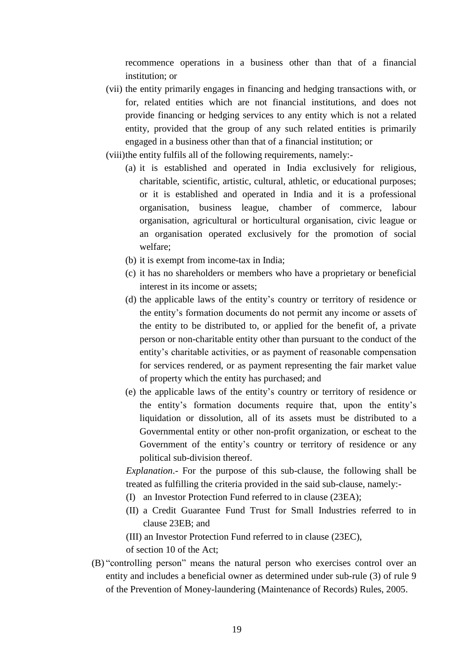recommence operations in a business other than that of a financial institution; or

- (vii) the entity primarily engages in financing and hedging transactions with, or for, related entities which are not financial institutions, and does not provide financing or hedging services to any entity which is not a related entity, provided that the group of any such related entities is primarily engaged in a business other than that of a financial institution; or
- (viii)the entity fulfils all of the following requirements, namely:-
	- (a) it is established and operated in India exclusively for religious, charitable, scientific, artistic, cultural, athletic, or educational purposes; or it is established and operated in India and it is a professional organisation, business league, chamber of commerce, labour organisation, agricultural or horticultural organisation, civic league or an organisation operated exclusively for the promotion of social welfare;
	- (b) it is exempt from income-tax in India;
	- (c) it has no shareholders or members who have a proprietary or beneficial interest in its income or assets;
	- (d) the applicable laws of the entity's country or territory of residence or the entity's formation documents do not permit any income or assets of the entity to be distributed to, or applied for the benefit of, a private person or non-charitable entity other than pursuant to the conduct of the entity's charitable activities, or as payment of reasonable compensation for services rendered, or as payment representing the fair market value of property which the entity has purchased; and
	- (e) the applicable laws of the entity's country or territory of residence or the entity's formation documents require that, upon the entity's liquidation or dissolution, all of its assets must be distributed to a Governmental entity or other non-profit organization, or escheat to the Government of the entity's country or territory of residence or any political sub-division thereof.

*Explanation*.- For the purpose of this sub-clause, the following shall be treated as fulfilling the criteria provided in the said sub-clause, namely:-

- (I) an Investor Protection Fund referred to in clause (23EA);
- (II) a Credit Guarantee Fund Trust for Small Industries referred to in clause 23EB; and
- (III) an Investor Protection Fund referred to in clause (23EC),

of section 10 of the Act;

(B) "controlling person" means the natural person who exercises control over an entity and includes a beneficial owner as determined under sub-rule (3) of rule 9 of the Prevention of Money-laundering (Maintenance of Records) Rules, 2005.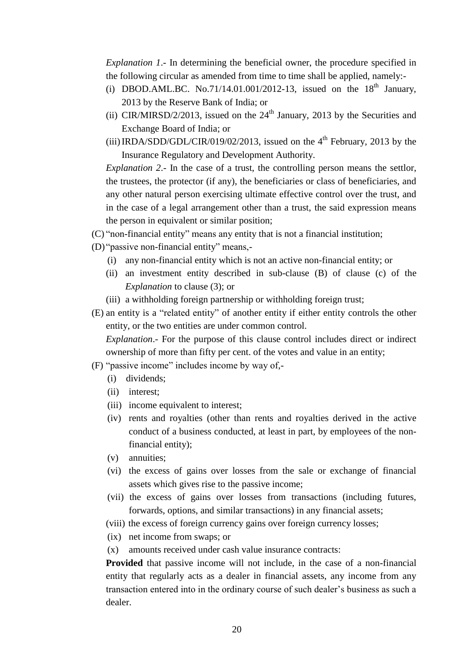*Explanation 1*.- In determining the beneficial owner, the procedure specified in the following circular as amended from time to time shall be applied, namely:-

- (i) DBOD.AML.BC. No.71/14.01.001/2012-13, issued on the  $18<sup>th</sup>$  January, 2013 by the Reserve Bank of India; or
- (ii) CIR/MIRSD/2/2013, issued on the  $24<sup>th</sup>$  January, 2013 by the Securities and Exchange Board of India; or
- (iii) IRDA/SDD/GDL/CIR/019/02/2013, issued on the  $4<sup>th</sup>$  February, 2013 by the Insurance Regulatory and Development Authority.

*Explanation 2*.- In the case of a trust, the controlling person means the settlor, the trustees, the protector (if any), the beneficiaries or class of beneficiaries, and any other natural person exercising ultimate effective control over the trust, and in the case of a legal arrangement other than a trust, the said expression means the person in equivalent or similar position;

- (C) "non-financial entity" means any entity that is not a financial institution;
- (D) "passive non-financial entity" means,-
	- (i) any non-financial entity which is not an active non-financial entity; or
	- (ii) an investment entity described in sub-clause (B) of clause (c) of the *Explanation* to clause (3); or
	- (iii) a withholding foreign partnership or withholding foreign trust;
- (E) an entity is a "related entity" of another entity if either entity controls the other entity, or the two entities are under common control.

*Explanation*.- For the purpose of this clause control includes direct or indirect ownership of more than fifty per cent. of the votes and value in an entity;

- (F) "passive income" includes income by way of,-
	- (i) dividends;
	- (ii) interest;
	- (iii) income equivalent to interest;
	- (iv) rents and royalties (other than rents and royalties derived in the active conduct of a business conducted, at least in part, by employees of the nonfinancial entity);
	- (v) annuities;
	- (vi) the excess of gains over losses from the sale or exchange of financial assets which gives rise to the passive income;
	- (vii) the excess of gains over losses from transactions (including futures, forwards, options, and similar transactions) in any financial assets;
	- (viii) the excess of foreign currency gains over foreign currency losses;
	- (ix) net income from swaps; or
	- (x) amounts received under cash value insurance contracts:

**Provided** that passive income will not include, in the case of a non-financial entity that regularly acts as a dealer in financial assets, any income from any transaction entered into in the ordinary course of such dealer's business as such a dealer.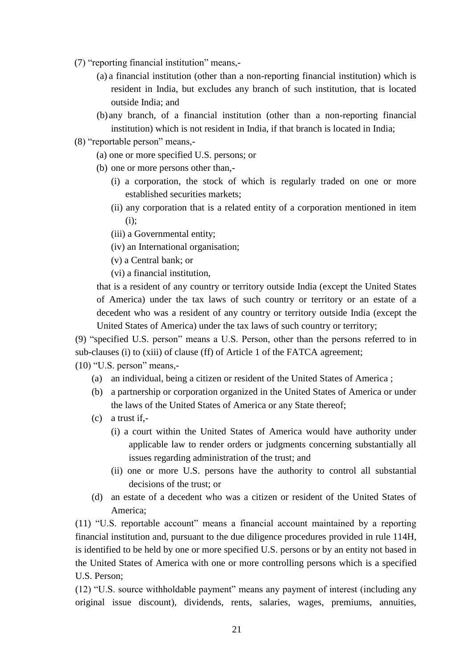- (7) "reporting financial institution" means,-
	- (a) a financial institution (other than a non-reporting financial institution) which is resident in India, but excludes any branch of such institution, that is located outside India; and
	- (b)any branch, of a financial institution (other than a non-reporting financial institution) which is not resident in India, if that branch is located in India;
- (8) "reportable person" means,-
	- (a) one or more specified U.S. persons; or
	- (b) one or more persons other than,-
		- (i) a corporation, the stock of which is regularly traded on one or more established securities markets;
		- (ii) any corporation that is a related entity of a corporation mentioned in item (i);
		- (iii) a Governmental entity;
		- (iv) an International organisation;
		- (v) a Central bank; or
		- (vi) a financial institution,

that is a resident of any country or territory outside India (except the United States of America) under the tax laws of such country or territory or an estate of a decedent who was a resident of any country or territory outside India (except the United States of America) under the tax laws of such country or territory;

(9) "specified U.S. person" means a U.S. Person, other than the persons referred to in sub-clauses (i) to (xiii) of clause (ff) of Article 1 of the FATCA agreement;

(10) "U.S. person" means,-

- (a) an individual, being a citizen or resident of the United States of America ;
- (b) a partnership or corporation organized in the United States of America or under the laws of the United States of America or any State thereof;
- (c) a trust if,-
	- (i) a court within the United States of America would have authority under applicable law to render orders or judgments concerning substantially all issues regarding administration of the trust; and
	- (ii) one or more U.S. persons have the authority to control all substantial decisions of the trust; or
- (d) an estate of a decedent who was a citizen or resident of the United States of America;

(11) "U.S. reportable account" means a financial account maintained by a reporting financial institution and, pursuant to the due diligence procedures provided in rule 114H, is identified to be held by one or more specified U.S. persons or by an entity not based in the United States of America with one or more controlling persons which is a specified U.S. Person;

(12) "U.S. source withholdable payment" means any payment of interest (including any original issue discount), dividends, rents, salaries, wages, premiums, annuities,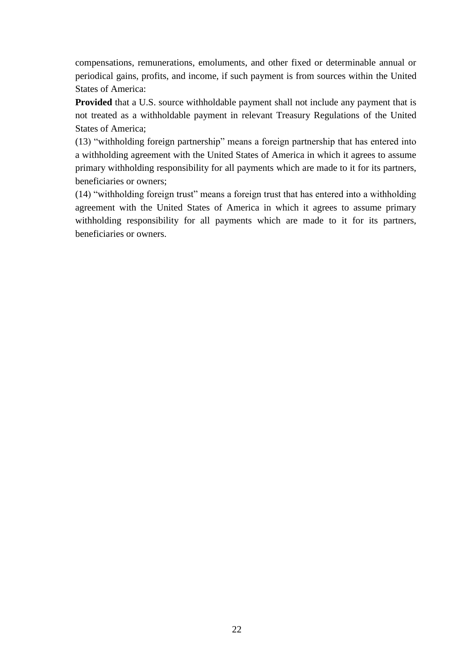compensations, remunerations, emoluments, and other fixed or determinable annual or periodical gains, profits, and income, if such payment is from sources within the United States of America:

Provided that a U.S. source withholdable payment shall not include any payment that is not treated as a withholdable payment in relevant Treasury Regulations of the United States of America;

(13) "withholding foreign partnership" means a foreign partnership that has entered into a withholding agreement with the United States of America in which it agrees to assume primary withholding responsibility for all payments which are made to it for its partners, beneficiaries or owners;

(14) "withholding foreign trust" means a foreign trust that has entered into a withholding agreement with the United States of America in which it agrees to assume primary withholding responsibility for all payments which are made to it for its partners, beneficiaries or owners.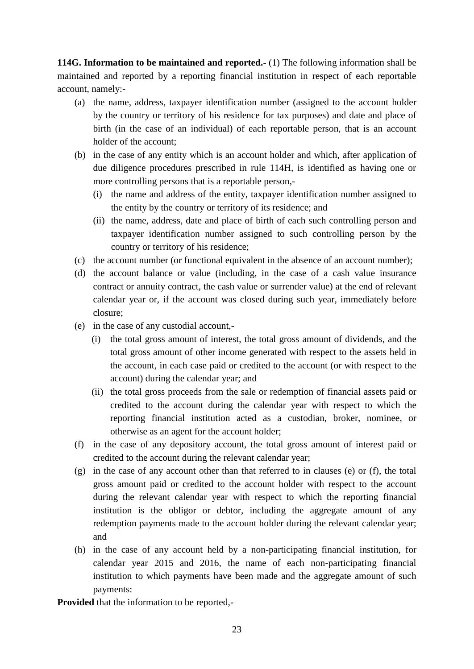**114G. Information to be maintained and reported.-** (1) The following information shall be maintained and reported by a reporting financial institution in respect of each reportable account, namely:-

- (a) the name, address, taxpayer identification number (assigned to the account holder by the country or territory of his residence for tax purposes) and date and place of birth (in the case of an individual) of each reportable person, that is an account holder of the account;
- (b) in the case of any entity which is an account holder and which, after application of due diligence procedures prescribed in rule 114H, is identified as having one or more controlling persons that is a reportable person,-
	- (i) the name and address of the entity, taxpayer identification number assigned to the entity by the country or territory of its residence; and
	- (ii) the name, address, date and place of birth of each such controlling person and taxpayer identification number assigned to such controlling person by the country or territory of his residence;
- (c) the account number (or functional equivalent in the absence of an account number);
- (d) the account balance or value (including, in the case of a cash value insurance contract or annuity contract, the cash value or surrender value) at the end of relevant calendar year or, if the account was closed during such year, immediately before closure;
- (e) in the case of any custodial account,-
	- (i) the total gross amount of interest, the total gross amount of dividends, and the total gross amount of other income generated with respect to the assets held in the account, in each case paid or credited to the account (or with respect to the account) during the calendar year; and
	- (ii) the total gross proceeds from the sale or redemption of financial assets paid or credited to the account during the calendar year with respect to which the reporting financial institution acted as a custodian, broker, nominee, or otherwise as an agent for the account holder;
- (f) in the case of any depository account, the total gross amount of interest paid or credited to the account during the relevant calendar year;
- (g) in the case of any account other than that referred to in clauses (e) or (f), the total gross amount paid or credited to the account holder with respect to the account during the relevant calendar year with respect to which the reporting financial institution is the obligor or debtor, including the aggregate amount of any redemption payments made to the account holder during the relevant calendar year; and
- (h) in the case of any account held by a non-participating financial institution, for calendar year 2015 and 2016, the name of each non-participating financial institution to which payments have been made and the aggregate amount of such payments:

**Provided** that the information to be reported,-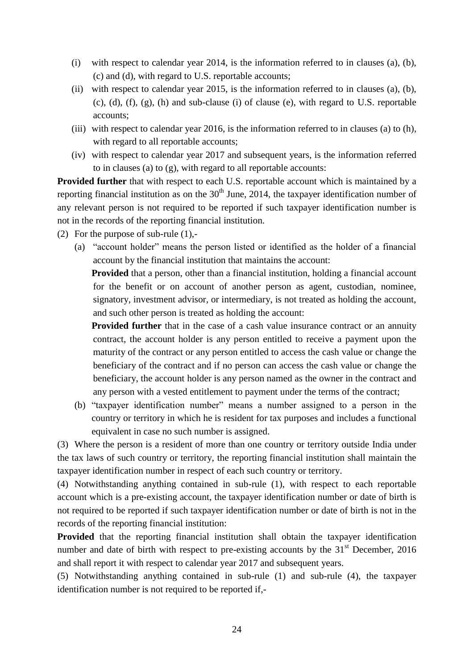- (i) with respect to calendar year 2014, is the information referred to in clauses (a), (b), (c) and (d), with regard to U.S. reportable accounts;
- (ii) with respect to calendar year 2015, is the information referred to in clauses (a), (b), (c), (d), (f), (g), (h) and sub-clause (i) of clause (e), with regard to U.S. reportable accounts;
- (iii) with respect to calendar year 2016, is the information referred to in clauses (a) to (h), with regard to all reportable accounts;
- (iv) with respect to calendar year 2017 and subsequent years, is the information referred to in clauses (a) to (g), with regard to all reportable accounts:

**Provided further** that with respect to each U.S. reportable account which is maintained by a reporting financial institution as on the  $30<sup>th</sup>$  June, 2014, the taxpayer identification number of any relevant person is not required to be reported if such taxpayer identification number is not in the records of the reporting financial institution.

- (2) For the purpose of sub-rule (1),-
	- (a) "account holder" means the person listed or identified as the holder of a financial account by the financial institution that maintains the account:

**Provided** that a person, other than a financial institution, holding a financial account for the benefit or on account of another person as agent, custodian, nominee, signatory, investment advisor, or intermediary, is not treated as holding the account, and such other person is treated as holding the account:

**Provided further** that in the case of a cash value insurance contract or an annuity contract, the account holder is any person entitled to receive a payment upon the maturity of the contract or any person entitled to access the cash value or change the beneficiary of the contract and if no person can access the cash value or change the beneficiary, the account holder is any person named as the owner in the contract and any person with a vested entitlement to payment under the terms of the contract;

(b) "taxpayer identification number" means a number assigned to a person in the country or territory in which he is resident for tax purposes and includes a functional equivalent in case no such number is assigned.

(3) Where the person is a resident of more than one country or territory outside India under the tax laws of such country or territory, the reporting financial institution shall maintain the taxpayer identification number in respect of each such country or territory.

(4) Notwithstanding anything contained in sub-rule (1), with respect to each reportable account which is a pre-existing account, the taxpayer identification number or date of birth is not required to be reported if such taxpayer identification number or date of birth is not in the records of the reporting financial institution:

**Provided** that the reporting financial institution shall obtain the taxpayer identification number and date of birth with respect to pre-existing accounts by the  $31<sup>st</sup>$  December, 2016 and shall report it with respect to calendar year 2017 and subsequent years.

(5) Notwithstanding anything contained in sub-rule (1) and sub-rule (4), the taxpayer identification number is not required to be reported if,-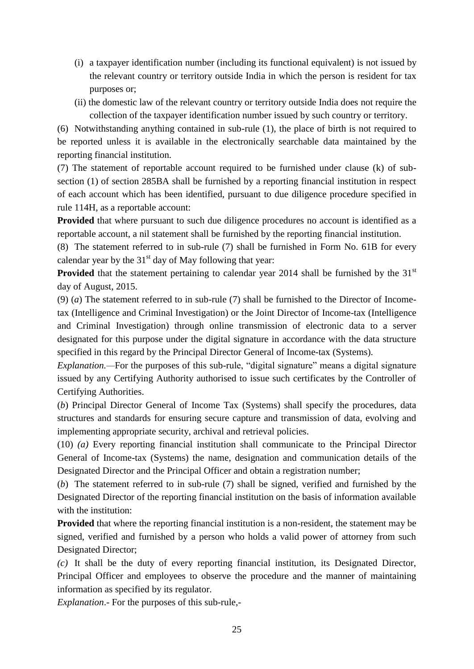- (i) a taxpayer identification number (including its functional equivalent) is not issued by the relevant country or territory outside India in which the person is resident for tax purposes or;
- (ii) the domestic law of the relevant country or territory outside India does not require the collection of the taxpayer identification number issued by such country or territory.

(6) Notwithstanding anything contained in sub-rule (1), the place of birth is not required to be reported unless it is available in the electronically searchable data maintained by the reporting financial institution.

(7) The statement of reportable account required to be furnished under clause (k) of subsection (1) of section 285BA shall be furnished by a reporting financial institution in respect of each account which has been identified, pursuant to due diligence procedure specified in rule 114H, as a reportable account:

**Provided** that where pursuant to such due diligence procedures no account is identified as a reportable account, a nil statement shall be furnished by the reporting financial institution.

(8) The statement referred to in sub-rule (7) shall be furnished in [Form No. 61B](javascript:showForm() for every calendar year by the  $31<sup>st</sup>$  day of May following that year:

**Provided** that the statement pertaining to calendar year 2014 shall be furnished by the 31<sup>st</sup> day of August, 2015.

(9) (*a*) The statement referred to in sub-rule (7) shall be furnished to the Director of Incometax (Intelligence and Criminal Investigation) or the Joint Director of Income-tax (Intelligence and Criminal Investigation) through online transmission of electronic data to a server designated for this purpose under the digital signature in accordance with the data structure specified in this regard by the Principal Director General of Income-tax (Systems).

*Explanation.—*For the purposes of this sub-rule, "digital signature" means a digital signature issued by any Certifying Authority authorised to issue such certificates by the Controller of Certifying Authorities.

(*b*) Principal Director General of Income Tax (Systems) shall specify the procedures, data structures and standards for ensuring secure capture and transmission of data, evolving and implementing appropriate security, archival and retrieval policies.

(10) *(a)* Every reporting financial institution shall communicate to the Principal Director General of Income-tax (Systems) the name, designation and communication details of the Designated Director and the Principal Officer and obtain a registration number;

(*b*) The statement referred to in sub-rule (7) shall be signed, verified and furnished by the Designated Director of the reporting financial institution on the basis of information available with the institution:

**Provided** that where the reporting financial institution is a non-resident, the statement may be signed, verified and furnished by a person who holds a valid power of attorney from such Designated Director;

*(c)* It shall be the duty of every reporting financial institution, its Designated Director, Principal Officer and employees to observe the procedure and the manner of maintaining information as specified by its regulator.

*Explanation*.- For the purposes of this sub-rule,-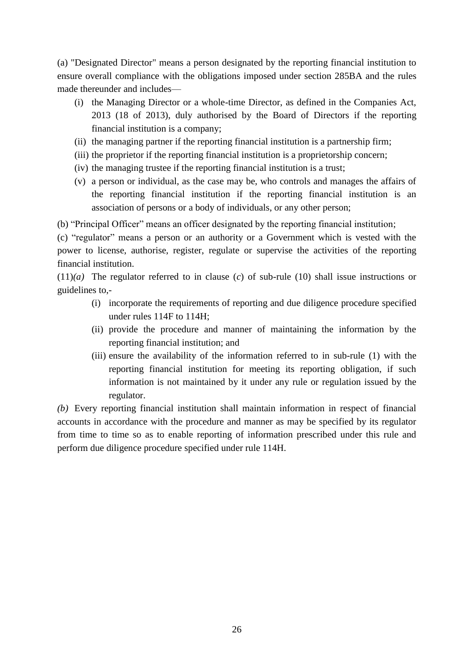(a) "Designated Director" means a person designated by the reporting financial institution to ensure overall compliance with the obligations imposed under section 285BA and the rules made thereunder and includes—

- (i) the Managing Director or a whole-time Director, as defined in the Companies Act, 2013 (18 of 2013), duly authorised by the Board of Directors if the reporting financial institution is a company;
- (ii) the managing partner if the reporting financial institution is a partnership firm;
- (iii) the proprietor if the reporting financial institution is a proprietorship concern;
- (iv) the managing trustee if the reporting financial institution is a trust;
- (v) a person or individual, as the case may be, who controls and manages the affairs of the reporting financial institution if the reporting financial institution is an association of persons or a body of individuals, or any other person;

(b) "Principal Officer" means an officer designated by the reporting financial institution;

(c) "regulator" means a person or an authority or a Government which is vested with the power to license, authorise, register, regulate or supervise the activities of the reporting financial institution.

(11)*(a)* The regulator referred to in clause (*c*) of sub-rule (10) shall issue instructions or guidelines to,-

- (i) incorporate the requirements of reporting and due diligence procedure specified under rules 114F to 114H;
- (ii) provide the procedure and manner of maintaining the information by the reporting financial institution; and
- (iii) ensure the availability of the information referred to in sub-rule (1) with the reporting financial institution for meeting its reporting obligation, if such information is not maintained by it under any rule or regulation issued by the regulator.

*(b)* Every reporting financial institution shall maintain information in respect of financial accounts in accordance with the procedure and manner as may be specified by its regulator from time to time so as to enable reporting of information prescribed under this rule and perform due diligence procedure specified under rule 114H.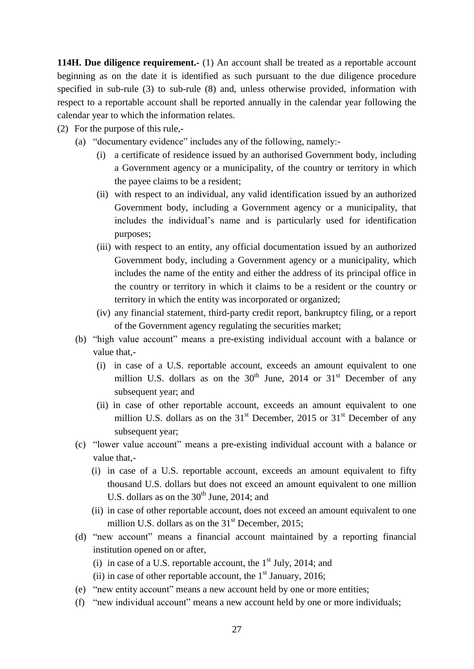**114H. Due diligence requirement.**- (1) An account shall be treated as a reportable account beginning as on the date it is identified as such pursuant to the due diligence procedure specified in sub-rule (3) to sub-rule (8) and, unless otherwise provided, information with respect to a reportable account shall be reported annually in the calendar year following the calendar year to which the information relates.

- (2) For the purpose of this rule,-
	- (a) "documentary evidence" includes any of the following, namely:-
		- (i) a certificate of residence issued by an authorised Government body, including a Government agency or a municipality, of the country or territory in which the payee claims to be a resident;
		- (ii) with respect to an individual, any valid identification issued by an authorized Government body, including a Government agency or a municipality, that includes the individual's name and is particularly used for identification purposes;
		- (iii) with respect to an entity, any official documentation issued by an authorized Government body, including a Government agency or a municipality, which includes the name of the entity and either the address of its principal office in the country or territory in which it claims to be a resident or the country or territory in which the entity was incorporated or organized;
		- (iv) any financial statement, third-party credit report, bankruptcy filing, or a report of the Government agency regulating the securities market;
	- (b) "high value account" means a pre-existing individual account with a balance or value that,-
		- (i) in case of a U.S. reportable account, exceeds an amount equivalent to one million U.S. dollars as on the  $30<sup>th</sup>$  June, 2014 or  $31<sup>st</sup>$  December of any subsequent year; and
		- (ii) in case of other reportable account, exceeds an amount equivalent to one million U.S. dollars as on the  $31<sup>st</sup>$  December, 2015 or  $31<sup>st</sup>$  December of any subsequent year;
	- (c) "lower value account" means a pre-existing individual account with a balance or value that,-
		- (i) in case of a U.S. reportable account, exceeds an amount equivalent to fifty thousand U.S. dollars but does not exceed an amount equivalent to one million U.S. dollars as on the  $30<sup>th</sup>$  June, 2014; and
		- (ii) in case of other reportable account, does not exceed an amount equivalent to one million U.S. dollars as on the  $31<sup>st</sup>$  December, 2015;
	- (d) "new account" means a financial account maintained by a reporting financial institution opened on or after,
		- (i) in case of a U.S. reportable account, the  $1<sup>st</sup>$  July, 2014; and
		- (ii) in case of other reportable account, the  $1<sup>st</sup>$  January, 2016;
	- (e) "new entity account" means a new account held by one or more entities;
	- (f) "new individual account" means a new account held by one or more individuals;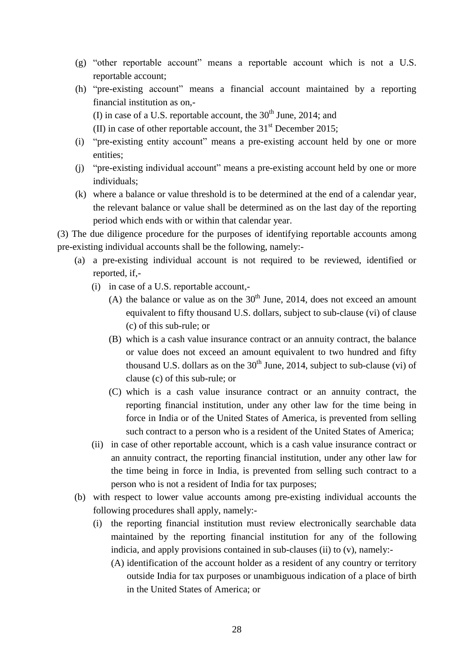- (g) "other reportable account" means a reportable account which is not a U.S. reportable account;
- (h) "pre-existing account" means a financial account maintained by a reporting financial institution as on,- (I) in case of a U.S. reportable account, the  $30<sup>th</sup>$  June, 2014; and
	- (II) in case of other reportable account, the  $31<sup>st</sup>$  December 2015;
- (i) "pre-existing entity account" means a pre-existing account held by one or more entities;
- (j) "pre-existing individual account" means a pre-existing account held by one or more individuals;
- (k) where a balance or value threshold is to be determined at the end of a calendar year, the relevant balance or value shall be determined as on the last day of the reporting period which ends with or within that calendar year.

(3) The due diligence procedure for the purposes of identifying reportable accounts among pre-existing individual accounts shall be the following, namely:-

- (a) a pre-existing individual account is not required to be reviewed, identified or reported, if,-
	- (i) in case of a U.S. reportable account,-
		- (A) the balance or value as on the  $30<sup>th</sup>$  June, 2014, does not exceed an amount equivalent to fifty thousand U.S. dollars, subject to sub-clause (vi) of clause (c) of this sub-rule; or
		- (B) which is a cash value insurance contract or an annuity contract, the balance or value does not exceed an amount equivalent to two hundred and fifty thousand U.S. dollars as on the  $30<sup>th</sup>$  June, 2014, subject to sub-clause (vi) of clause (c) of this sub-rule; or
		- (C) which is a cash value insurance contract or an annuity contract, the reporting financial institution, under any other law for the time being in force in India or of the United States of America, is prevented from selling such contract to a person who is a resident of the United States of America;
	- (ii) in case of other reportable account, which is a cash value insurance contract or an annuity contract, the reporting financial institution, under any other law for the time being in force in India, is prevented from selling such contract to a person who is not a resident of India for tax purposes;
- (b) with respect to lower value accounts among pre-existing individual accounts the following procedures shall apply, namely:-
	- (i) the reporting financial institution must review electronically searchable data maintained by the reporting financial institution for any of the following indicia, and apply provisions contained in sub-clauses (ii) to (v), namely:-
		- (A) identification of the account holder as a resident of any country or territory outside India for tax purposes or unambiguous indication of a place of birth in the United States of America; or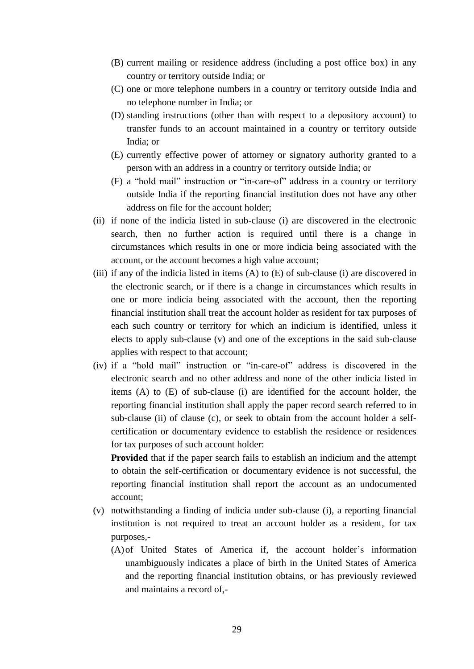- (B) current mailing or residence address (including a post office box) in any country or territory outside India; or
- (C) one or more telephone numbers in a country or territory outside India and no telephone number in India; or
- (D) standing instructions (other than with respect to a depository account) to transfer funds to an account maintained in a country or territory outside India; or
- (E) currently effective power of attorney or signatory authority granted to a person with an address in a country or territory outside India; or
- (F) a "hold mail" instruction or "in-care-of" address in a country or territory outside India if the reporting financial institution does not have any other address on file for the account holder;
- (ii) if none of the indicia listed in sub-clause (i) are discovered in the electronic search, then no further action is required until there is a change in circumstances which results in one or more indicia being associated with the account, or the account becomes a high value account;
- (iii) if any of the indicia listed in items (A) to (E) of sub-clause (i) are discovered in the electronic search, or if there is a change in circumstances which results in one or more indicia being associated with the account, then the reporting financial institution shall treat the account holder as resident for tax purposes of each such country or territory for which an indicium is identified, unless it elects to apply sub-clause (v) and one of the exceptions in the said sub-clause applies with respect to that account;
- (iv) if a "hold mail" instruction or "in-care-of" address is discovered in the electronic search and no other address and none of the other indicia listed in items (A) to (E) of sub-clause (i) are identified for the account holder, the reporting financial institution shall apply the paper record search referred to in sub-clause (ii) of clause (c), or seek to obtain from the account holder a selfcertification or documentary evidence to establish the residence or residences for tax purposes of such account holder:

**Provided** that if the paper search fails to establish an indicium and the attempt to obtain the self-certification or documentary evidence is not successful, the reporting financial institution shall report the account as an undocumented account;

- (v) notwithstanding a finding of indicia under sub-clause (i), a reporting financial institution is not required to treat an account holder as a resident, for tax purposes,-
	- (A)of United States of America if, the account holder's information unambiguously indicates a place of birth in the United States of America and the reporting financial institution obtains, or has previously reviewed and maintains a record of,-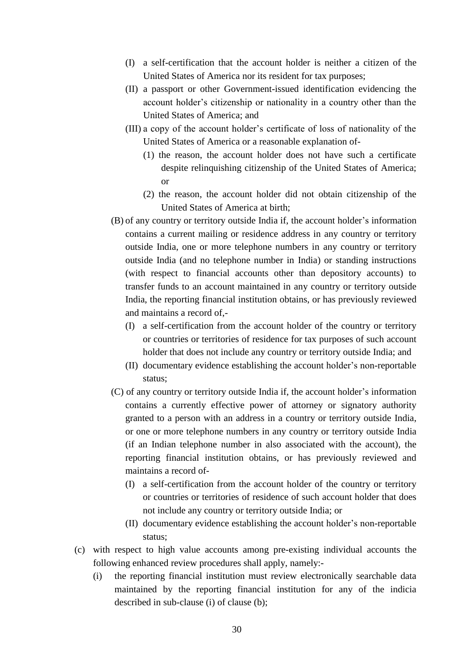- (I) a self-certification that the account holder is neither a citizen of the United States of America nor its resident for tax purposes;
- (II) a passport or other Government-issued identification evidencing the account holder's citizenship or nationality in a country other than the United States of America; and
- (III) a copy of the account holder's certificate of loss of nationality of the United States of America or a reasonable explanation of-
	- (1) the reason, the account holder does not have such a certificate despite relinquishing citizenship of the United States of America; or
	- (2) the reason, the account holder did not obtain citizenship of the United States of America at birth;
- (B) of any country or territory outside India if, the account holder's information contains a current mailing or residence address in any country or territory outside India, one or more telephone numbers in any country or territory outside India (and no telephone number in India) or standing instructions (with respect to financial accounts other than depository accounts) to transfer funds to an account maintained in any country or territory outside India, the reporting financial institution obtains, or has previously reviewed and maintains a record of,-
	- (I) a self-certification from the account holder of the country or territory or countries or territories of residence for tax purposes of such account holder that does not include any country or territory outside India; and
	- (II) documentary evidence establishing the account holder's non-reportable status;
- (C) of any country or territory outside India if, the account holder's information contains a currently effective power of attorney or signatory authority granted to a person with an address in a country or territory outside India, or one or more telephone numbers in any country or territory outside India (if an Indian telephone number in also associated with the account), the reporting financial institution obtains, or has previously reviewed and maintains a record of-
	- (I) a self-certification from the account holder of the country or territory or countries or territories of residence of such account holder that does not include any country or territory outside India; or
	- (II) documentary evidence establishing the account holder's non-reportable status;
- (c) with respect to high value accounts among pre-existing individual accounts the following enhanced review procedures shall apply, namely:-
	- (i) the reporting financial institution must review electronically searchable data maintained by the reporting financial institution for any of the indicia described in sub-clause (i) of clause (b);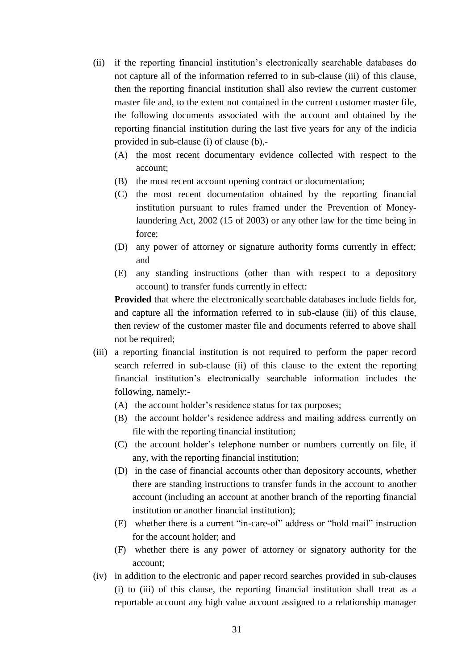- (ii) if the reporting financial institution's electronically searchable databases do not capture all of the information referred to in sub-clause (iii) of this clause, then the reporting financial institution shall also review the current customer master file and, to the extent not contained in the current customer master file, the following documents associated with the account and obtained by the reporting financial institution during the last five years for any of the indicia provided in sub-clause (i) of clause (b),-
	- (A) the most recent documentary evidence collected with respect to the account;
	- (B) the most recent account opening contract or documentation;
	- (C) the most recent documentation obtained by the reporting financial institution pursuant to rules framed under the Prevention of Moneylaundering Act, 2002 (15 of 2003) or any other law for the time being in force;
	- (D) any power of attorney or signature authority forms currently in effect; and
	- (E) any standing instructions (other than with respect to a depository account) to transfer funds currently in effect:

**Provided** that where the electronically searchable databases include fields for, and capture all the information referred to in sub-clause (iii) of this clause, then review of the customer master file and documents referred to above shall not be required;

- (iii) a reporting financial institution is not required to perform the paper record search referred in sub-clause (ii) of this clause to the extent the reporting financial institution's electronically searchable information includes the following, namely:-
	- (A) the account holder's residence status for tax purposes;
	- (B) the account holder's residence address and mailing address currently on file with the reporting financial institution;
	- (C) the account holder's telephone number or numbers currently on file, if any, with the reporting financial institution;
	- (D) in the case of financial accounts other than depository accounts, whether there are standing instructions to transfer funds in the account to another account (including an account at another branch of the reporting financial institution or another financial institution);
	- (E) whether there is a current "in-care-of" address or "hold mail" instruction for the account holder; and
	- (F) whether there is any power of attorney or signatory authority for the account;
- (iv) in addition to the electronic and paper record searches provided in sub-clauses (i) to (iii) of this clause, the reporting financial institution shall treat as a reportable account any high value account assigned to a relationship manager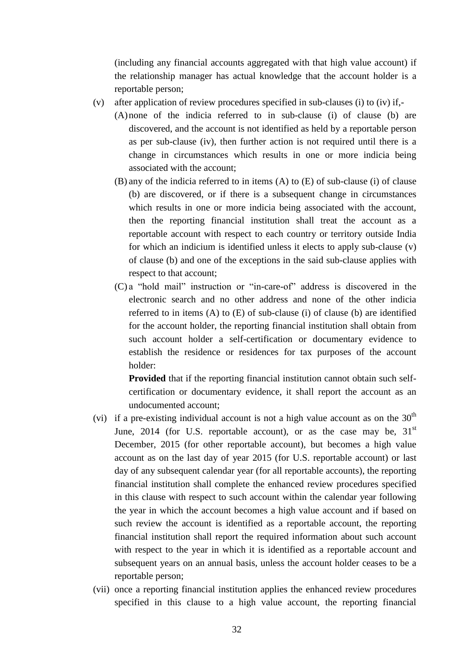(including any financial accounts aggregated with that high value account) if the relationship manager has actual knowledge that the account holder is a reportable person;

- (v) after application of review procedures specified in sub-clauses (i) to (iv) if,-
	- (A)none of the indicia referred to in sub-clause (i) of clause (b) are discovered, and the account is not identified as held by a reportable person as per sub-clause (iv), then further action is not required until there is a change in circumstances which results in one or more indicia being associated with the account;
	- (B) any of the indicia referred to in items (A) to (E) of sub-clause (i) of clause (b) are discovered, or if there is a subsequent change in circumstances which results in one or more indicia being associated with the account, then the reporting financial institution shall treat the account as a reportable account with respect to each country or territory outside India for which an indicium is identified unless it elects to apply sub-clause (v) of clause (b) and one of the exceptions in the said sub-clause applies with respect to that account;
	- (C) a "hold mail" instruction or "in-care-of" address is discovered in the electronic search and no other address and none of the other indicia referred to in items (A) to (E) of sub-clause (i) of clause (b) are identified for the account holder, the reporting financial institution shall obtain from such account holder a self-certification or documentary evidence to establish the residence or residences for tax purposes of the account holder:

**Provided** that if the reporting financial institution cannot obtain such selfcertification or documentary evidence, it shall report the account as an undocumented account;

- (vi) if a pre-existing individual account is not a high value account as on the  $30<sup>th</sup>$ June, 2014 (for U.S. reportable account), or as the case may be,  $31<sup>st</sup>$ December, 2015 (for other reportable account)*,* but becomes a high value account as on the last day of year 2015 (for U.S. reportable account) or last day of any subsequent calendar year (for all reportable accounts), the reporting financial institution shall complete the enhanced review procedures specified in this clause with respect to such account within the calendar year following the year in which the account becomes a high value account and if based on such review the account is identified as a reportable account, the reporting financial institution shall report the required information about such account with respect to the year in which it is identified as a reportable account and subsequent years on an annual basis, unless the account holder ceases to be a reportable person;
- (vii) once a reporting financial institution applies the enhanced review procedures specified in this clause to a high value account, the reporting financial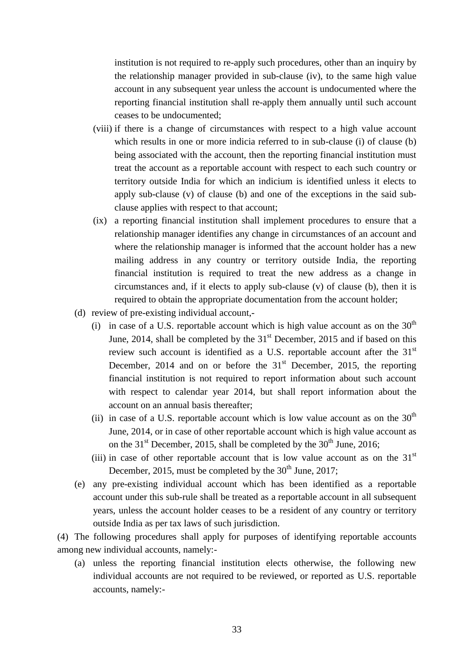institution is not required to re-apply such procedures, other than an inquiry by the relationship manager provided in sub-clause (iv), to the same high value account in any subsequent year unless the account is undocumented where the reporting financial institution shall re-apply them annually until such account ceases to be undocumented;

- (viii) if there is a change of circumstances with respect to a high value account which results in one or more indicia referred to in sub-clause (i) of clause (b) being associated with the account, then the reporting financial institution must treat the account as a reportable account with respect to each such country or territory outside India for which an indicium is identified unless it elects to apply sub-clause (v) of clause (b) and one of the exceptions in the said subclause applies with respect to that account;
- (ix) a reporting financial institution shall implement procedures to ensure that a relationship manager identifies any change in circumstances of an account and where the relationship manager is informed that the account holder has a new mailing address in any country or territory outside India, the reporting financial institution is required to treat the new address as a change in circumstances and, if it elects to apply sub-clause (v) of clause (b), then it is required to obtain the appropriate documentation from the account holder;
- (d) review of pre-existing individual account,-
	- (i) in case of a U.S. reportable account which is high value account as on the  $30<sup>th</sup>$ June, 2014, shall be completed by the  $31<sup>st</sup>$  December, 2015 and if based on this review such account is identified as a U.S. reportable account after the  $31<sup>st</sup>$ December, 2014 and on or before the  $31<sup>st</sup>$  December, 2015, the reporting financial institution is not required to report information about such account with respect to calendar year 2014, but shall report information about the account on an annual basis thereafter;
	- (ii) in case of a U.S. reportable account which is low value account as on the  $30<sup>th</sup>$ June, 2014, or in case of other reportable account which is high value account as on the 31<sup>st</sup> December, 2015, shall be completed by the  $30<sup>th</sup>$  June, 2016;
	- (iii) in case of other reportable account that is low value account as on the  $31<sup>st</sup>$ December, 2015, must be completed by the  $30<sup>th</sup>$  June, 2017;
- (e) any pre-existing individual account which has been identified as a reportable account under this sub-rule shall be treated as a reportable account in all subsequent years, unless the account holder ceases to be a resident of any country or territory outside India as per tax laws of such jurisdiction.

(4) The following procedures shall apply for purposes of identifying reportable accounts among new individual accounts, namely:-

(a) unless the reporting financial institution elects otherwise, the following new individual accounts are not required to be reviewed, or reported as U.S. reportable accounts, namely:-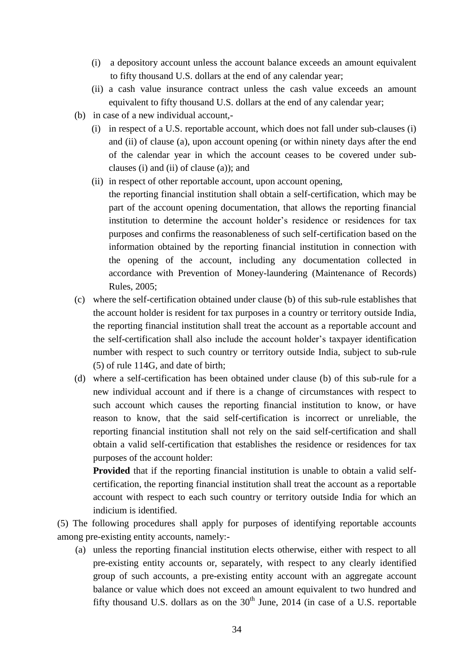- (i) a depository account unless the account balance exceeds an amount equivalent to fifty thousand U.S. dollars at the end of any calendar year;
- (ii) a cash value insurance contract unless the cash value exceeds an amount equivalent to fifty thousand U.S. dollars at the end of any calendar year;
- (b) in case of a new individual account,-
	- (i) in respect of a U.S. reportable account, which does not fall under sub-clauses (i) and (ii) of clause (a), upon account opening (or within ninety days after the end of the calendar year in which the account ceases to be covered under subclauses (i) and (ii) of clause (a)); and
	- (ii) in respect of other reportable account, upon account opening,
		- the reporting financial institution shall obtain a self-certification, which may be part of the account opening documentation, that allows the reporting financial institution to determine the account holder's residence or residences for tax purposes and confirms the reasonableness of such self-certification based on the information obtained by the reporting financial institution in connection with the opening of the account, including any documentation collected in accordance with Prevention of Money-laundering (Maintenance of Records) Rules, 2005;
- (c) where the self-certification obtained under clause (b) of this sub-rule establishes that the account holder is resident for tax purposes in a country or territory outside India, the reporting financial institution shall treat the account as a reportable account and the self-certification shall also include the account holder's taxpayer identification number with respect to such country or territory outside India, subject to sub-rule (5) of rule 114G, and date of birth;
- (d) where a self-certification has been obtained under clause (b) of this sub-rule for a new individual account and if there is a change of circumstances with respect to such account which causes the reporting financial institution to know, or have reason to know, that the said self-certification is incorrect or unreliable, the reporting financial institution shall not rely on the said self-certification and shall obtain a valid self-certification that establishes the residence or residences for tax purposes of the account holder:

**Provided** that if the reporting financial institution is unable to obtain a valid selfcertification, the reporting financial institution shall treat the account as a reportable account with respect to each such country or territory outside India for which an indicium is identified.

(5) The following procedures shall apply for purposes of identifying reportable accounts among pre-existing entity accounts, namely:-

(a) unless the reporting financial institution elects otherwise, either with respect to all pre-existing entity accounts or, separately, with respect to any clearly identified group of such accounts, a pre-existing entity account with an aggregate account balance or value which does not exceed an amount equivalent to two hundred and fifty thousand U.S. dollars as on the  $30<sup>th</sup>$  June, 2014 (in case of a U.S. reportable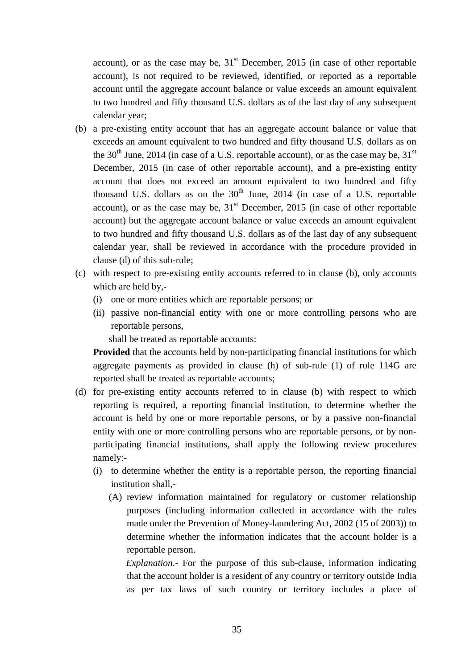account), or as the case may be,  $31<sup>st</sup>$  December, 2015 (in case of other reportable account), is not required to be reviewed, identified, or reported as a reportable account until the aggregate account balance or value exceeds an amount equivalent to two hundred and fifty thousand U.S. dollars as of the last day of any subsequent calendar year;

- (b) a pre-existing entity account that has an aggregate account balance or value that exceeds an amount equivalent to two hundred and fifty thousand U.S. dollars as on the  $30<sup>th</sup>$  June, 2014 (in case of a U.S. reportable account), or as the case may be,  $31<sup>st</sup>$ December, 2015 (in case of other reportable account), and a pre-existing entity account that does not exceed an amount equivalent to two hundred and fifty thousand U.S. dollars as on the  $30<sup>th</sup>$  June, 2014 (in case of a U.S. reportable account), or as the case may be,  $31<sup>st</sup>$  December, 2015 (in case of other reportable account) but the aggregate account balance or value exceeds an amount equivalent to two hundred and fifty thousand U.S. dollars as of the last day of any subsequent calendar year, shall be reviewed in accordance with the procedure provided in clause (d) of this sub-rule;
- (c) with respect to pre-existing entity accounts referred to in clause (b), only accounts which are held by,-
	- (i) one or more entities which are reportable persons; or
	- (ii) passive non-financial entity with one or more controlling persons who are reportable persons,

shall be treated as reportable accounts:

**Provided** that the accounts held by non-participating financial institutions for which aggregate payments as provided in clause (h) of sub-rule (1) of rule 114G are reported shall be treated as reportable accounts;

- (d) for pre-existing entity accounts referred to in clause (b) with respect to which reporting is required, a reporting financial institution, to determine whether the account is held by one or more reportable persons, or by a passive non-financial entity with one or more controlling persons who are reportable persons, or by nonparticipating financial institutions, shall apply the following review procedures namely:-
	- (i) to determine whether the entity is a reportable person, the reporting financial institution shall,-
		- (A) review information maintained for regulatory or customer relationship purposes (including information collected in accordance with the rules made under the Prevention of Money-laundering Act, 2002 (15 of 2003)) to determine whether the information indicates that the account holder is a reportable person.

*Explanation*.- For the purpose of this sub-clause, information indicating that the account holder is a resident of any country or territory outside India as per tax laws of such country or territory includes a place of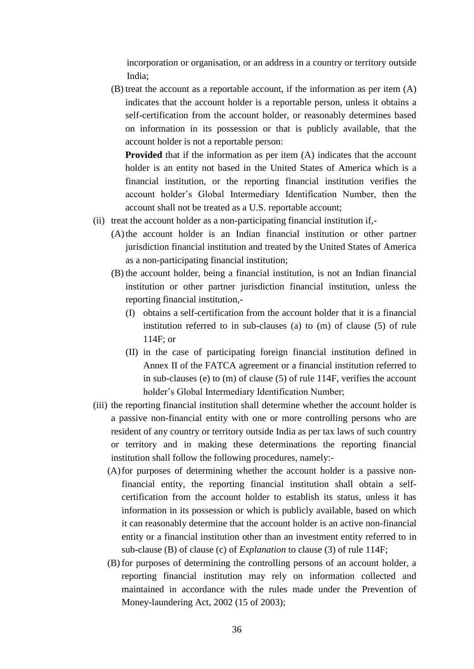incorporation or organisation, or an address in a country or territory outside India;

(B) treat the account as a reportable account, if the information as per item (A) indicates that the account holder is a reportable person, unless it obtains a self-certification from the account holder, or reasonably determines based on information in its possession or that is publicly available, that the account holder is not a reportable person:

**Provided** that if the information as per item (A) indicates that the account holder is an entity not based in the United States of America which is a financial institution, or the reporting financial institution verifies the account holder's Global Intermediary Identification Number, then the account shall not be treated as a U.S. reportable account;

- (ii) treat the account holder as a non-participating financial institution if,-
	- (A)the account holder is an Indian financial institution or other partner jurisdiction financial institution and treated by the United States of America as a non-participating financial institution;
	- (B) the account holder, being a financial institution, is not an Indian financial institution or other partner jurisdiction financial institution, unless the reporting financial institution,-
		- (I) obtains a self-certification from the account holder that it is a financial institution referred to in sub-clauses (a) to (m) of clause (5) of rule 114F; or
		- (II) in the case of participating foreign financial institution defined in Annex II of the FATCA agreement or a financial institution referred to in sub-clauses (e) to (m) of clause (5) of rule 114F, verifies the account holder's Global Intermediary Identification Number;
- (iii) the reporting financial institution shall determine whether the account holder is a passive non-financial entity with one or more controlling persons who are resident of any country or territory outside India as per tax laws of such country or territory and in making these determinations the reporting financial institution shall follow the following procedures, namely:-
	- (A)for purposes of determining whether the account holder is a passive nonfinancial entity, the reporting financial institution shall obtain a selfcertification from the account holder to establish its status, unless it has information in its possession or which is publicly available, based on which it can reasonably determine that the account holder is an active non-financial entity or a financial institution other than an investment entity referred to in sub-clause (B) of clause (c) of *Explanation* to clause (3) of rule 114F;
	- (B) for purposes of determining the controlling persons of an account holder, a reporting financial institution may rely on information collected and maintained in accordance with the rules made under the Prevention of Money-laundering Act, 2002 (15 of 2003);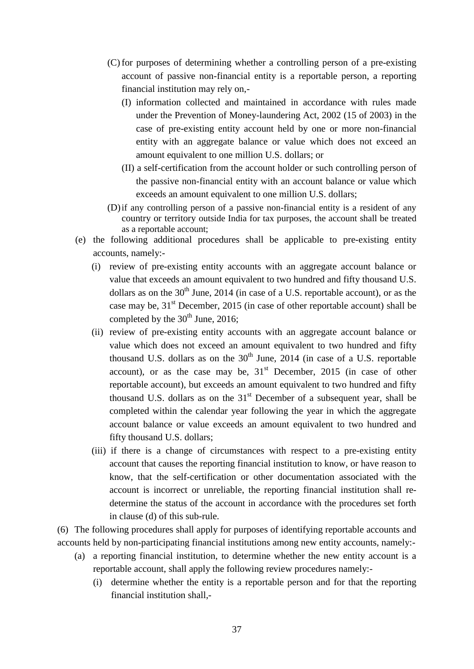- (C) for purposes of determining whether a controlling person of a pre-existing account of passive non-financial entity is a reportable person, a reporting financial institution may rely on,-
	- (I) information collected and maintained in accordance with rules made under the Prevention of Money-laundering Act, 2002 (15 of 2003) in the case of pre-existing entity account held by one or more non-financial entity with an aggregate balance or value which does not exceed an amount equivalent to one million U.S. dollars; or
	- (II) a self-certification from the account holder or such controlling person of the passive non-financial entity with an account balance or value which exceeds an amount equivalent to one million U.S. dollars;
- (D)if any controlling person of a passive non-financial entity is a resident of any country or territory outside India for tax purposes, the account shall be treated as a reportable account;
- (e) the following additional procedures shall be applicable to pre-existing entity accounts, namely:-
	- (i) review of pre-existing entity accounts with an aggregate account balance or value that exceeds an amount equivalent to two hundred and fifty thousand U.S. dollars as on the  $30<sup>th</sup>$  June, 2014 (in case of a U.S. reportable account), or as the case may be,  $31<sup>st</sup>$  December, 2015 (in case of other reportable account) shall be completed by the  $30<sup>th</sup>$  June, 2016;
	- (ii) review of pre-existing entity accounts with an aggregate account balance or value which does not exceed an amount equivalent to two hundred and fifty thousand U.S. dollars as on the  $30<sup>th</sup>$  June, 2014 (in case of a U.S. reportable account), or as the case may be,  $31<sup>st</sup>$  December, 2015 (in case of other reportable account), but exceeds an amount equivalent to two hundred and fifty thousand U.S. dollars as on the  $31<sup>st</sup>$  December of a subsequent year, shall be completed within the calendar year following the year in which the aggregate account balance or value exceeds an amount equivalent to two hundred and fifty thousand U.S. dollars;
	- (iii) if there is a change of circumstances with respect to a pre-existing entity account that causes the reporting financial institution to know, or have reason to know, that the self-certification or other documentation associated with the account is incorrect or unreliable, the reporting financial institution shall redetermine the status of the account in accordance with the procedures set forth in clause (d) of this sub-rule.

(6) The following procedures shall apply for purposes of identifying reportable accounts and accounts held by non-participating financial institutions among new entity accounts, namely:-

- (a) a reporting financial institution, to determine whether the new entity account is a reportable account, shall apply the following review procedures namely:-
	- (i) determine whether the entity is a reportable person and for that the reporting financial institution shall,-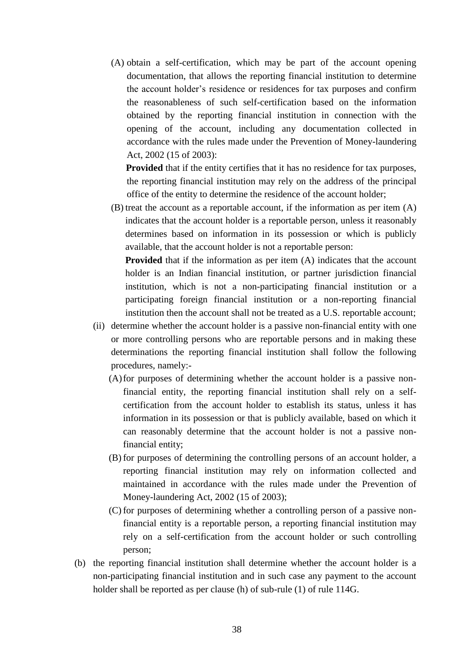(A) obtain a self-certification, which may be part of the account opening documentation, that allows the reporting financial institution to determine the account holder's residence or residences for tax purposes and confirm the reasonableness of such self-certification based on the information obtained by the reporting financial institution in connection with the opening of the account, including any documentation collected in accordance with the rules made under the Prevention of Money-laundering Act, 2002 (15 of 2003):

**Provided** that if the entity certifies that it has no residence for tax purposes, the reporting financial institution may rely on the address of the principal office of the entity to determine the residence of the account holder;

(B) treat the account as a reportable account, if the information as per item (A) indicates that the account holder is a reportable person, unless it reasonably determines based on information in its possession or which is publicly available, that the account holder is not a reportable person:

**Provided** that if the information as per item (A) indicates that the account holder is an Indian financial institution, or partner jurisdiction financial institution, which is not a non-participating financial institution or a participating foreign financial institution or a non-reporting financial institution then the account shall not be treated as a U.S. reportable account;

- (ii) determine whether the account holder is a passive non-financial entity with one or more controlling persons who are reportable persons and in making these determinations the reporting financial institution shall follow the following procedures, namely:-
	- (A)for purposes of determining whether the account holder is a passive nonfinancial entity, the reporting financial institution shall rely on a selfcertification from the account holder to establish its status, unless it has information in its possession or that is publicly available, based on which it can reasonably determine that the account holder is not a passive nonfinancial entity;
	- (B) for purposes of determining the controlling persons of an account holder, a reporting financial institution may rely on information collected and maintained in accordance with the rules made under the Prevention of Money-laundering Act, 2002 (15 of 2003);
	- (C) for purposes of determining whether a controlling person of a passive nonfinancial entity is a reportable person, a reporting financial institution may rely on a self-certification from the account holder or such controlling person;
- (b) the reporting financial institution shall determine whether the account holder is a non-participating financial institution and in such case any payment to the account holder shall be reported as per clause (h) of sub-rule (1) of rule 114G.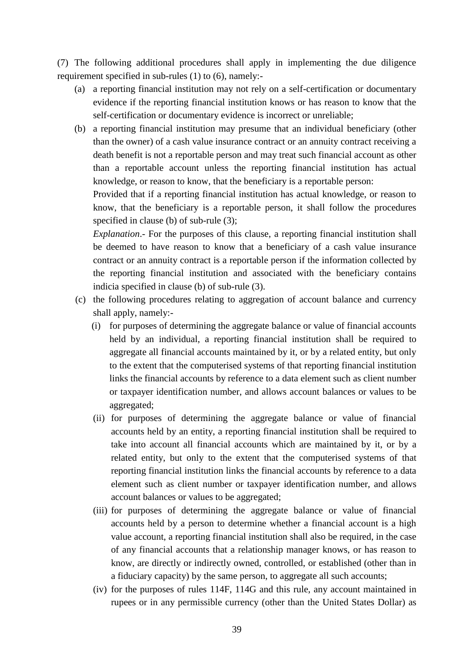(7) The following additional procedures shall apply in implementing the due diligence requirement specified in sub-rules (1) to (6), namely:-

- (a) a reporting financial institution may not rely on a self-certification or documentary evidence if the reporting financial institution knows or has reason to know that the self-certification or documentary evidence is incorrect or unreliable;
- (b) a reporting financial institution may presume that an individual beneficiary (other than the owner) of a cash value insurance contract or an annuity contract receiving a death benefit is not a reportable person and may treat such financial account as other than a reportable account unless the reporting financial institution has actual knowledge, or reason to know, that the beneficiary is a reportable person:

Provided that if a reporting financial institution has actual knowledge, or reason to know, that the beneficiary is a reportable person, it shall follow the procedures specified in clause (b) of sub-rule (3);

*Explanation*.- For the purposes of this clause, a reporting financial institution shall be deemed to have reason to know that a beneficiary of a cash value insurance contract or an annuity contract is a reportable person if the information collected by the reporting financial institution and associated with the beneficiary contains indicia specified in clause (b) of sub-rule (3).

- (c) the following procedures relating to aggregation of account balance and currency shall apply, namely:-
	- (i) for purposes of determining the aggregate balance or value of financial accounts held by an individual, a reporting financial institution shall be required to aggregate all financial accounts maintained by it, or by a related entity, but only to the extent that the computerised systems of that reporting financial institution links the financial accounts by reference to a data element such as client number or taxpayer identification number, and allows account balances or values to be aggregated;
	- (ii) for purposes of determining the aggregate balance or value of financial accounts held by an entity, a reporting financial institution shall be required to take into account all financial accounts which are maintained by it, or by a related entity, but only to the extent that the computerised systems of that reporting financial institution links the financial accounts by reference to a data element such as client number or taxpayer identification number, and allows account balances or values to be aggregated;
	- (iii) for purposes of determining the aggregate balance or value of financial accounts held by a person to determine whether a financial account is a high value account, a reporting financial institution shall also be required, in the case of any financial accounts that a relationship manager knows, or has reason to know, are directly or indirectly owned, controlled, or established (other than in a fiduciary capacity) by the same person, to aggregate all such accounts;
	- (iv) for the purposes of rules 114F, 114G and this rule, any account maintained in rupees or in any permissible currency (other than the United States Dollar) as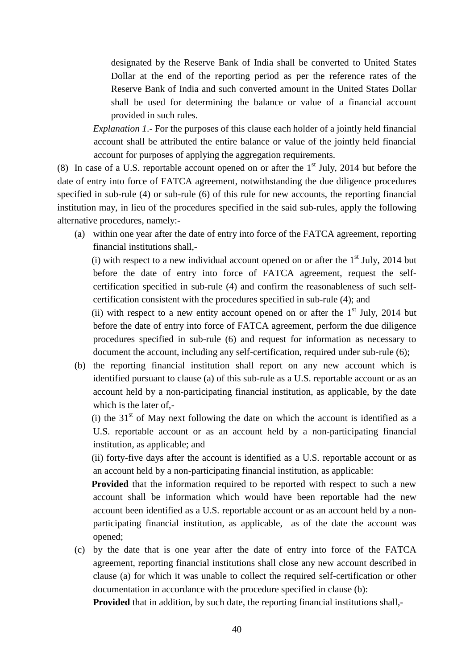designated by the Reserve Bank of India shall be converted to United States Dollar at the end of the reporting period as per the reference rates of the Reserve Bank of India and such converted amount in the United States Dollar shall be used for determining the balance or value of a financial account provided in such rules.

*Explanation 1*.- For the purposes of this clause each holder of a jointly held financial account shall be attributed the entire balance or value of the jointly held financial account for purposes of applying the aggregation requirements.

(8) In case of a U.S. reportable account opened on or after the  $1<sup>st</sup>$  July, 2014 but before the date of entry into force of FATCA agreement, notwithstanding the due diligence procedures specified in sub-rule (4) or sub-rule (6) of this rule for new accounts, the reporting financial institution may, in lieu of the procedures specified in the said sub-rules, apply the following alternative procedures, namely:-

(a) within one year after the date of entry into force of the FATCA agreement, reporting financial institutions shall,-

(i) with respect to a new individual account opened on or after the  $1<sup>st</sup>$  July, 2014 but before the date of entry into force of FATCA agreement, request the selfcertification specified in sub-rule (4) and confirm the reasonableness of such selfcertification consistent with the procedures specified in sub-rule (4); and

(ii) with respect to a new entity account opened on or after the  $1<sup>st</sup>$  July, 2014 but before the date of entry into force of FATCA agreement, perform the due diligence procedures specified in sub-rule (6) and request for information as necessary to document the account, including any self-certification, required under sub-rule (6);

(b) the reporting financial institution shall report on any new account which is identified pursuant to clause (a) of this sub-rule as a U.S. reportable account or as an account held by a non-participating financial institution, as applicable, by the date which is the later of,-

(i) the  $31<sup>st</sup>$  of May next following the date on which the account is identified as a U.S. reportable account or as an account held by a non-participating financial institution, as applicable; and

(ii) forty-five days after the account is identified as a U.S. reportable account or as an account held by a non-participating financial institution, as applicable:

**Provided** that the information required to be reported with respect to such a new account shall be information which would have been reportable had the new account been identified as a U.S. reportable account or as an account held by a nonparticipating financial institution, as applicable, as of the date the account was opened;

(c) by the date that is one year after the date of entry into force of the FATCA agreement, reporting financial institutions shall close any new account described in clause (a) for which it was unable to collect the required self-certification or other documentation in accordance with the procedure specified in clause (b):

**Provided** that in addition, by such date, the reporting financial institutions shall,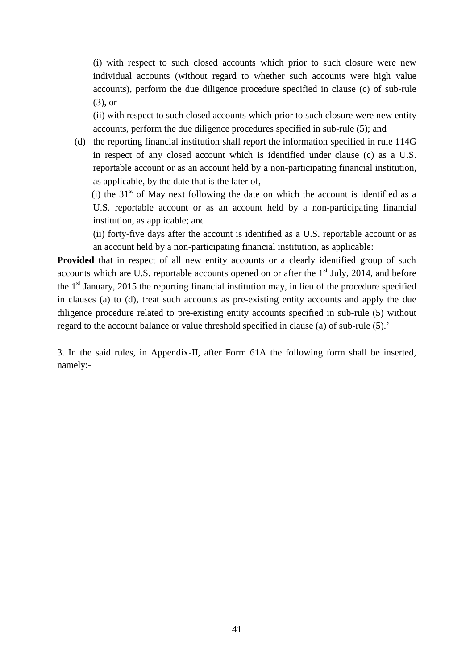(i) with respect to such closed accounts which prior to such closure were new individual accounts (without regard to whether such accounts were high value accounts), perform the due diligence procedure specified in clause (c) of sub-rule (3), or

(ii) with respect to such closed accounts which prior to such closure were new entity accounts, perform the due diligence procedures specified in sub-rule (5); and

(d) the reporting financial institution shall report the information specified in rule 114G in respect of any closed account which is identified under clause (c) as a U.S. reportable account or as an account held by a non-participating financial institution, as applicable, by the date that is the later of,-

(i) the  $31<sup>st</sup>$  of May next following the date on which the account is identified as a U.S. reportable account or as an account held by a non-participating financial institution, as applicable; and

(ii) forty-five days after the account is identified as a U.S. reportable account or as an account held by a non-participating financial institution, as applicable:

**Provided** that in respect of all new entity accounts or a clearly identified group of such accounts which are U.S. reportable accounts opened on or after the  $1<sup>st</sup>$  July, 2014, and before the  $1<sup>st</sup>$  January, 2015 the reporting financial institution may, in lieu of the procedure specified in clauses (a) to (d), treat such accounts as pre-existing entity accounts and apply the due diligence procedure related to pre-existing entity accounts specified in sub-rule (5) without regard to the account balance or value threshold specified in clause (a) of sub-rule (5).'

3. In the said rules, in Appendix-II, after Form 61A the following form shall be inserted, namely:-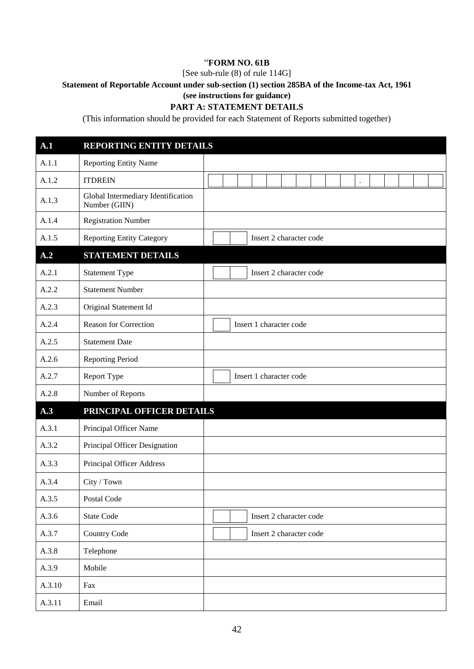### "**FORM NO. 61B**

[See sub-rule (8) of rule 114G]

# **Statement of Reportable Account under sub-section (1) section 285BA of the Income-tax Act, 1961**

# **(see instructions for guidance)**

# **PART A: STATEMENT DETAILS**

(This information should be provided for each Statement of Reports submitted together)

| A.1    | <b>REPORTING ENTITY DETAILS</b>                     |  |                         |                         |  |  |  |  |  |  |  |  |
|--------|-----------------------------------------------------|--|-------------------------|-------------------------|--|--|--|--|--|--|--|--|
| A.1.1  | <b>Reporting Entity Name</b>                        |  |                         |                         |  |  |  |  |  |  |  |  |
| A.1.2  | <b>ITDREIN</b>                                      |  |                         |                         |  |  |  |  |  |  |  |  |
| A.1.3  | Global Intermediary Identification<br>Number (GIIN) |  |                         |                         |  |  |  |  |  |  |  |  |
| A.1.4  | <b>Registration Number</b>                          |  |                         |                         |  |  |  |  |  |  |  |  |
| A.1.5  | <b>Reporting Entity Category</b>                    |  |                         | Insert 2 character code |  |  |  |  |  |  |  |  |
| A.2    | <b>STATEMENT DETAILS</b>                            |  |                         |                         |  |  |  |  |  |  |  |  |
| A.2.1  | <b>Statement Type</b>                               |  |                         | Insert 2 character code |  |  |  |  |  |  |  |  |
| A.2.2  | <b>Statement Number</b>                             |  |                         |                         |  |  |  |  |  |  |  |  |
| A.2.3  | Original Statement Id                               |  |                         |                         |  |  |  |  |  |  |  |  |
| A.2.4  | Reason for Correction                               |  | Insert 1 character code |                         |  |  |  |  |  |  |  |  |
| A.2.5  | <b>Statement Date</b>                               |  |                         |                         |  |  |  |  |  |  |  |  |
| A.2.6  | <b>Reporting Period</b>                             |  |                         |                         |  |  |  |  |  |  |  |  |
| A.2.7  | Report Type                                         |  | Insert 1 character code |                         |  |  |  |  |  |  |  |  |
| A.2.8  | Number of Reports                                   |  |                         |                         |  |  |  |  |  |  |  |  |
| A.3    | PRINCIPAL OFFICER DETAILS                           |  |                         |                         |  |  |  |  |  |  |  |  |
| A.3.1  | Principal Officer Name                              |  |                         |                         |  |  |  |  |  |  |  |  |
| A.3.2  | Principal Officer Designation                       |  |                         |                         |  |  |  |  |  |  |  |  |
| A.3.3  | Principal Officer Address                           |  |                         |                         |  |  |  |  |  |  |  |  |
| A.3.4  | City / Town                                         |  |                         |                         |  |  |  |  |  |  |  |  |
| A.3.5  | Postal Code                                         |  |                         |                         |  |  |  |  |  |  |  |  |
| A.3.6  | State Code                                          |  |                         | Insert 2 character code |  |  |  |  |  |  |  |  |
| A.3.7  | Country Code                                        |  |                         | Insert 2 character code |  |  |  |  |  |  |  |  |
| A.3.8  | Telephone                                           |  |                         |                         |  |  |  |  |  |  |  |  |
| A.3.9  | Mobile                                              |  |                         |                         |  |  |  |  |  |  |  |  |
| A.3.10 | Fax                                                 |  |                         |                         |  |  |  |  |  |  |  |  |
| A.3.11 | Email                                               |  |                         |                         |  |  |  |  |  |  |  |  |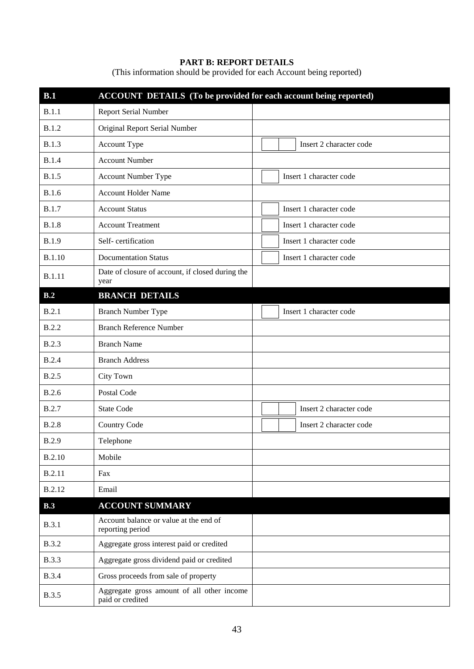#### **PART B: REPORT DETAILS**

(This information should be provided for each Account being reported)

| B.1              | <b>ACCOUNT DETAILS</b> (To be provided for each account being reported) |  |                         |
|------------------|-------------------------------------------------------------------------|--|-------------------------|
| B.1.1            | <b>Report Serial Number</b>                                             |  |                         |
| B.1.2            | Original Report Serial Number                                           |  |                         |
| <b>B.1.3</b>     | Account Type                                                            |  | Insert 2 character code |
| <b>B.1.4</b>     | <b>Account Number</b>                                                   |  |                         |
| <b>B.1.5</b>     | <b>Account Number Type</b>                                              |  | Insert 1 character code |
| <b>B.1.6</b>     | <b>Account Holder Name</b>                                              |  |                         |
| <b>B.1.7</b>     | <b>Account Status</b>                                                   |  | Insert 1 character code |
| <b>B.1.8</b>     | <b>Account Treatment</b>                                                |  | Insert 1 character code |
| <b>B.1.9</b>     | Self-certification                                                      |  | Insert 1 character code |
| <b>B.1.10</b>    | <b>Documentation Status</b>                                             |  | Insert 1 character code |
| <b>B.1.11</b>    | Date of closure of account, if closed during the<br>year                |  |                         |
| $\overline{B.2}$ | <b>BRANCH DETAILS</b>                                                   |  |                         |
| B.2.1            | <b>Branch Number Type</b>                                               |  | Insert 1 character code |
| B.2.2            | <b>Branch Reference Number</b>                                          |  |                         |
| B.2.3            | <b>Branch Name</b>                                                      |  |                         |
| <b>B.2.4</b>     | <b>Branch Address</b>                                                   |  |                         |
| <b>B.2.5</b>     | City Town                                                               |  |                         |
| <b>B.2.6</b>     | Postal Code                                                             |  |                         |
| <b>B.2.7</b>     | <b>State Code</b>                                                       |  | Insert 2 character code |
| <b>B.2.8</b>     | <b>Country Code</b>                                                     |  | Insert 2 character code |
| <b>B.2.9</b>     | Telephone                                                               |  |                         |
| <b>B.2.10</b>    | Mobile                                                                  |  |                         |
| B.2.11           | Fax                                                                     |  |                         |
| B.2.12           | Email                                                                   |  |                         |
| B.3              | <b>ACCOUNT SUMMARY</b>                                                  |  |                         |
| <b>B.3.1</b>     | Account balance or value at the end of<br>reporting period              |  |                         |
| <b>B.3.2</b>     | Aggregate gross interest paid or credited                               |  |                         |
| <b>B.3.3</b>     | Aggregate gross dividend paid or credited                               |  |                         |
| <b>B.3.4</b>     | Gross proceeds from sale of property                                    |  |                         |
| <b>B.3.5</b>     | Aggregate gross amount of all other income<br>paid or credited          |  |                         |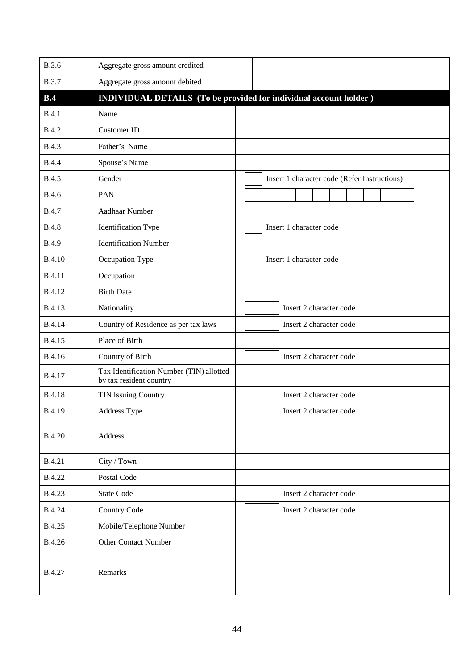| <b>B.3.6</b>  | Aggregate gross amount credited                                          |                         |  |                                              |  |  |  |  |
|---------------|--------------------------------------------------------------------------|-------------------------|--|----------------------------------------------|--|--|--|--|
| <b>B.3.7</b>  | Aggregate gross amount debited                                           |                         |  |                                              |  |  |  |  |
| B.4           | <b>INDIVIDUAL DETAILS</b> (To be provided for individual account holder) |                         |  |                                              |  |  |  |  |
| B.4.1         | Name                                                                     |                         |  |                                              |  |  |  |  |
| <b>B.4.2</b>  | Customer ID                                                              |                         |  |                                              |  |  |  |  |
| <b>B.4.3</b>  | Father's Name                                                            |                         |  |                                              |  |  |  |  |
| <b>B.4.4</b>  | Spouse's Name                                                            |                         |  |                                              |  |  |  |  |
| <b>B.4.5</b>  | Gender                                                                   |                         |  | Insert 1 character code (Refer Instructions) |  |  |  |  |
| <b>B.4.6</b>  | PAN                                                                      |                         |  |                                              |  |  |  |  |
| <b>B.4.7</b>  | Aadhaar Number                                                           |                         |  |                                              |  |  |  |  |
| <b>B.4.8</b>  | <b>Identification Type</b><br>Insert 1 character code                    |                         |  |                                              |  |  |  |  |
| <b>B.4.9</b>  | <b>Identification Number</b>                                             |                         |  |                                              |  |  |  |  |
| <b>B.4.10</b> | Occupation Type                                                          |                         |  | Insert 1 character code                      |  |  |  |  |
| <b>B.4.11</b> | Occupation                                                               |                         |  |                                              |  |  |  |  |
| <b>B.4.12</b> | <b>Birth Date</b>                                                        |                         |  |                                              |  |  |  |  |
| <b>B.4.13</b> | Nationality                                                              | Insert 2 character code |  |                                              |  |  |  |  |
| <b>B.4.14</b> | Country of Residence as per tax laws                                     | Insert 2 character code |  |                                              |  |  |  |  |
| <b>B.4.15</b> | Place of Birth                                                           |                         |  |                                              |  |  |  |  |
| B.4.16        | Country of Birth                                                         |                         |  | Insert 2 character code                      |  |  |  |  |
| <b>B.4.17</b> | Tax Identification Number (TIN) allotted<br>by tax resident country      |                         |  |                                              |  |  |  |  |
| <b>B.4.18</b> | <b>TIN Issuing Country</b>                                               |                         |  | Insert 2 character code                      |  |  |  |  |
| B.4.19        | Address Type                                                             |                         |  | Insert 2 character code                      |  |  |  |  |
| <b>B.4.20</b> | Address                                                                  |                         |  |                                              |  |  |  |  |
| <b>B.4.21</b> | City / Town                                                              |                         |  |                                              |  |  |  |  |
| <b>B.4.22</b> | Postal Code                                                              |                         |  |                                              |  |  |  |  |
| <b>B.4.23</b> | <b>State Code</b>                                                        |                         |  | Insert 2 character code                      |  |  |  |  |
| <b>B.4.24</b> | Country Code                                                             |                         |  | Insert 2 character code                      |  |  |  |  |
| <b>B.4.25</b> | Mobile/Telephone Number                                                  |                         |  |                                              |  |  |  |  |
| <b>B.4.26</b> | Other Contact Number                                                     |                         |  |                                              |  |  |  |  |
| B.4.27        | Remarks                                                                  |                         |  |                                              |  |  |  |  |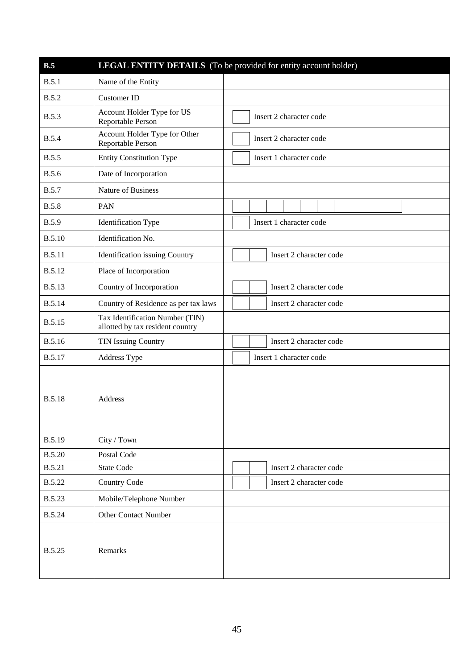| B.5           | LEGAL ENTITY DETAILS (To be provided for entity account holder)     |                         |                         |  |                         |  |  |  |  |  |  |  |
|---------------|---------------------------------------------------------------------|-------------------------|-------------------------|--|-------------------------|--|--|--|--|--|--|--|
| B.5.1         | Name of the Entity                                                  |                         |                         |  |                         |  |  |  |  |  |  |  |
| <b>B.5.2</b>  | Customer ID                                                         |                         |                         |  |                         |  |  |  |  |  |  |  |
| <b>B.5.3</b>  | Account Holder Type for US<br>Reportable Person                     |                         |                         |  | Insert 2 character code |  |  |  |  |  |  |  |
| <b>B.5.4</b>  | Account Holder Type for Other<br>Reportable Person                  |                         | Insert 2 character code |  |                         |  |  |  |  |  |  |  |
| <b>B.5.5</b>  | <b>Entity Constitution Type</b>                                     |                         | Insert 1 character code |  |                         |  |  |  |  |  |  |  |
| <b>B.5.6</b>  | Date of Incorporation                                               |                         |                         |  |                         |  |  |  |  |  |  |  |
| <b>B.5.7</b>  | Nature of Business                                                  |                         |                         |  |                         |  |  |  |  |  |  |  |
| <b>B.5.8</b>  | PAN                                                                 |                         |                         |  |                         |  |  |  |  |  |  |  |
| <b>B.5.9</b>  | <b>Identification Type</b>                                          |                         |                         |  | Insert 1 character code |  |  |  |  |  |  |  |
| <b>B.5.10</b> | Identification No.                                                  |                         |                         |  |                         |  |  |  |  |  |  |  |
| <b>B.5.11</b> | Identification issuing Country                                      |                         |                         |  | Insert 2 character code |  |  |  |  |  |  |  |
| <b>B.5.12</b> | Place of Incorporation                                              |                         |                         |  |                         |  |  |  |  |  |  |  |
| <b>B.5.13</b> | Country of Incorporation                                            |                         |                         |  | Insert 2 character code |  |  |  |  |  |  |  |
| B.5.14        | Country of Residence as per tax laws                                | Insert 2 character code |                         |  |                         |  |  |  |  |  |  |  |
| B.5.15        | Tax Identification Number (TIN)<br>allotted by tax resident country |                         |                         |  |                         |  |  |  |  |  |  |  |
| B.5.16        | TIN Issuing Country                                                 |                         |                         |  | Insert 2 character code |  |  |  |  |  |  |  |
| B.5.17        | Address Type                                                        |                         |                         |  | Insert 1 character code |  |  |  |  |  |  |  |
| <b>B.5.18</b> | Address                                                             |                         |                         |  |                         |  |  |  |  |  |  |  |
| B.5.19        | City / Town                                                         |                         |                         |  |                         |  |  |  |  |  |  |  |
| <b>B.5.20</b> | Postal Code                                                         |                         |                         |  |                         |  |  |  |  |  |  |  |
| <b>B.5.21</b> | <b>State Code</b>                                                   |                         |                         |  | Insert 2 character code |  |  |  |  |  |  |  |
| <b>B.5.22</b> | Country Code                                                        |                         |                         |  | Insert 2 character code |  |  |  |  |  |  |  |
| B.5.23        | Mobile/Telephone Number                                             |                         |                         |  |                         |  |  |  |  |  |  |  |
| <b>B.5.24</b> | <b>Other Contact Number</b>                                         |                         |                         |  |                         |  |  |  |  |  |  |  |
| <b>B.5.25</b> | Remarks                                                             |                         |                         |  |                         |  |  |  |  |  |  |  |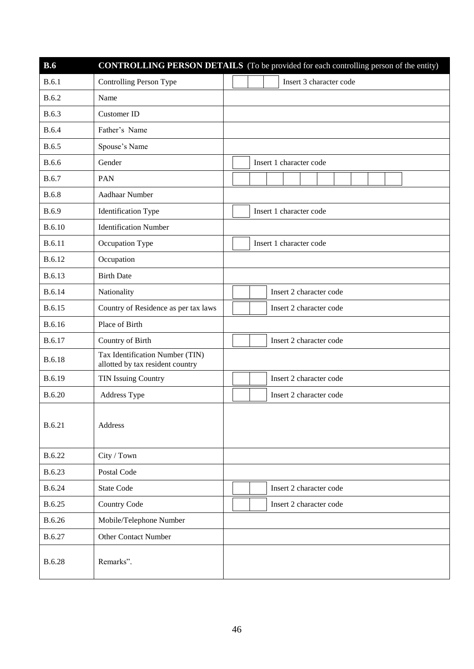| <b>B.6</b>    | <b>CONTROLLING PERSON DETAILS</b> (To be provided for each controlling person of the entity) |  |  |  |                         |                         |  |  |  |  |  |
|---------------|----------------------------------------------------------------------------------------------|--|--|--|-------------------------|-------------------------|--|--|--|--|--|
| B.6.1         | Controlling Person Type                                                                      |  |  |  |                         | Insert 3 character code |  |  |  |  |  |
| B.6.2         | Name                                                                                         |  |  |  |                         |                         |  |  |  |  |  |
| B.6.3         | Customer ID                                                                                  |  |  |  |                         |                         |  |  |  |  |  |
| <b>B.6.4</b>  | Father's Name                                                                                |  |  |  |                         |                         |  |  |  |  |  |
| B.6.5         | Spouse's Name                                                                                |  |  |  |                         |                         |  |  |  |  |  |
| <b>B.6.6</b>  | Gender                                                                                       |  |  |  | Insert 1 character code |                         |  |  |  |  |  |
| B.6.7         | PAN                                                                                          |  |  |  |                         |                         |  |  |  |  |  |
| <b>B.6.8</b>  | Aadhaar Number                                                                               |  |  |  |                         |                         |  |  |  |  |  |
| B.6.9         | <b>Identification Type</b>                                                                   |  |  |  | Insert 1 character code |                         |  |  |  |  |  |
| B.6.10        | <b>Identification Number</b>                                                                 |  |  |  |                         |                         |  |  |  |  |  |
| B.6.11        | Occupation Type                                                                              |  |  |  | Insert 1 character code |                         |  |  |  |  |  |
| B.6.12        | Occupation                                                                                   |  |  |  |                         |                         |  |  |  |  |  |
| B.6.13        | <b>Birth Date</b>                                                                            |  |  |  |                         |                         |  |  |  |  |  |
| B.6.14        | Nationality                                                                                  |  |  |  |                         | Insert 2 character code |  |  |  |  |  |
| B.6.15        | Country of Residence as per tax laws                                                         |  |  |  |                         | Insert 2 character code |  |  |  |  |  |
| B.6.16        | Place of Birth                                                                               |  |  |  |                         |                         |  |  |  |  |  |
| B.6.17        | Country of Birth                                                                             |  |  |  |                         | Insert 2 character code |  |  |  |  |  |
| B.6.18        | Tax Identification Number (TIN)<br>allotted by tax resident country                          |  |  |  |                         |                         |  |  |  |  |  |
| B.6.19        | TIN Issuing Country                                                                          |  |  |  |                         | Insert 2 character code |  |  |  |  |  |
| <b>B.6.20</b> | Address Type                                                                                 |  |  |  |                         | Insert 2 character code |  |  |  |  |  |
| B.6.21        | Address                                                                                      |  |  |  |                         |                         |  |  |  |  |  |
| B.6.22        | City / Town                                                                                  |  |  |  |                         |                         |  |  |  |  |  |
| B.6.23        | Postal Code                                                                                  |  |  |  |                         |                         |  |  |  |  |  |
| B.6.24        | <b>State Code</b>                                                                            |  |  |  |                         | Insert 2 character code |  |  |  |  |  |
| B.6.25        | Country Code                                                                                 |  |  |  |                         | Insert 2 character code |  |  |  |  |  |
| B.6.26        | Mobile/Telephone Number                                                                      |  |  |  |                         |                         |  |  |  |  |  |
| B.6.27        | Other Contact Number                                                                         |  |  |  |                         |                         |  |  |  |  |  |
| B.6.28        | Remarks".                                                                                    |  |  |  |                         |                         |  |  |  |  |  |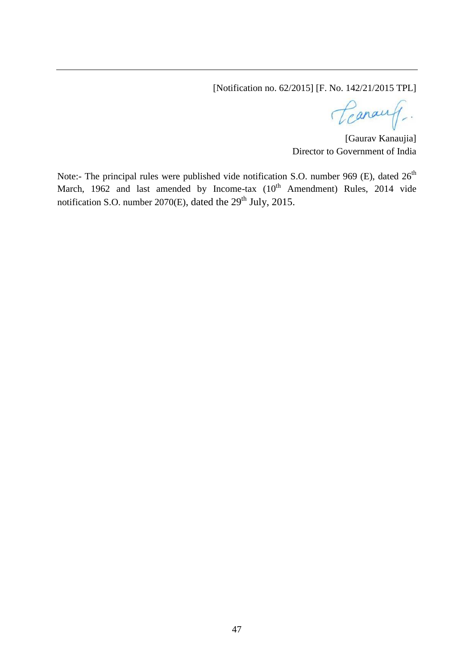[Notification no. 62/2015] [F. No. 142/21/2015 TPL]

Canauf.

[Gaurav Kanaujia] Director to Government of India

Note:- The principal rules were published vide notification S.O. number 969 (E), dated 26<sup>th</sup> March, 1962 and last amended by Income-tax  $(10^{th}$  Amendment) Rules, 2014 vide notification S.O. number 2070(E), dated the  $29<sup>th</sup>$  July, 2015.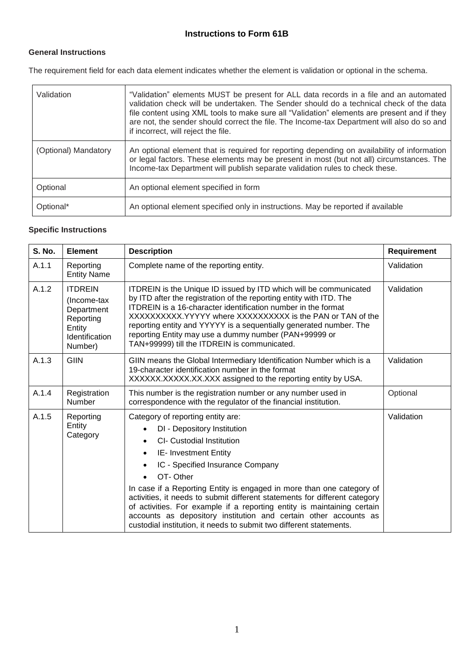### **General Instructions**

The requirement field for each data element indicates whether the element is validation or optional in the schema.

| Validation           | "Validation" elements MUST be present for ALL data records in a file and an automated<br>validation check will be undertaken. The Sender should do a technical check of the data<br>file content using XML tools to make sure all "Validation" elements are present and if they<br>are not, the sender should correct the file. The Income-tax Department will also do so and<br>if incorrect, will reject the file. |
|----------------------|----------------------------------------------------------------------------------------------------------------------------------------------------------------------------------------------------------------------------------------------------------------------------------------------------------------------------------------------------------------------------------------------------------------------|
| (Optional) Mandatory | An optional element that is required for reporting depending on availability of information<br>or legal factors. These elements may be present in most (but not all) circumstances. The<br>Income-tax Department will publish separate validation rules to check these.                                                                                                                                              |
| Optional             | An optional element specified in form                                                                                                                                                                                                                                                                                                                                                                                |
| Optional*            | An optional element specified only in instructions. May be reported if available                                                                                                                                                                                                                                                                                                                                     |

#### **Specific Instructions**

| <b>S. No.</b> | <b>Element</b>                                                                                  | <b>Description</b>                                                                                                                                                                                                                                                                                                                                                                                                                                                                                                                                               | <b>Requirement</b> |
|---------------|-------------------------------------------------------------------------------------------------|------------------------------------------------------------------------------------------------------------------------------------------------------------------------------------------------------------------------------------------------------------------------------------------------------------------------------------------------------------------------------------------------------------------------------------------------------------------------------------------------------------------------------------------------------------------|--------------------|
| A.1.1         | Reporting<br><b>Entity Name</b>                                                                 | Complete name of the reporting entity.                                                                                                                                                                                                                                                                                                                                                                                                                                                                                                                           | Validation         |
| A.1.2         | <b>ITDREIN</b><br>(Income-tax<br>Department<br>Reporting<br>Entity<br>Identification<br>Number) | ITDREIN is the Unique ID issued by ITD which will be communicated<br>by ITD after the registration of the reporting entity with ITD. The<br>ITDREIN is a 16-character identification number in the format<br>XXXXXXXXXX.YYYYY where XXXXXXXXXX is the PAN or TAN of the<br>reporting entity and YYYYY is a sequentially generated number. The<br>reporting Entity may use a dummy number (PAN+99999 or<br>TAN+99999) till the ITDREIN is communicated.                                                                                                           | Validation         |
| A.1.3         | <b>GIIN</b>                                                                                     | GIIN means the Global Intermediary Identification Number which is a<br>19-character identification number in the format<br>XXXXXX.XXXX.XX.XXX assigned to the reporting entity by USA.                                                                                                                                                                                                                                                                                                                                                                           | Validation         |
| A.1.4         | Registration<br><b>Number</b>                                                                   | This number is the registration number or any number used in<br>correspondence with the regulator of the financial institution.                                                                                                                                                                                                                                                                                                                                                                                                                                  | Optional           |
| A.1.5         | Reporting<br>Entity<br>Category                                                                 | Category of reporting entity are:<br>DI - Depository Institution<br>CI- Custodial Institution<br>IE- Investment Entity<br>$\bullet$<br>IC - Specified Insurance Company<br>OT-Other<br>In case if a Reporting Entity is engaged in more than one category of<br>activities, it needs to submit different statements for different category<br>of activities. For example if a reporting entity is maintaining certain<br>accounts as depository institution and certain other accounts as<br>custodial institution, it needs to submit two different statements. | Validation         |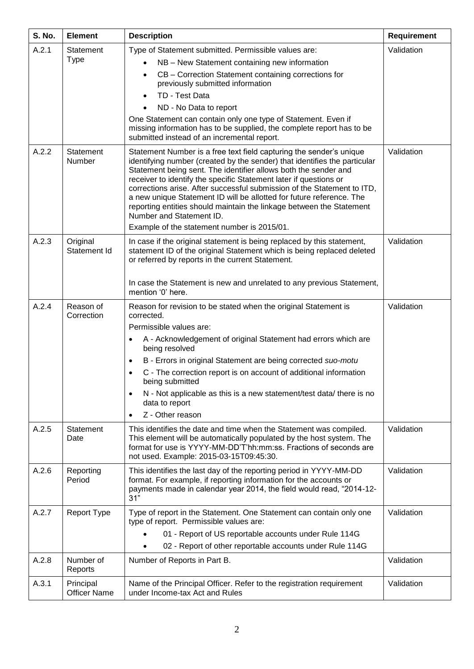| <b>S. No.</b> | <b>Element</b>                   | <b>Description</b>                                                                                                                                                                                                                                                                                                                                                                                                                                                                                                                                                                             | Requirement |
|---------------|----------------------------------|------------------------------------------------------------------------------------------------------------------------------------------------------------------------------------------------------------------------------------------------------------------------------------------------------------------------------------------------------------------------------------------------------------------------------------------------------------------------------------------------------------------------------------------------------------------------------------------------|-------------|
| A.2.1         | Statement                        | Type of Statement submitted. Permissible values are:                                                                                                                                                                                                                                                                                                                                                                                                                                                                                                                                           | Validation  |
|               | <b>Type</b>                      | NB - New Statement containing new information                                                                                                                                                                                                                                                                                                                                                                                                                                                                                                                                                  |             |
|               |                                  | CB – Correction Statement containing corrections for<br>previously submitted information                                                                                                                                                                                                                                                                                                                                                                                                                                                                                                       |             |
|               |                                  | TD - Test Data                                                                                                                                                                                                                                                                                                                                                                                                                                                                                                                                                                                 |             |
|               |                                  | ND - No Data to report                                                                                                                                                                                                                                                                                                                                                                                                                                                                                                                                                                         |             |
|               |                                  | One Statement can contain only one type of Statement. Even if<br>missing information has to be supplied, the complete report has to be<br>submitted instead of an incremental report.                                                                                                                                                                                                                                                                                                                                                                                                          |             |
| A.2.2         | Statement<br>Number              | Statement Number is a free text field capturing the sender's unique<br>identifying number (created by the sender) that identifies the particular<br>Statement being sent. The identifier allows both the sender and<br>receiver to identify the specific Statement later if questions or<br>corrections arise. After successful submission of the Statement to ITD,<br>a new unique Statement ID will be allotted for future reference. The<br>reporting entities should maintain the linkage between the Statement<br>Number and Statement ID.<br>Example of the statement number is 2015/01. | Validation  |
|               |                                  |                                                                                                                                                                                                                                                                                                                                                                                                                                                                                                                                                                                                |             |
| A.2.3         | Original<br>Statement Id         | In case if the original statement is being replaced by this statement,<br>statement ID of the original Statement which is being replaced deleted<br>or referred by reports in the current Statement.                                                                                                                                                                                                                                                                                                                                                                                           | Validation  |
|               |                                  | In case the Statement is new and unrelated to any previous Statement,<br>mention '0' here.                                                                                                                                                                                                                                                                                                                                                                                                                                                                                                     |             |
| A.2.4         | Reason of<br>Correction          | Reason for revision to be stated when the original Statement is<br>corrected.                                                                                                                                                                                                                                                                                                                                                                                                                                                                                                                  | Validation  |
|               |                                  | Permissible values are:                                                                                                                                                                                                                                                                                                                                                                                                                                                                                                                                                                        |             |
|               |                                  | A - Acknowledgement of original Statement had errors which are<br>$\bullet$<br>being resolved                                                                                                                                                                                                                                                                                                                                                                                                                                                                                                  |             |
|               |                                  | B - Errors in original Statement are being corrected suo-motu<br>$\bullet$                                                                                                                                                                                                                                                                                                                                                                                                                                                                                                                     |             |
|               |                                  | C - The correction report is on account of additional information<br>beina submitted                                                                                                                                                                                                                                                                                                                                                                                                                                                                                                           |             |
|               |                                  | N - Not applicable as this is a new statement/test data/ there is no<br>data to report<br>Z - Other reason<br>$\bullet$                                                                                                                                                                                                                                                                                                                                                                                                                                                                        |             |
| A.2.5         | Statement<br>Date                | This identifies the date and time when the Statement was compiled.<br>This element will be automatically populated by the host system. The<br>format for use is YYYY-MM-DD'T'hh:mm:ss. Fractions of seconds are<br>not used. Example: 2015-03-15T09:45:30.                                                                                                                                                                                                                                                                                                                                     | Validation  |
| A.2.6         | Reporting<br>Period              | This identifies the last day of the reporting period in YYYY-MM-DD<br>format. For example, if reporting information for the accounts or<br>payments made in calendar year 2014, the field would read, "2014-12-<br>31"                                                                                                                                                                                                                                                                                                                                                                         | Validation  |
| A.2.7         | <b>Report Type</b>               | Type of report in the Statement. One Statement can contain only one<br>type of report. Permissible values are:                                                                                                                                                                                                                                                                                                                                                                                                                                                                                 | Validation  |
|               |                                  | 01 - Report of US reportable accounts under Rule 114G<br>02 - Report of other reportable accounts under Rule 114G                                                                                                                                                                                                                                                                                                                                                                                                                                                                              |             |
| A.2.8         | Number of<br>Reports             | Number of Reports in Part B.                                                                                                                                                                                                                                                                                                                                                                                                                                                                                                                                                                   | Validation  |
| A.3.1         | Principal<br><b>Officer Name</b> | Name of the Principal Officer. Refer to the registration requirement<br>under Income-tax Act and Rules                                                                                                                                                                                                                                                                                                                                                                                                                                                                                         | Validation  |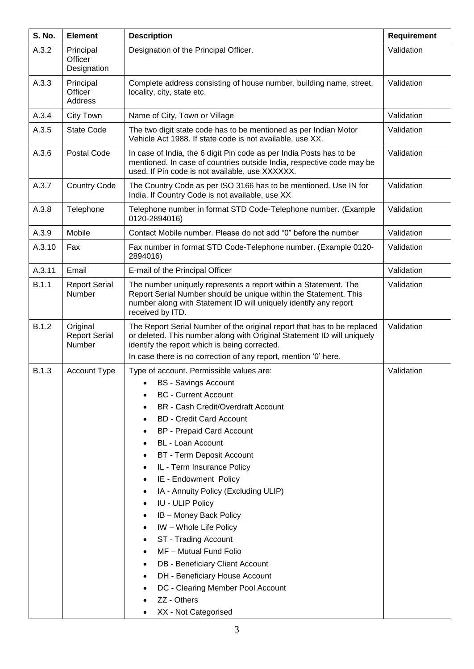| <b>S. No.</b> | <b>Element</b>                             | <b>Description</b>                                                                                                                                                                                                          | Requirement |
|---------------|--------------------------------------------|-----------------------------------------------------------------------------------------------------------------------------------------------------------------------------------------------------------------------------|-------------|
| A.3.2         | Principal<br>Officer<br>Designation        | Designation of the Principal Officer.                                                                                                                                                                                       | Validation  |
| A.3.3         | Principal<br>Officer<br><b>Address</b>     | Complete address consisting of house number, building name, street,<br>locality, city, state etc.                                                                                                                           | Validation  |
| A.3.4         | City Town                                  | Name of City, Town or Village                                                                                                                                                                                               | Validation  |
| A.3.5         | <b>State Code</b>                          | The two digit state code has to be mentioned as per Indian Motor<br>Vehicle Act 1988. If state code is not available, use XX.                                                                                               | Validation  |
| A.3.6         | Postal Code                                | In case of India, the 6 digit Pin code as per India Posts has to be<br>mentioned. In case of countries outside India, respective code may be<br>used. If Pin code is not available, use XXXXXX.                             | Validation  |
| A.3.7         | <b>Country Code</b>                        | The Country Code as per ISO 3166 has to be mentioned. Use IN for<br>India. If Country Code is not available, use XX                                                                                                         | Validation  |
| A.3.8         | Telephone                                  | Telephone number in format STD Code-Telephone number. (Example<br>0120-2894016)                                                                                                                                             | Validation  |
| A.3.9         | Mobile                                     | Contact Mobile number. Please do not add "0" before the number                                                                                                                                                              | Validation  |
| A.3.10        | Fax                                        | Fax number in format STD Code-Telephone number. (Example 0120-<br>2894016)                                                                                                                                                  | Validation  |
| A.3.11        | Email                                      | E-mail of the Principal Officer                                                                                                                                                                                             | Validation  |
| B.1.1         | <b>Report Serial</b><br>Number             | The number uniquely represents a report within a Statement. The<br>Report Serial Number should be unique within the Statement. This<br>number along with Statement ID will uniquely identify any report<br>received by ITD. | Validation  |
| B.1.2         | Original<br><b>Report Serial</b><br>Number | The Report Serial Number of the original report that has to be replaced<br>or deleted. This number along with Original Statement ID will uniquely<br>identify the report which is being corrected.                          | Validation  |
|               |                                            | In case there is no correction of any report, mention '0' here.                                                                                                                                                             |             |
| <b>B.1.3</b>  | Account Type                               | Type of account. Permissible values are:                                                                                                                                                                                    | Validation  |
|               |                                            | • BS - Savings Account                                                                                                                                                                                                      |             |
|               |                                            | <b>BC</b> - Current Account                                                                                                                                                                                                 |             |
|               |                                            | <b>BR</b> - Cash Credit/Overdraft Account                                                                                                                                                                                   |             |
|               |                                            | <b>BD</b> - Credit Card Account                                                                                                                                                                                             |             |
|               |                                            | <b>BP</b> - Prepaid Card Account                                                                                                                                                                                            |             |
|               |                                            | <b>BL</b> - Loan Account<br><b>BT - Term Deposit Account</b>                                                                                                                                                                |             |
|               |                                            | ٠<br>IL - Term Insurance Policy                                                                                                                                                                                             |             |
|               |                                            | IE - Endowment Policy                                                                                                                                                                                                       |             |
|               |                                            | IA - Annuity Policy (Excluding ULIP)<br>$\bullet$                                                                                                                                                                           |             |
|               |                                            | IU - ULIP Policy<br>٠                                                                                                                                                                                                       |             |
|               |                                            | IB-Money Back Policy                                                                                                                                                                                                        |             |
|               |                                            | IW - Whole Life Policy                                                                                                                                                                                                      |             |
|               |                                            | ST - Trading Account<br>٠                                                                                                                                                                                                   |             |
|               |                                            | MF - Mutual Fund Folio                                                                                                                                                                                                      |             |
|               |                                            | DB - Beneficiary Client Account                                                                                                                                                                                             |             |
|               |                                            | DH - Beneficiary House Account<br>٠                                                                                                                                                                                         |             |
|               |                                            | DC - Clearing Member Pool Account                                                                                                                                                                                           |             |
|               |                                            | ZZ - Others                                                                                                                                                                                                                 |             |
|               |                                            | XX - Not Categorised                                                                                                                                                                                                        |             |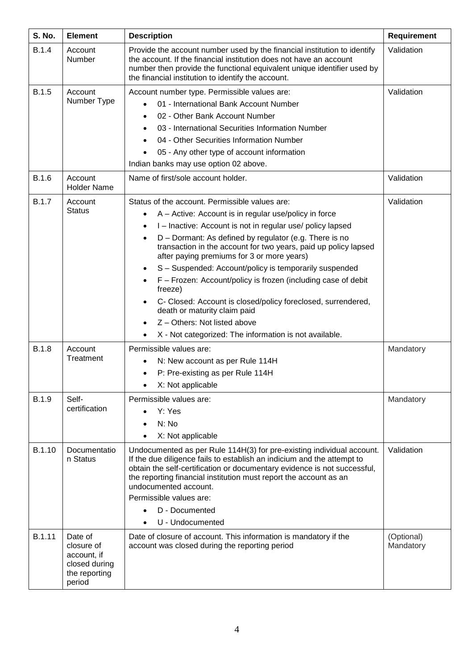| <b>S. No.</b> | <b>Element</b>                                                                   | <b>Description</b>                                                                                                                                                                                                                                                                                                                                                                                                                                                                                                                                                                                                                                                                                                                                             | Requirement             |
|---------------|----------------------------------------------------------------------------------|----------------------------------------------------------------------------------------------------------------------------------------------------------------------------------------------------------------------------------------------------------------------------------------------------------------------------------------------------------------------------------------------------------------------------------------------------------------------------------------------------------------------------------------------------------------------------------------------------------------------------------------------------------------------------------------------------------------------------------------------------------------|-------------------------|
| <b>B.1.4</b>  | Account<br>Number                                                                | Provide the account number used by the financial institution to identify<br>the account. If the financial institution does not have an account<br>number then provide the functional equivalent unique identifier used by<br>the financial institution to identify the account.                                                                                                                                                                                                                                                                                                                                                                                                                                                                                | Validation              |
| B.1.5         | Account<br>Number Type                                                           | Account number type. Permissible values are:<br>01 - International Bank Account Number<br>$\bullet$<br>02 - Other Bank Account Number<br>$\bullet$<br>03 - International Securities Information Number<br>04 - Other Securities Information Number<br>05 - Any other type of account information<br>Indian banks may use option 02 above.                                                                                                                                                                                                                                                                                                                                                                                                                      | Validation              |
| <b>B.1.6</b>  | Account<br><b>Holder Name</b>                                                    | Name of first/sole account holder.                                                                                                                                                                                                                                                                                                                                                                                                                                                                                                                                                                                                                                                                                                                             | Validation              |
| <b>B.1.7</b>  | Account<br><b>Status</b>                                                         | Status of the account. Permissible values are:<br>A - Active: Account is in regular use/policy in force<br>$\bullet$<br>I - Inactive: Account is not in regular use/ policy lapsed<br>$\bullet$<br>D - Dormant: As defined by regulator (e.g. There is no<br>$\bullet$<br>transaction in the account for two years, paid up policy lapsed<br>after paying premiums for 3 or more years)<br>S - Suspended: Account/policy is temporarily suspended<br>$\bullet$<br>F - Frozen: Account/policy is frozen (including case of debit<br>freeze)<br>C- Closed: Account is closed/policy foreclosed, surrendered,<br>$\bullet$<br>death or maturity claim paid<br>Z - Others: Not listed above<br>X - Not categorized: The information is not available.<br>$\bullet$ | Validation              |
| <b>B.1.8</b>  | Account<br>Treatment                                                             | Permissible values are:<br>N: New account as per Rule 114H<br>$\bullet$<br>P: Pre-existing as per Rule 114H<br>$\bullet$<br>X: Not applicable                                                                                                                                                                                                                                                                                                                                                                                                                                                                                                                                                                                                                  | Mandatory               |
| <b>B.1.9</b>  | Self-<br>certification                                                           | Permissible values are:<br>Y: Yes<br>$\bullet$<br>N: No<br>X: Not applicable<br>$\bullet$                                                                                                                                                                                                                                                                                                                                                                                                                                                                                                                                                                                                                                                                      | Mandatory               |
| B.1.10        | Documentatio<br>n Status                                                         | Undocumented as per Rule 114H(3) for pre-existing individual account.<br>If the due diligence fails to establish an indicium and the attempt to<br>obtain the self-certification or documentary evidence is not successful,<br>the reporting financial institution must report the account as an<br>undocumented account.<br>Permissible values are:<br>D - Documented<br>U - Undocumented                                                                                                                                                                                                                                                                                                                                                                     | Validation              |
| B.1.11        | Date of<br>closure of<br>account, if<br>closed during<br>the reporting<br>period | Date of closure of account. This information is mandatory if the<br>account was closed during the reporting period                                                                                                                                                                                                                                                                                                                                                                                                                                                                                                                                                                                                                                             | (Optional)<br>Mandatory |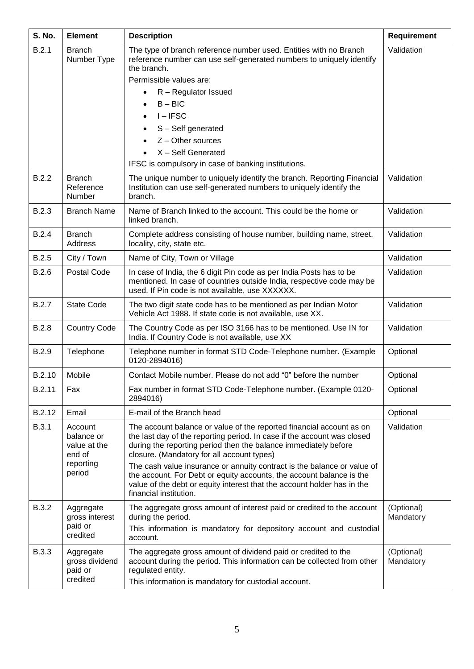| <b>S. No.</b> | <b>Element</b>                                                         | <b>Description</b>                                                                                                                                                                                                                                                                                                                                                                                                                                                                                                       | <b>Requirement</b>      |
|---------------|------------------------------------------------------------------------|--------------------------------------------------------------------------------------------------------------------------------------------------------------------------------------------------------------------------------------------------------------------------------------------------------------------------------------------------------------------------------------------------------------------------------------------------------------------------------------------------------------------------|-------------------------|
| B.2.1         | <b>Branch</b><br>Number Type                                           | The type of branch reference number used. Entities with no Branch<br>reference number can use self-generated numbers to uniquely identify<br>the branch.<br>Permissible values are:<br>R - Regulator Issued<br>$B - BIC$<br>$I - IFSC$<br>S-Self generated<br>$Z$ – Other sources<br>$X - Self$ Generated<br>IFSC is compulsory in case of banking institutions.                                                                                                                                                         | Validation              |
| B.2.2         | <b>Branch</b><br>Reference<br>Number                                   | The unique number to uniquely identify the branch. Reporting Financial<br>Institution can use self-generated numbers to uniquely identify the<br>branch.                                                                                                                                                                                                                                                                                                                                                                 | Validation              |
| B.2.3         | <b>Branch Name</b>                                                     | Name of Branch linked to the account. This could be the home or<br>linked branch.                                                                                                                                                                                                                                                                                                                                                                                                                                        | Validation              |
| B.2.4         | <b>Branch</b><br>Address                                               | Complete address consisting of house number, building name, street,<br>locality, city, state etc.                                                                                                                                                                                                                                                                                                                                                                                                                        | Validation              |
| B.2.5         | City / Town                                                            | Name of City, Town or Village                                                                                                                                                                                                                                                                                                                                                                                                                                                                                            | Validation              |
| B.2.6         | Postal Code                                                            | In case of India, the 6 digit Pin code as per India Posts has to be<br>mentioned. In case of countries outside India, respective code may be<br>used. If Pin code is not available, use XXXXXX.                                                                                                                                                                                                                                                                                                                          | Validation              |
| B.2.7         | <b>State Code</b>                                                      | The two digit state code has to be mentioned as per Indian Motor<br>Vehicle Act 1988. If state code is not available, use XX.                                                                                                                                                                                                                                                                                                                                                                                            | Validation              |
| B.2.8         | <b>Country Code</b>                                                    | The Country Code as per ISO 3166 has to be mentioned. Use IN for<br>India. If Country Code is not available, use XX                                                                                                                                                                                                                                                                                                                                                                                                      | Validation              |
| B.2.9         | Telephone                                                              | Telephone number in format STD Code-Telephone number. (Example<br>0120-2894016)                                                                                                                                                                                                                                                                                                                                                                                                                                          | Optional                |
| B.2.10        | Mobile                                                                 | Contact Mobile number. Please do not add "0" before the number                                                                                                                                                                                                                                                                                                                                                                                                                                                           | Optional                |
| B.2.11        | Fax                                                                    | Fax number in format STD Code-Telephone number. (Example 0120-<br>2894016)                                                                                                                                                                                                                                                                                                                                                                                                                                               | Optional                |
| B.2.12        | Email                                                                  | E-mail of the Branch head                                                                                                                                                                                                                                                                                                                                                                                                                                                                                                | Optional                |
| <b>B.3.1</b>  | Account<br>balance or<br>value at the<br>end of<br>reporting<br>period | The account balance or value of the reported financial account as on<br>the last day of the reporting period. In case if the account was closed<br>during the reporting period then the balance immediately before<br>closure. (Mandatory for all account types)<br>The cash value insurance or annuity contract is the balance or value of<br>the account. For Debt or equity accounts, the account balance is the<br>value of the debt or equity interest that the account holder has in the<br>financial institution. | Validation              |
| <b>B.3.2</b>  | Aggregate<br>gross interest<br>paid or<br>credited                     | The aggregate gross amount of interest paid or credited to the account<br>during the period.<br>This information is mandatory for depository account and custodial<br>account.                                                                                                                                                                                                                                                                                                                                           | (Optional)<br>Mandatory |
| <b>B.3.3</b>  | Aggregate<br>gross dividend<br>paid or<br>credited                     | The aggregate gross amount of dividend paid or credited to the<br>account during the period. This information can be collected from other<br>regulated entity.<br>This information is mandatory for custodial account.                                                                                                                                                                                                                                                                                                   | (Optional)<br>Mandatory |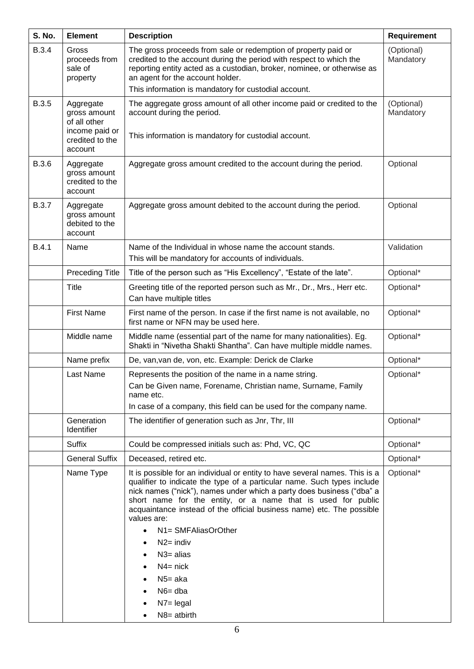| S. No.       | <b>Element</b>                                                                            | <b>Description</b>                                                                                                                                                                                                                                                                                                                                                                                                                                                                                                                           | <b>Requirement</b>      |
|--------------|-------------------------------------------------------------------------------------------|----------------------------------------------------------------------------------------------------------------------------------------------------------------------------------------------------------------------------------------------------------------------------------------------------------------------------------------------------------------------------------------------------------------------------------------------------------------------------------------------------------------------------------------------|-------------------------|
| <b>B.3.4</b> | Gross<br>proceeds from<br>sale of<br>property                                             | The gross proceeds from sale or redemption of property paid or<br>credited to the account during the period with respect to which the<br>reporting entity acted as a custodian, broker, nominee, or otherwise as<br>an agent for the account holder.<br>This information is mandatory for custodial account.                                                                                                                                                                                                                                 | (Optional)<br>Mandatory |
|              |                                                                                           |                                                                                                                                                                                                                                                                                                                                                                                                                                                                                                                                              |                         |
| <b>B.3.5</b> | Aggregate<br>gross amount<br>of all other<br>income paid or<br>credited to the<br>account | The aggregate gross amount of all other income paid or credited to the<br>account during the period.<br>This information is mandatory for custodial account.                                                                                                                                                                                                                                                                                                                                                                                 | (Optional)<br>Mandatory |
| <b>B.3.6</b> | Aggregate<br>gross amount<br>credited to the<br>account                                   | Aggregate gross amount credited to the account during the period.                                                                                                                                                                                                                                                                                                                                                                                                                                                                            | Optional                |
| <b>B.3.7</b> | Aggregate<br>gross amount<br>debited to the<br>account                                    | Aggregate gross amount debited to the account during the period.                                                                                                                                                                                                                                                                                                                                                                                                                                                                             | Optional                |
| <b>B.4.1</b> | Name                                                                                      | Name of the Individual in whose name the account stands.<br>This will be mandatory for accounts of individuals.                                                                                                                                                                                                                                                                                                                                                                                                                              | Validation              |
|              | <b>Preceding Title</b>                                                                    | Title of the person such as "His Excellency", "Estate of the late".                                                                                                                                                                                                                                                                                                                                                                                                                                                                          | Optional*               |
|              | Title                                                                                     | Greeting title of the reported person such as Mr., Dr., Mrs., Herr etc.<br>Can have multiple titles                                                                                                                                                                                                                                                                                                                                                                                                                                          | Optional*               |
|              | <b>First Name</b>                                                                         | First name of the person. In case if the first name is not available, no<br>first name or NFN may be used here.                                                                                                                                                                                                                                                                                                                                                                                                                              | Optional*               |
|              | Middle name                                                                               | Middle name (essential part of the name for many nationalities). Eg.<br>Shakti in "Nivetha Shakti Shantha". Can have multiple middle names.                                                                                                                                                                                                                                                                                                                                                                                                  | Optional*               |
|              | Name prefix                                                                               | De, van, van de, von, etc. Example: Derick de Clarke                                                                                                                                                                                                                                                                                                                                                                                                                                                                                         | Optional*               |
|              | Last Name                                                                                 | Represents the position of the name in a name string.                                                                                                                                                                                                                                                                                                                                                                                                                                                                                        | Optional*               |
|              |                                                                                           | Can be Given name, Forename, Christian name, Surname, Family<br>name etc.                                                                                                                                                                                                                                                                                                                                                                                                                                                                    |                         |
|              |                                                                                           | In case of a company, this field can be used for the company name.                                                                                                                                                                                                                                                                                                                                                                                                                                                                           |                         |
|              | Generation<br>Identifier                                                                  | The identifier of generation such as Jnr, Thr, III                                                                                                                                                                                                                                                                                                                                                                                                                                                                                           | Optional*               |
|              | Suffix                                                                                    | Could be compressed initials such as: Phd, VC, QC                                                                                                                                                                                                                                                                                                                                                                                                                                                                                            | Optional*               |
|              | <b>General Suffix</b>                                                                     | Deceased, retired etc.                                                                                                                                                                                                                                                                                                                                                                                                                                                                                                                       | Optional*               |
|              | Name Type                                                                                 | It is possible for an individual or entity to have several names. This is a<br>qualifier to indicate the type of a particular name. Such types include<br>nick names ("nick"), names under which a party does business ("dba" a<br>short name for the entity, or a name that is used for public<br>acquaintance instead of the official business name) etc. The possible<br>values are:<br>N1= SMFAliasOrOther<br>$\bullet$<br>$N2 =$ indiv<br>$N3 = \text{alias}$<br>$N4$ = nick<br>$N5 = aka$<br>$N6 = dba$<br>$N7 =$ legal<br>N8= atbirth | Optional*               |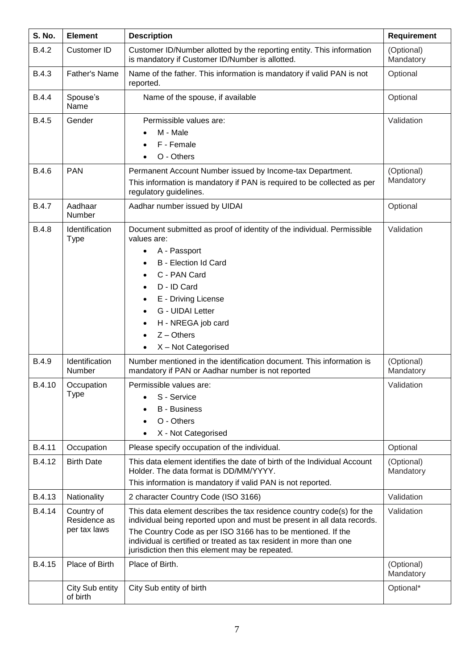| S. No.       | <b>Element</b>                             | <b>Description</b>                                                                                                                                                                                                                                                                                                                         | <b>Requirement</b>      |
|--------------|--------------------------------------------|--------------------------------------------------------------------------------------------------------------------------------------------------------------------------------------------------------------------------------------------------------------------------------------------------------------------------------------------|-------------------------|
| <b>B.4.2</b> | <b>Customer ID</b>                         | Customer ID/Number allotted by the reporting entity. This information<br>is mandatory if Customer ID/Number is allotted.                                                                                                                                                                                                                   | (Optional)<br>Mandatory |
| <b>B.4.3</b> | <b>Father's Name</b>                       | Name of the father. This information is mandatory if valid PAN is not<br>reported.                                                                                                                                                                                                                                                         | Optional                |
| <b>B.4.4</b> | Spouse's<br>Name                           | Name of the spouse, if available                                                                                                                                                                                                                                                                                                           | Optional                |
| <b>B.4.5</b> | Gender                                     | Permissible values are:<br>M - Male<br>F - Female<br>O - Others                                                                                                                                                                                                                                                                            | Validation              |
| <b>B.4.6</b> | <b>PAN</b>                                 | Permanent Account Number issued by Income-tax Department.<br>This information is mandatory if PAN is required to be collected as per<br>regulatory guidelines.                                                                                                                                                                             | (Optional)<br>Mandatory |
| <b>B.4.7</b> | Aadhaar<br>Number                          | Aadhar number issued by UIDAI                                                                                                                                                                                                                                                                                                              | Optional                |
| <b>B.4.8</b> | Identification<br><b>Type</b>              | Document submitted as proof of identity of the individual. Permissible<br>values are:<br>A - Passport<br>$\bullet$<br><b>B</b> - Election Id Card<br>C - PAN Card<br>D - ID Card<br>E - Driving License<br>G - UIDAI Letter<br>H - NREGA job card<br>$Z$ – Others<br>X - Not Categorised                                                   | Validation              |
| <b>B.4.9</b> | Identification<br>Number                   | Number mentioned in the identification document. This information is<br>mandatory if PAN or Aadhar number is not reported                                                                                                                                                                                                                  | (Optional)<br>Mandatory |
| B.4.10       | Occupation<br><b>Type</b>                  | Permissible values are:<br>S - Service<br><b>B</b> - Business<br>O - Others<br>X - Not Categorised                                                                                                                                                                                                                                         | Validation              |
| B.4.11       | Occupation                                 | Please specify occupation of the individual.                                                                                                                                                                                                                                                                                               | Optional                |
| B.4.12       | <b>Birth Date</b>                          | This data element identifies the date of birth of the Individual Account<br>Holder. The data format is DD/MM/YYYY.<br>This information is mandatory if valid PAN is not reported.                                                                                                                                                          | (Optional)<br>Mandatory |
| B.4.13       | Nationality                                | 2 character Country Code (ISO 3166)                                                                                                                                                                                                                                                                                                        | Validation              |
| B.4.14       | Country of<br>Residence as<br>per tax laws | This data element describes the tax residence country code(s) for the<br>individual being reported upon and must be present in all data records.<br>The Country Code as per ISO 3166 has to be mentioned. If the<br>individual is certified or treated as tax resident in more than one<br>jurisdiction then this element may be repeated. | Validation              |
| B.4.15       | Place of Birth                             | Place of Birth.                                                                                                                                                                                                                                                                                                                            | (Optional)<br>Mandatory |
|              | City Sub entity<br>of birth                | City Sub entity of birth                                                                                                                                                                                                                                                                                                                   | Optional*               |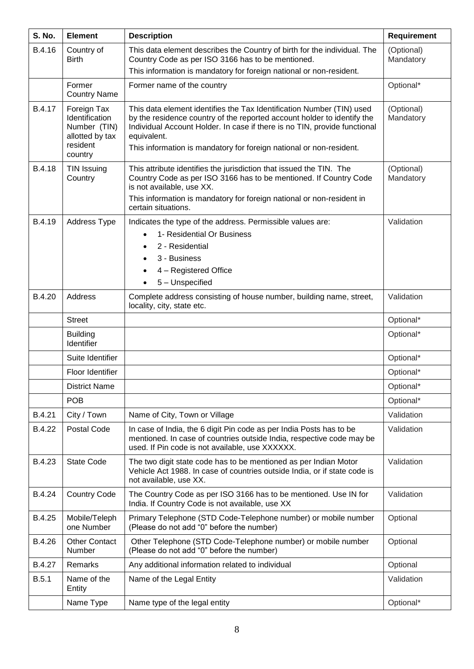| S. No.        | <b>Element</b>                                                                          | <b>Description</b>                                                                                                                                                                                                                                                                                                  | Requirement             |
|---------------|-----------------------------------------------------------------------------------------|---------------------------------------------------------------------------------------------------------------------------------------------------------------------------------------------------------------------------------------------------------------------------------------------------------------------|-------------------------|
| <b>B.4.16</b> | Country of<br><b>Birth</b>                                                              | This data element describes the Country of birth for the individual. The<br>Country Code as per ISO 3166 has to be mentioned.<br>This information is mandatory for foreign national or non-resident.                                                                                                                | (Optional)<br>Mandatory |
|               | Former<br><b>Country Name</b>                                                           | Former name of the country                                                                                                                                                                                                                                                                                          | Optional*               |
| B.4.17        | Foreign Tax<br>Identification<br>Number (TIN)<br>allotted by tax<br>resident<br>country | This data element identifies the Tax Identification Number (TIN) used<br>by the residence country of the reported account holder to identify the<br>Individual Account Holder. In case if there is no TIN, provide functional<br>equivalent.<br>This information is mandatory for foreign national or non-resident. | (Optional)<br>Mandatory |
| B.4.18        | <b>TIN Issuing</b><br>Country                                                           | This attribute identifies the jurisdiction that issued the TIN. The<br>Country Code as per ISO 3166 has to be mentioned. If Country Code<br>is not available, use XX.<br>This information is mandatory for foreign national or non-resident in<br>certain situations.                                               | (Optional)<br>Mandatory |
| <b>B.4.19</b> | Address Type                                                                            | Indicates the type of the address. Permissible values are:<br>1- Residential Or Business<br>2 - Residential<br>3 - Business<br>4 - Registered Office<br>5 - Unspecified                                                                                                                                             | Validation              |
| <b>B.4.20</b> | Address                                                                                 | Complete address consisting of house number, building name, street,<br>locality, city, state etc.                                                                                                                                                                                                                   | Validation              |
|               | <b>Street</b>                                                                           |                                                                                                                                                                                                                                                                                                                     | Optional*               |
|               | <b>Building</b><br>Identifier                                                           |                                                                                                                                                                                                                                                                                                                     | Optional*               |
|               | Suite Identifier                                                                        |                                                                                                                                                                                                                                                                                                                     | Optional*               |
|               | Floor Identifier                                                                        |                                                                                                                                                                                                                                                                                                                     | Optional*               |
|               | <b>District Name</b>                                                                    |                                                                                                                                                                                                                                                                                                                     | Optional*               |
|               | <b>POB</b>                                                                              |                                                                                                                                                                                                                                                                                                                     | Optional*               |
| B.4.21        | City / Town                                                                             | Name of City, Town or Village                                                                                                                                                                                                                                                                                       | Validation              |
| B.4.22        | Postal Code                                                                             | In case of India, the 6 digit Pin code as per India Posts has to be<br>mentioned. In case of countries outside India, respective code may be<br>used. If Pin code is not available, use XXXXXX.                                                                                                                     | Validation              |
| B.4.23        | <b>State Code</b>                                                                       | The two digit state code has to be mentioned as per Indian Motor<br>Vehicle Act 1988. In case of countries outside India, or if state code is<br>not available, use XX.                                                                                                                                             | Validation              |
| B.4.24        | <b>Country Code</b>                                                                     | The Country Code as per ISO 3166 has to be mentioned. Use IN for<br>India. If Country Code is not available, use XX                                                                                                                                                                                                 | Validation              |
| B.4.25        | Mobile/Teleph<br>one Number                                                             | Primary Telephone (STD Code-Telephone number) or mobile number<br>(Please do not add "0" before the number)                                                                                                                                                                                                         | Optional                |
| B.4.26        | <b>Other Contact</b><br>Number                                                          | Other Telephone (STD Code-Telephone number) or mobile number<br>(Please do not add "0" before the number)                                                                                                                                                                                                           | Optional                |
| B.4.27        | Remarks                                                                                 | Any additional information related to individual                                                                                                                                                                                                                                                                    | Optional                |
| B.5.1         | Name of the<br>Entity                                                                   | Name of the Legal Entity                                                                                                                                                                                                                                                                                            | Validation              |
|               | Name Type                                                                               | Name type of the legal entity                                                                                                                                                                                                                                                                                       | Optional*               |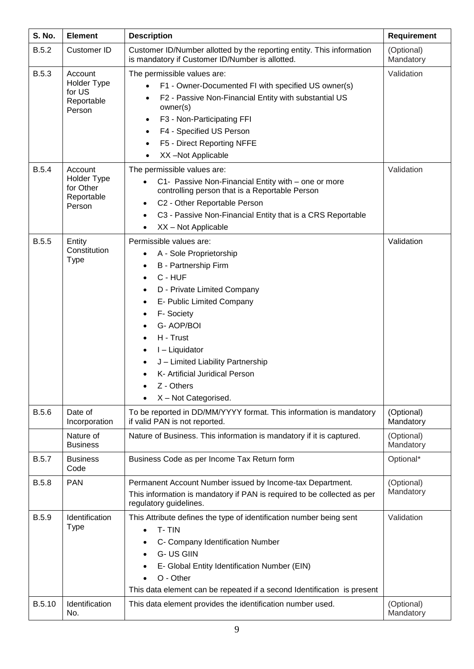| S. No.                 | <b>Element</b>                                              | <b>Description</b>                                                                                                                                                                                                                                                                                                                                      | Requirement              |
|------------------------|-------------------------------------------------------------|---------------------------------------------------------------------------------------------------------------------------------------------------------------------------------------------------------------------------------------------------------------------------------------------------------------------------------------------------------|--------------------------|
| B.5.2                  | <b>Customer ID</b>                                          | Customer ID/Number allotted by the reporting entity. This information<br>is mandatory if Customer ID/Number is allotted.                                                                                                                                                                                                                                | (Optional)<br>Mandatory  |
| <b>B.5.3</b>           | Account<br>Holder Type<br>for US<br>Reportable<br>Person    | The permissible values are:<br>F1 - Owner-Documented FI with specified US owner(s)<br>$\bullet$<br>F2 - Passive Non-Financial Entity with substantial US<br>owner(s)<br>F3 - Non-Participating FFI<br>$\bullet$<br>F4 - Specified US Person<br>$\bullet$<br>F5 - Direct Reporting NFFE<br>$\bullet$<br>XX-Not Applicable                                | Validation               |
| <b>B.5.4</b>           | Account<br>Holder Type<br>for Other<br>Reportable<br>Person | The permissible values are:<br>C1- Passive Non-Financial Entity with - one or more<br>$\bullet$<br>controlling person that is a Reportable Person<br>C2 - Other Reportable Person<br>٠<br>C3 - Passive Non-Financial Entity that is a CRS Reportable<br>XX - Not Applicable                                                                             | Validation               |
| <b>B.5.5</b>           | Entity<br>Constitution<br><b>Type</b>                       | Permissible values are:<br>A - Sole Proprietorship<br>B - Partnership Firm<br>C - HUF<br>$\bullet$<br>D - Private Limited Company<br>E- Public Limited Company<br>F-Society<br>G-AOP/BOI<br>H - Trust<br>I - Liquidator<br>J - Limited Liability Partnership<br>K- Artificial Juridical Person<br>Z - Others<br>X - Not Categorised.                    | Validation               |
| B.5.6                  | Date of<br>Incorporation                                    | To be reported in DD/MM/YYYY format. This information is mandatory<br>if valid PAN is not reported.                                                                                                                                                                                                                                                     | (Optional)<br>Mandatory  |
|                        | Nature of<br><b>Business</b>                                | Nature of Business. This information is mandatory if it is captured.                                                                                                                                                                                                                                                                                    | (Optional)<br>Mandatory  |
| <b>B.5.7</b>           | <b>Business</b><br>Code                                     | Business Code as per Income Tax Return form                                                                                                                                                                                                                                                                                                             | Optional*                |
| <b>B.5.8</b>           | <b>PAN</b>                                                  | Permanent Account Number issued by Income-tax Department.<br>This information is mandatory if PAN is required to be collected as per<br>regulatory guidelines.                                                                                                                                                                                          | (Optional)<br>Mandatory  |
| <b>B.5.9</b><br>B.5.10 | Identification<br><b>Type</b><br>Identification             | This Attribute defines the type of identification number being sent<br>T-TIN<br>$\bullet$<br>C- Company Identification Number<br><b>G-US GIIN</b><br>E- Global Entity Identification Number (EIN)<br>O - Other<br>This data element can be repeated if a second Identification is present<br>This data element provides the identification number used. | Validation<br>(Optional) |
|                        | No.                                                         |                                                                                                                                                                                                                                                                                                                                                         | Mandatory                |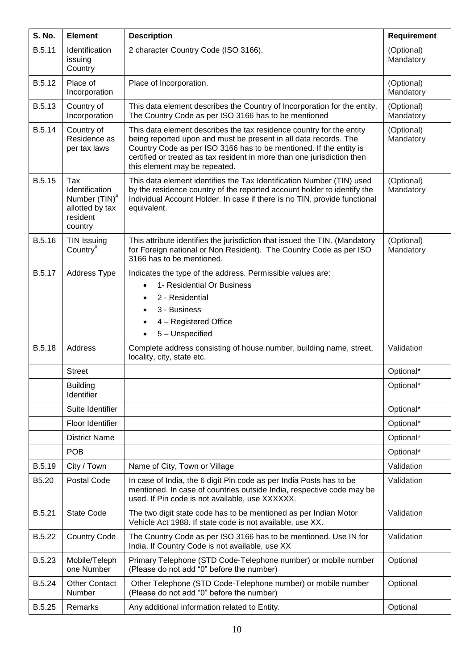| <b>S. No.</b> | <b>Element</b>                                                                               | <b>Description</b>                                                                                                                                                                                                                                                                                                         | Requirement             |
|---------------|----------------------------------------------------------------------------------------------|----------------------------------------------------------------------------------------------------------------------------------------------------------------------------------------------------------------------------------------------------------------------------------------------------------------------------|-------------------------|
| B.5.11        | Identification<br>issuing<br>Country                                                         | 2 character Country Code (ISO 3166).                                                                                                                                                                                                                                                                                       | (Optional)<br>Mandatory |
| B.5.12        | Place of<br>Incorporation                                                                    | Place of Incorporation.                                                                                                                                                                                                                                                                                                    | (Optional)<br>Mandatory |
| B.5.13        | Country of<br>Incorporation                                                                  | This data element describes the Country of Incorporation for the entity.<br>The Country Code as per ISO 3166 has to be mentioned                                                                                                                                                                                           | (Optional)<br>Mandatory |
| B.5.14        | Country of<br>Residence as<br>per tax laws                                                   | This data element describes the tax residence country for the entity<br>being reported upon and must be present in all data records. The<br>Country Code as per ISO 3166 has to be mentioned. If the entity is<br>certified or treated as tax resident in more than one jurisdiction then<br>this element may be repeated. | (Optional)<br>Mandatory |
| B.5.15        | Tax<br>Identification<br>Number (TIN) <sup>#</sup><br>allotted by tax<br>resident<br>country | This data element identifies the Tax Identification Number (TIN) used<br>by the residence country of the reported account holder to identify the<br>Individual Account Holder. In case if there is no TIN, provide functional<br>equivalent.                                                                               | (Optional)<br>Mandatory |
| B.5.16        | TIN Issuing<br>Country $#$                                                                   | This attribute identifies the jurisdiction that issued the TIN. (Mandatory<br>for Foreign national or Non Resident). The Country Code as per ISO<br>3166 has to be mentioned.                                                                                                                                              | (Optional)<br>Mandatory |
| B.5.17        | Address Type                                                                                 | Indicates the type of the address. Permissible values are:<br>1- Residential Or Business<br>2 - Residential<br>3 - Business<br>4 - Registered Office<br>5 - Unspecified                                                                                                                                                    |                         |
| B.5.18        | Address                                                                                      | Complete address consisting of house number, building name, street,<br>locality, city, state etc.                                                                                                                                                                                                                          | Validation              |
|               | <b>Street</b>                                                                                |                                                                                                                                                                                                                                                                                                                            | Optional*               |
|               | <b>Building</b><br>Identifier                                                                |                                                                                                                                                                                                                                                                                                                            | Optional*               |
|               | Suite Identifier                                                                             |                                                                                                                                                                                                                                                                                                                            | Optional*               |
|               | Floor Identifier                                                                             |                                                                                                                                                                                                                                                                                                                            | Optional*               |
|               | <b>District Name</b>                                                                         |                                                                                                                                                                                                                                                                                                                            | Optional*               |
|               | <b>POB</b>                                                                                   |                                                                                                                                                                                                                                                                                                                            | Optional*               |
| B.5.19        | City / Town                                                                                  | Name of City, Town or Village                                                                                                                                                                                                                                                                                              | Validation              |
| B5.20         | Postal Code                                                                                  | In case of India, the 6 digit Pin code as per India Posts has to be<br>mentioned. In case of countries outside India, respective code may be<br>used. If Pin code is not available, use XXXXXX.                                                                                                                            | Validation              |
| B.5.21        | <b>State Code</b>                                                                            | The two digit state code has to be mentioned as per Indian Motor<br>Vehicle Act 1988. If state code is not available, use XX.                                                                                                                                                                                              | Validation              |
| B.5.22        | <b>Country Code</b>                                                                          | The Country Code as per ISO 3166 has to be mentioned. Use IN for<br>India. If Country Code is not available, use XX                                                                                                                                                                                                        | Validation              |
| B.5.23        | Mobile/Teleph<br>one Number                                                                  | Primary Telephone (STD Code-Telephone number) or mobile number<br>(Please do not add "0" before the number)                                                                                                                                                                                                                | Optional                |
| B.5.24        | <b>Other Contact</b><br>Number                                                               | Other Telephone (STD Code-Telephone number) or mobile number<br>(Please do not add "0" before the number)                                                                                                                                                                                                                  | Optional                |
| B.5.25        | Remarks                                                                                      | Any additional information related to Entity.                                                                                                                                                                                                                                                                              | Optional                |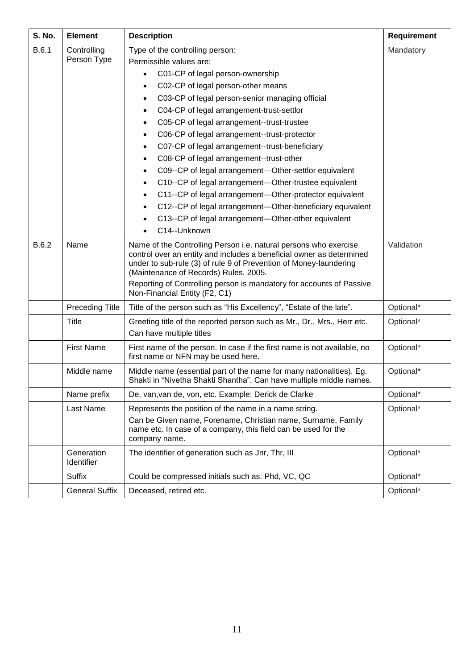| S. No. | <b>Element</b>             | <b>Description</b>                                                                                                                                                                                                                                                                                                                                                                                                                                                                                                                                                                                                                                                                                                                                                                                                        | Requirement |
|--------|----------------------------|---------------------------------------------------------------------------------------------------------------------------------------------------------------------------------------------------------------------------------------------------------------------------------------------------------------------------------------------------------------------------------------------------------------------------------------------------------------------------------------------------------------------------------------------------------------------------------------------------------------------------------------------------------------------------------------------------------------------------------------------------------------------------------------------------------------------------|-------------|
| B.6.1  | Controlling<br>Person Type | Type of the controlling person:<br>Permissible values are:<br>C01-CP of legal person-ownership<br>$\bullet$<br>C02-CP of legal person-other means<br>٠<br>C03-CP of legal person-senior managing official<br>٠<br>C04-CP of legal arrangement-trust-settlor<br>$\bullet$<br>C05-CP of legal arrangement--trust-trustee<br>٠<br>C06-CP of legal arrangement--trust-protector<br>$\bullet$<br>C07-CP of legal arrangement--trust-beneficiary<br>٠<br>C08-CP of legal arrangement--trust-other<br>C09--CP of legal arrangement-Other-settlor equivalent<br>C10--CP of legal arrangement-Other-trustee equivalent<br>$\bullet$<br>C11--CP of legal arrangement-Other-protector equivalent<br>C12--CP of legal arrangement-Other-beneficiary equivalent<br>C13--CP of legal arrangement-Other-other equivalent<br>C14--Unknown | Mandatory   |
| B.6.2  | Name                       | Name of the Controlling Person i.e. natural persons who exercise<br>control over an entity and includes a beneficial owner as determined<br>under to sub-rule (3) of rule 9 of Prevention of Money-laundering<br>(Maintenance of Records) Rules, 2005.<br>Reporting of Controlling person is mandatory for accounts of Passive<br>Non-Financial Entity (F2, C1)                                                                                                                                                                                                                                                                                                                                                                                                                                                           | Validation  |
|        | <b>Preceding Title</b>     | Title of the person such as "His Excellency", "Estate of the late".                                                                                                                                                                                                                                                                                                                                                                                                                                                                                                                                                                                                                                                                                                                                                       | Optional*   |
|        | Title                      | Greeting title of the reported person such as Mr., Dr., Mrs., Herr etc.<br>Can have multiple titles                                                                                                                                                                                                                                                                                                                                                                                                                                                                                                                                                                                                                                                                                                                       | Optional*   |
|        | <b>First Name</b>          | First name of the person. In case if the first name is not available, no<br>first name or NFN may be used here.                                                                                                                                                                                                                                                                                                                                                                                                                                                                                                                                                                                                                                                                                                           | Optional*   |
|        | Middle name                | Middle name (essential part of the name for many nationalities). Eg.<br>Shakti in "Nivetha Shakti Shantha". Can have multiple middle names.                                                                                                                                                                                                                                                                                                                                                                                                                                                                                                                                                                                                                                                                               | Optional*   |
|        | Name prefix                | De, van, van de, von, etc. Example: Derick de Clarke                                                                                                                                                                                                                                                                                                                                                                                                                                                                                                                                                                                                                                                                                                                                                                      | Optional*   |
|        | Last Name                  | Represents the position of the name in a name string.                                                                                                                                                                                                                                                                                                                                                                                                                                                                                                                                                                                                                                                                                                                                                                     | Optional*   |
|        |                            | Can be Given name, Forename, Christian name, Surname, Family<br>name etc. In case of a company, this field can be used for the<br>company name.                                                                                                                                                                                                                                                                                                                                                                                                                                                                                                                                                                                                                                                                           |             |
|        | Generation<br>Identifier   | The identifier of generation such as Jnr, Thr, III                                                                                                                                                                                                                                                                                                                                                                                                                                                                                                                                                                                                                                                                                                                                                                        | Optional*   |
|        | <b>Suffix</b>              | Could be compressed initials such as: Phd, VC, QC                                                                                                                                                                                                                                                                                                                                                                                                                                                                                                                                                                                                                                                                                                                                                                         | Optional*   |
|        | <b>General Suffix</b>      | Deceased, retired etc.                                                                                                                                                                                                                                                                                                                                                                                                                                                                                                                                                                                                                                                                                                                                                                                                    | Optional*   |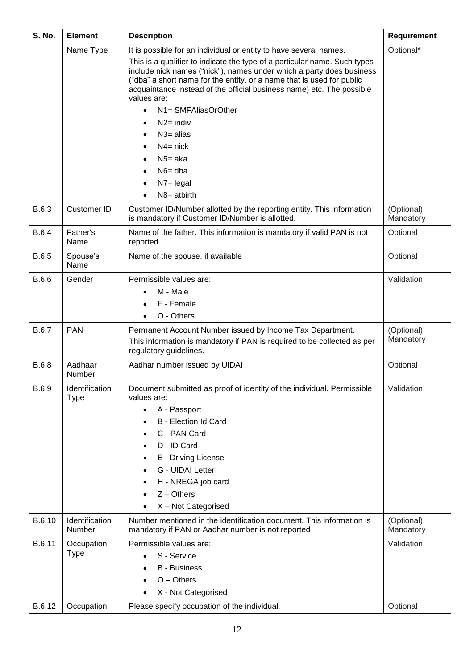| <b>S. No.</b> | <b>Element</b>            | <b>Description</b>                                                                                                                                                                                                                                                                                                 | Requirement             |
|---------------|---------------------------|--------------------------------------------------------------------------------------------------------------------------------------------------------------------------------------------------------------------------------------------------------------------------------------------------------------------|-------------------------|
|               | Name Type                 | It is possible for an individual or entity to have several names.                                                                                                                                                                                                                                                  | Optional*               |
|               |                           | This is a qualifier to indicate the type of a particular name. Such types<br>include nick names ("nick"), names under which a party does business<br>("dba" a short name for the entity, or a name that is used for public<br>acquaintance instead of the official business name) etc. The possible<br>values are: |                         |
|               |                           | N1= SMFAliasOrOther<br>$\bullet$                                                                                                                                                                                                                                                                                   |                         |
|               |                           | $N2=$ indiv                                                                                                                                                                                                                                                                                                        |                         |
|               |                           | $N3 = \text{alias}$                                                                                                                                                                                                                                                                                                |                         |
|               |                           | $N4$ = nick                                                                                                                                                                                                                                                                                                        |                         |
|               |                           | N <sub>5</sub> = aka                                                                                                                                                                                                                                                                                               |                         |
|               |                           | $N6 = dba$                                                                                                                                                                                                                                                                                                         |                         |
|               |                           | $N7 =$ legal                                                                                                                                                                                                                                                                                                       |                         |
|               |                           | $N8=$ atbirth                                                                                                                                                                                                                                                                                                      |                         |
| B.6.3         | <b>Customer ID</b>        | Customer ID/Number allotted by the reporting entity. This information<br>is mandatory if Customer ID/Number is allotted.                                                                                                                                                                                           | (Optional)<br>Mandatory |
| <b>B.6.4</b>  | Father's<br>Name          | Name of the father. This information is mandatory if valid PAN is not<br>reported.                                                                                                                                                                                                                                 | Optional                |
| B.6.5         | Spouse's<br>Name          | Name of the spouse, if available                                                                                                                                                                                                                                                                                   | Optional                |
| B.6.6         | Gender                    | Permissible values are:<br>M - Male<br>F - Female<br>O - Others                                                                                                                                                                                                                                                    | Validation              |
| B.6.7         | <b>PAN</b>                | Permanent Account Number issued by Income Tax Department.<br>This information is mandatory if PAN is required to be collected as per<br>regulatory guidelines.                                                                                                                                                     | (Optional)<br>Mandatory |
| B.6.8         | Aadhaar<br>Number         | Aadhar number issued by UIDAI                                                                                                                                                                                                                                                                                      | Optional                |
| B.6.9         | Identification<br>Type    | Document submitted as proof of identity of the individual. Permissible<br>values are:<br>A - Passport<br>$\bullet$<br><b>B</b> - Election Id Card<br>C - PAN Card<br>D - ID Card<br>E - Driving License<br>G - UIDAI Letter<br>H - NREGA job card<br>$\bullet$<br>$Z -$ Others<br>X - Not Categorised              | Validation              |
| B.6.10        | Identification<br>Number  | Number mentioned in the identification document. This information is<br>mandatory if PAN or Aadhar number is not reported                                                                                                                                                                                          | (Optional)<br>Mandatory |
| B.6.11        | Occupation<br><b>Type</b> | Permissible values are:<br>S - Service<br><b>B</b> - Business<br>$O - Others$<br>X - Not Categorised                                                                                                                                                                                                               | Validation              |
| B.6.12        | Occupation                | Please specify occupation of the individual.                                                                                                                                                                                                                                                                       | Optional                |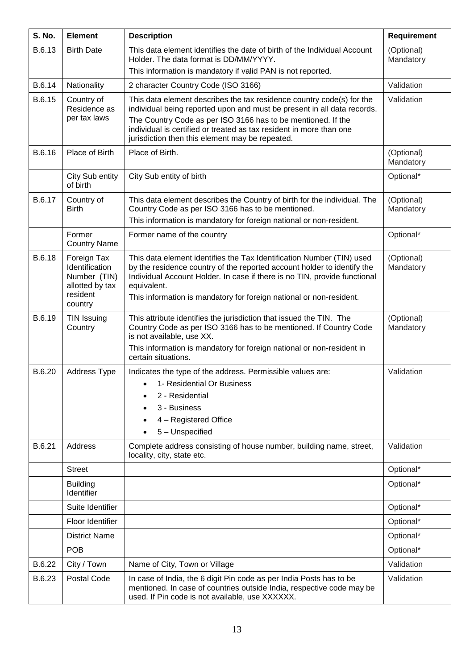| S. No. | <b>Element</b>                                                                          | <b>Description</b>                                                                                                                                                                                                                                                                                                  | Requirement             |
|--------|-----------------------------------------------------------------------------------------|---------------------------------------------------------------------------------------------------------------------------------------------------------------------------------------------------------------------------------------------------------------------------------------------------------------------|-------------------------|
| B.6.13 | <b>Birth Date</b>                                                                       | This data element identifies the date of birth of the Individual Account<br>Holder. The data format is DD/MM/YYYY.<br>This information is mandatory if valid PAN is not reported.                                                                                                                                   | (Optional)<br>Mandatory |
| B.6.14 | Nationality                                                                             | 2 character Country Code (ISO 3166)                                                                                                                                                                                                                                                                                 | Validation              |
| B.6.15 |                                                                                         | This data element describes the tax residence country code(s) for the                                                                                                                                                                                                                                               | Validation              |
|        | Country of<br>Residence as<br>per tax laws                                              | individual being reported upon and must be present in all data records.<br>The Country Code as per ISO 3166 has to be mentioned. If the                                                                                                                                                                             |                         |
|        |                                                                                         | individual is certified or treated as tax resident in more than one<br>jurisdiction then this element may be repeated.                                                                                                                                                                                              |                         |
| B.6.16 | Place of Birth                                                                          | Place of Birth.                                                                                                                                                                                                                                                                                                     | (Optional)<br>Mandatory |
|        | City Sub entity<br>of birth                                                             | City Sub entity of birth                                                                                                                                                                                                                                                                                            | Optional*               |
| B.6.17 | Country of<br><b>Birth</b>                                                              | This data element describes the Country of birth for the individual. The<br>Country Code as per ISO 3166 has to be mentioned.                                                                                                                                                                                       | (Optional)<br>Mandatory |
|        |                                                                                         | This information is mandatory for foreign national or non-resident.                                                                                                                                                                                                                                                 |                         |
|        | Former<br><b>Country Name</b>                                                           | Former name of the country                                                                                                                                                                                                                                                                                          | Optional*               |
| B.6.18 | Foreign Tax<br>Identification<br>Number (TIN)<br>allotted by tax<br>resident<br>country | This data element identifies the Tax Identification Number (TIN) used<br>by the residence country of the reported account holder to identify the<br>Individual Account Holder. In case if there is no TIN, provide functional<br>equivalent.<br>This information is mandatory for foreign national or non-resident. | (Optional)<br>Mandatory |
| B.6.19 | TIN Issuing<br>Country                                                                  | This attribute identifies the jurisdiction that issued the TIN. The<br>Country Code as per ISO 3166 has to be mentioned. If Country Code<br>is not available, use XX.<br>This information is mandatory for foreign national or non-resident in<br>certain situations.                                               | (Optional)<br>Mandatory |
| B.6.20 | <b>Address Type</b>                                                                     | Indicates the type of the address. Permissible values are:<br>1- Residential Or Business<br>2 - Residential<br>3 - Business<br>4 - Registered Office<br>5 - Unspecified                                                                                                                                             | Validation              |
| B.6.21 | Address                                                                                 | Complete address consisting of house number, building name, street,<br>locality, city, state etc.                                                                                                                                                                                                                   | Validation              |
|        | <b>Street</b>                                                                           |                                                                                                                                                                                                                                                                                                                     | Optional*               |
|        | <b>Building</b><br>Identifier                                                           |                                                                                                                                                                                                                                                                                                                     | Optional*               |
|        | Suite Identifier                                                                        |                                                                                                                                                                                                                                                                                                                     | Optional*               |
|        | Floor Identifier                                                                        |                                                                                                                                                                                                                                                                                                                     | Optional*               |
|        | <b>District Name</b>                                                                    |                                                                                                                                                                                                                                                                                                                     | Optional*               |
|        | <b>POB</b>                                                                              |                                                                                                                                                                                                                                                                                                                     | Optional*               |
| B.6.22 | City / Town                                                                             | Name of City, Town or Village                                                                                                                                                                                                                                                                                       | Validation              |
| B.6.23 | Postal Code                                                                             | In case of India, the 6 digit Pin code as per India Posts has to be<br>mentioned. In case of countries outside India, respective code may be<br>used. If Pin code is not available, use XXXXXX.                                                                                                                     | Validation              |